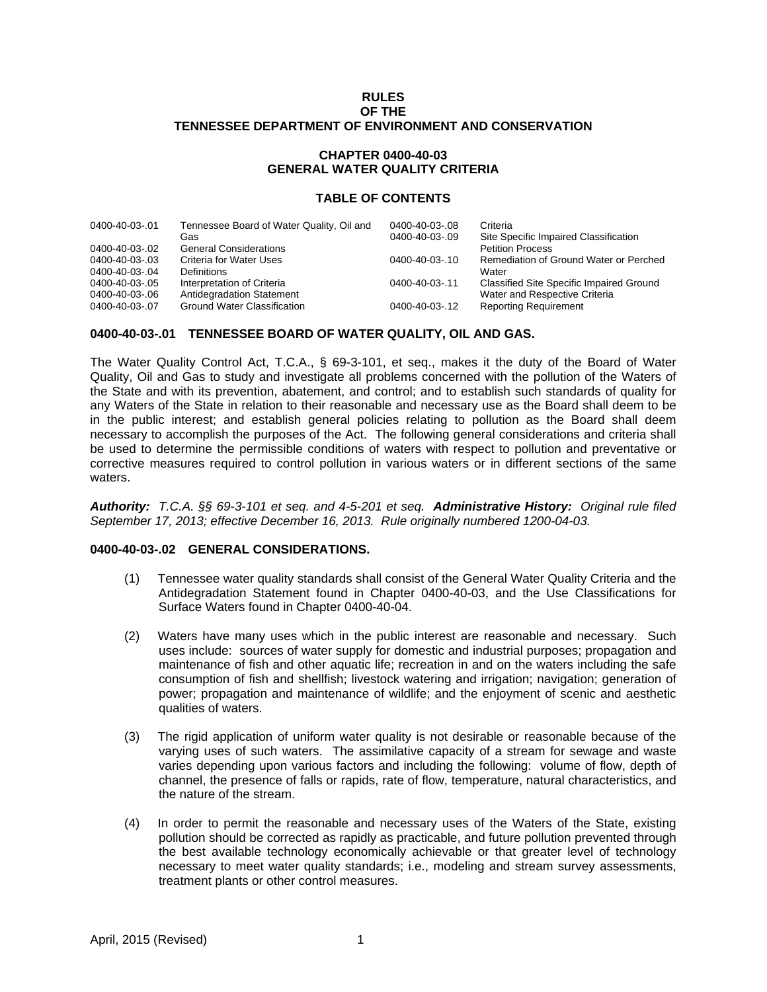## **RULES OF THE TENNESSEE DEPARTMENT OF ENVIRONMENT AND CONSERVATION**

# **CHAPTER 0400-40-03 GENERAL WATER QUALITY CRITERIA**

### **TABLE OF CONTENTS**

| 0400-40-03-.01 | Tennessee Board of Water Quality, Oil and<br>Gas | 0400-40-03-.08<br>0400-40-03-.09 | Criteria<br>Site Specific Impaired Classification |
|----------------|--------------------------------------------------|----------------------------------|---------------------------------------------------|
| 0400-40-03-.02 | <b>General Considerations</b>                    |                                  | <b>Petition Process</b>                           |
| 0400-40-03-.03 | Criteria for Water Uses                          | 0400-40-03-.10                   | Remediation of Ground Water or Perched            |
| 0400-40-03-.04 | Definitions                                      |                                  | Water                                             |
| 0400-40-03-.05 | Interpretation of Criteria                       | 0400-40-03-.11                   | Classified Site Specific Impaired Ground          |
| 0400-40-03-.06 | Antidegradation Statement                        |                                  | Water and Respective Criteria                     |
| 0400-40-03-.07 | <b>Ground Water Classification</b>               | 0400-40-03-.12                   | <b>Reporting Requirement</b>                      |
|                |                                                  |                                  |                                                   |

## **0400-40-03-.01 TENNESSEE BOARD OF WATER QUALITY, OIL AND GAS.**

The Water Quality Control Act, T.C.A., § 69-3-101, et seq., makes it the duty of the Board of Water Quality, Oil and Gas to study and investigate all problems concerned with the pollution of the Waters of the State and with its prevention, abatement, and control; and to establish such standards of quality for any Waters of the State in relation to their reasonable and necessary use as the Board shall deem to be in the public interest; and establish general policies relating to pollution as the Board shall deem necessary to accomplish the purposes of the Act. The following general considerations and criteria shall be used to determine the permissible conditions of waters with respect to pollution and preventative or corrective measures required to control pollution in various waters or in different sections of the same waters.

*Authority: T.C.A. §§ 69-3-101 et seq. and 4-5-201 et seq. Administrative History: Original rule filed September 17, 2013; effective December 16, 2013. Rule originally numbered 1200-04-03.* 

#### **0400-40-03-.02 GENERAL CONSIDERATIONS.**

- (1) Tennessee water quality standards shall consist of the General Water Quality Criteria and the Antidegradation Statement found in Chapter 0400-40-03, and the Use Classifications for Surface Waters found in Chapter 0400-40-04.
- (2) Waters have many uses which in the public interest are reasonable and necessary. Such uses include: sources of water supply for domestic and industrial purposes; propagation and maintenance of fish and other aquatic life; recreation in and on the waters including the safe consumption of fish and shellfish; livestock watering and irrigation; navigation; generation of power; propagation and maintenance of wildlife; and the enjoyment of scenic and aesthetic qualities of waters.
- (3) The rigid application of uniform water quality is not desirable or reasonable because of the varying uses of such waters. The assimilative capacity of a stream for sewage and waste varies depending upon various factors and including the following: volume of flow, depth of channel, the presence of falls or rapids, rate of flow, temperature, natural characteristics, and the nature of the stream.
- (4) In order to permit the reasonable and necessary uses of the Waters of the State, existing pollution should be corrected as rapidly as practicable, and future pollution prevented through the best available technology economically achievable or that greater level of technology necessary to meet water quality standards; i.e., modeling and stream survey assessments, treatment plants or other control measures.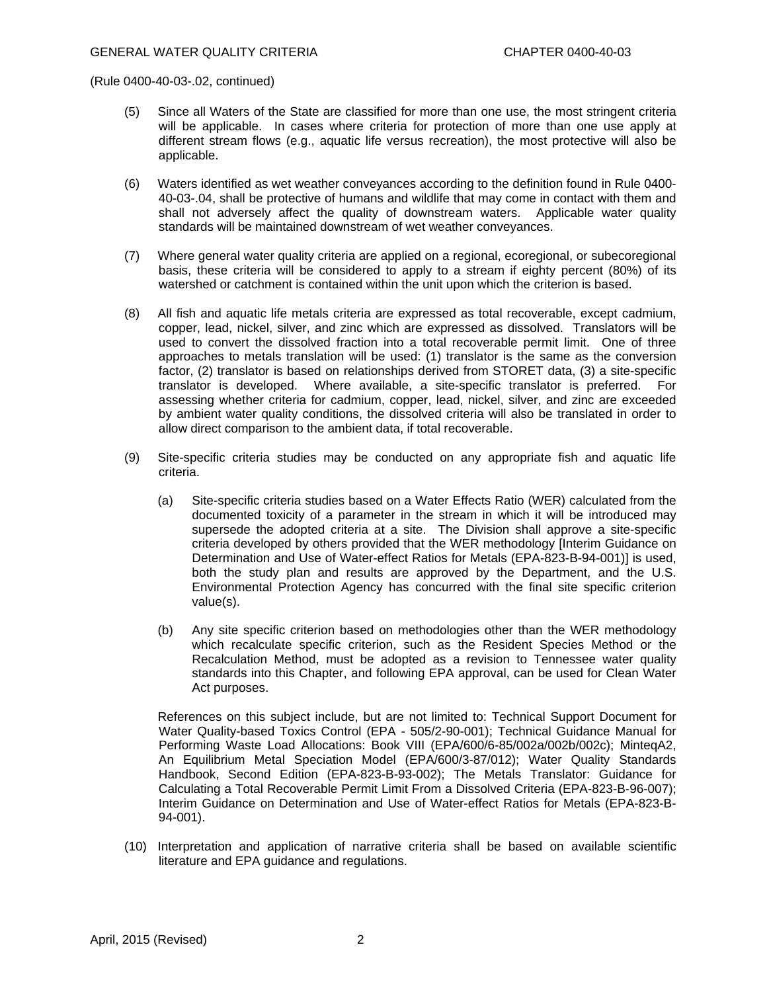- (5) Since all Waters of the State are classified for more than one use, the most stringent criteria will be applicable. In cases where criteria for protection of more than one use apply at different stream flows (e.g., aquatic life versus recreation), the most protective will also be applicable.
- (6) Waters identified as wet weather conveyances according to the definition found in Rule 0400- 40-03-.04, shall be protective of humans and wildlife that may come in contact with them and shall not adversely affect the quality of downstream waters. Applicable water quality standards will be maintained downstream of wet weather conveyances.
- (7) Where general water quality criteria are applied on a regional, ecoregional, or subecoregional basis, these criteria will be considered to apply to a stream if eighty percent (80%) of its watershed or catchment is contained within the unit upon which the criterion is based.
- (8) All fish and aquatic life metals criteria are expressed as total recoverable, except cadmium, copper, lead, nickel, silver, and zinc which are expressed as dissolved. Translators will be used to convert the dissolved fraction into a total recoverable permit limit. One of three approaches to metals translation will be used: (1) translator is the same as the conversion factor, (2) translator is based on relationships derived from STORET data, (3) a site-specific translator is developed. Where available, a site-specific translator is preferred. For assessing whether criteria for cadmium, copper, lead, nickel, silver, and zinc are exceeded by ambient water quality conditions, the dissolved criteria will also be translated in order to allow direct comparison to the ambient data, if total recoverable.
- (9) Site-specific criteria studies may be conducted on any appropriate fish and aquatic life criteria.
	- (a) Site-specific criteria studies based on a Water Effects Ratio (WER) calculated from the documented toxicity of a parameter in the stream in which it will be introduced may supersede the adopted criteria at a site. The Division shall approve a site-specific criteria developed by others provided that the WER methodology [Interim Guidance on Determination and Use of Water-effect Ratios for Metals (EPA-823-B-94-001)] is used, both the study plan and results are approved by the Department, and the U.S. Environmental Protection Agency has concurred with the final site specific criterion value(s).
	- (b) Any site specific criterion based on methodologies other than the WER methodology which recalculate specific criterion, such as the Resident Species Method or the Recalculation Method, must be adopted as a revision to Tennessee water quality standards into this Chapter, and following EPA approval, can be used for Clean Water Act purposes.

 References on this subject include, but are not limited to: Technical Support Document for Water Quality-based Toxics Control (EPA - 505/2-90-001); Technical Guidance Manual for Performing Waste Load Allocations: Book VIII (EPA/600/6-85/002a/002b/002c); MinteqA2, An Equilibrium Metal Speciation Model (EPA/600/3-87/012); Water Quality Standards Handbook, Second Edition (EPA-823-B-93-002); The Metals Translator: Guidance for Calculating a Total Recoverable Permit Limit From a Dissolved Criteria (EPA-823-B-96-007); Interim Guidance on Determination and Use of Water-effect Ratios for Metals (EPA-823-B-94-001).

(10) Interpretation and application of narrative criteria shall be based on available scientific literature and EPA guidance and regulations.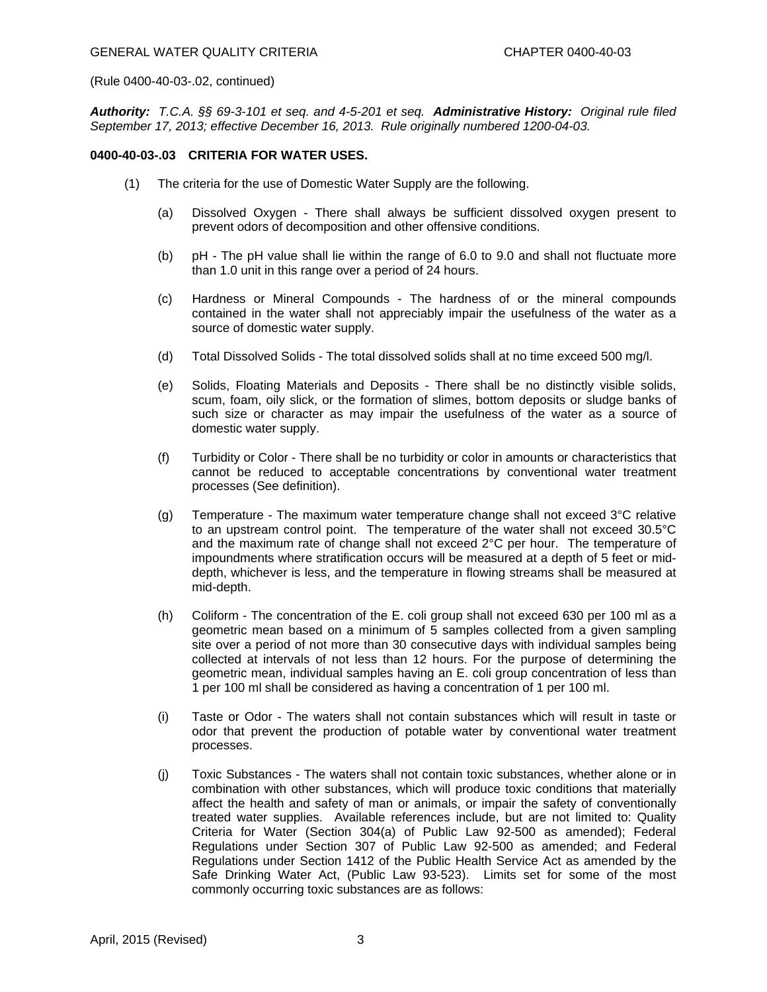*Authority: T.C.A. §§ 69-3-101 et seq. and 4-5-201 et seq. Administrative History: Original rule filed September 17, 2013; effective December 16, 2013. Rule originally numbered 1200-04-03.* 

### **0400-40-03-.03 CRITERIA FOR WATER USES.**

- (1) The criteria for the use of Domestic Water Supply are the following.
	- (a) Dissolved Oxygen There shall always be sufficient dissolved oxygen present to prevent odors of decomposition and other offensive conditions.
	- (b) pH The pH value shall lie within the range of 6.0 to 9.0 and shall not fluctuate more than 1.0 unit in this range over a period of 24 hours.
	- (c) Hardness or Mineral Compounds The hardness of or the mineral compounds contained in the water shall not appreciably impair the usefulness of the water as a source of domestic water supply.
	- (d) Total Dissolved Solids The total dissolved solids shall at no time exceed 500 mg/l.
	- (e) Solids, Floating Materials and Deposits There shall be no distinctly visible solids, scum, foam, oily slick, or the formation of slimes, bottom deposits or sludge banks of such size or character as may impair the usefulness of the water as a source of domestic water supply.
	- (f) Turbidity or Color There shall be no turbidity or color in amounts or characteristics that cannot be reduced to acceptable concentrations by conventional water treatment processes (See definition).
	- (g) Temperature The maximum water temperature change shall not exceed  $3^{\circ}C$  relative to an upstream control point. The temperature of the water shall not exceed 30.5°C and the maximum rate of change shall not exceed 2°C per hour. The temperature of impoundments where stratification occurs will be measured at a depth of 5 feet or middepth, whichever is less, and the temperature in flowing streams shall be measured at mid-depth.
	- (h) Coliform The concentration of the E. coli group shall not exceed 630 per 100 ml as a geometric mean based on a minimum of 5 samples collected from a given sampling site over a period of not more than 30 consecutive days with individual samples being collected at intervals of not less than 12 hours. For the purpose of determining the geometric mean, individual samples having an E. coli group concentration of less than 1 per 100 ml shall be considered as having a concentration of 1 per 100 ml.
	- (i) Taste or Odor The waters shall not contain substances which will result in taste or odor that prevent the production of potable water by conventional water treatment processes.
	- (j) Toxic Substances The waters shall not contain toxic substances, whether alone or in combination with other substances, which will produce toxic conditions that materially affect the health and safety of man or animals, or impair the safety of conventionally treated water supplies. Available references include, but are not limited to: Quality Criteria for Water (Section 304(a) of Public Law 92-500 as amended); Federal Regulations under Section 307 of Public Law 92-500 as amended; and Federal Regulations under Section 1412 of the Public Health Service Act as amended by the Safe Drinking Water Act, (Public Law 93-523). Limits set for some of the most commonly occurring toxic substances are as follows: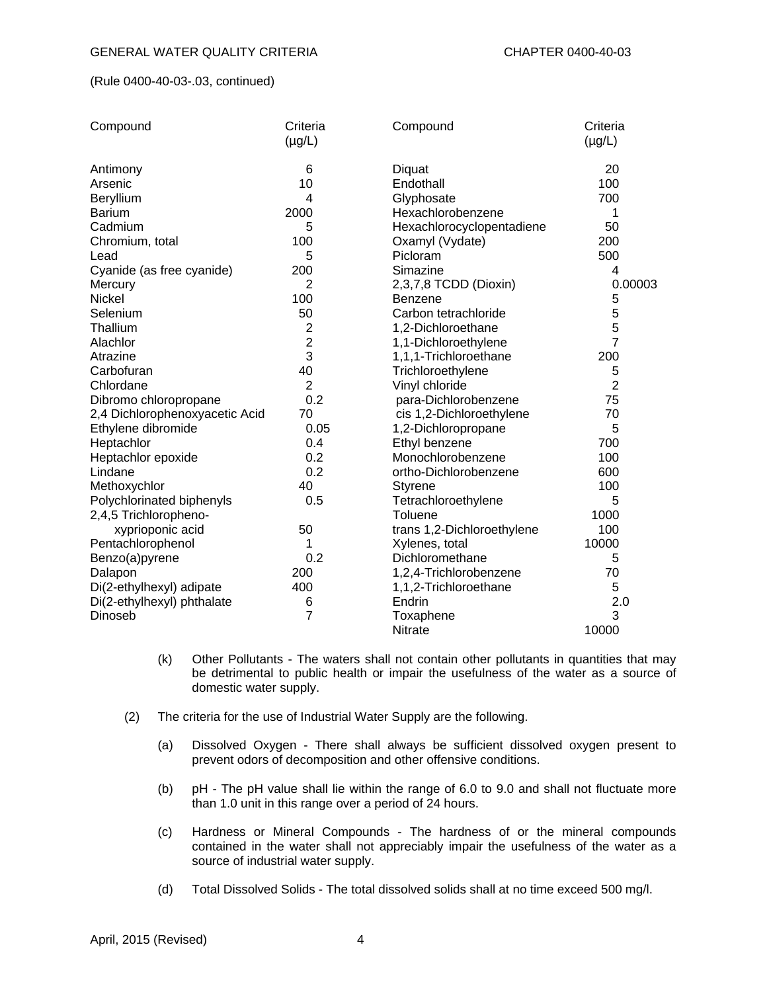| Compound                       | Criteria       | Compound                   | Criteria       |
|--------------------------------|----------------|----------------------------|----------------|
|                                | $(\mu g/L)$    |                            | $(\mu g/L)$    |
| Antimony                       | 6              | Diquat                     | 20             |
| Arsenic                        | 10             | Endothall                  | 100            |
| Beryllium                      | 4              | Glyphosate                 | 700            |
| <b>Barium</b>                  | 2000           | Hexachlorobenzene          | 1              |
| Cadmium                        | 5              | Hexachlorocyclopentadiene  | 50             |
| Chromium, total                | 100            | Oxamyl (Vydate)            | 200            |
| Lead                           | 5              | Picloram                   | 500            |
| Cyanide (as free cyanide)      | 200            | Simazine                   | 4              |
| Mercury                        | 2              | 2,3,7,8 TCDD (Dioxin)      | 0.00003        |
| Nickel                         | 100            | Benzene                    | 5              |
| Selenium                       | 50             | Carbon tetrachloride       | 5              |
| Thallium                       | 2              | 1,2-Dichloroethane         | 5              |
| Alachlor                       | $\overline{c}$ | 1,1-Dichloroethylene       | $\overline{7}$ |
| Atrazine                       | 3              | 1,1,1-Trichloroethane      | 200            |
| Carbofuran                     | 40             | Trichloroethylene          | 5              |
| Chlordane                      | $\overline{2}$ | Vinyl chloride             | $\overline{2}$ |
| Dibromo chloropropane          | 0.2            | para-Dichlorobenzene       | 75             |
| 2,4 Dichlorophenoxyacetic Acid | 70             | cis 1,2-Dichloroethylene   | 70             |
| Ethylene dibromide             | 0.05           | 1,2-Dichloropropane        | 5              |
| Heptachlor                     | 0.4            | Ethyl benzene              | 700            |
| Heptachlor epoxide             | 0.2            | Monochlorobenzene          | 100            |
| Lindane                        | 0.2            | ortho-Dichlorobenzene      | 600            |
| Methoxychlor                   | 40             | <b>Styrene</b>             | 100            |
| Polychlorinated biphenyls      | 0.5            | Tetrachloroethylene        | 5              |
| 2,4,5 Trichloropheno-          |                | Toluene                    | 1000           |
| xyprioponic acid               | 50             | trans 1,2-Dichloroethylene | 100            |
| Pentachlorophenol              | 1              | Xylenes, total             | 10000          |
| Benzo(a)pyrene                 | 0.2            | Dichloromethane            | 5              |
| Dalapon                        | 200            | 1,2,4-Trichlorobenzene     | 70             |
| Di(2-ethylhexyl) adipate       | 400            | 1,1,2-Trichloroethane      | 5              |
| Di(2-ethylhexyl) phthalate     | 6              | Endrin                     | 2.0            |
| Dinoseb                        | 7              | Toxaphene                  | 3              |
|                                |                | Nitrate                    | 10000          |

- (k) Other Pollutants The waters shall not contain other pollutants in quantities that may be detrimental to public health or impair the usefulness of the water as a source of domestic water supply.
- (2) The criteria for the use of Industrial Water Supply are the following.
	- (a) Dissolved Oxygen There shall always be sufficient dissolved oxygen present to prevent odors of decomposition and other offensive conditions.
	- (b) pH The pH value shall lie within the range of 6.0 to 9.0 and shall not fluctuate more than 1.0 unit in this range over a period of 24 hours.
	- (c) Hardness or Mineral Compounds The hardness of or the mineral compounds contained in the water shall not appreciably impair the usefulness of the water as a source of industrial water supply.
	- (d) Total Dissolved Solids The total dissolved solids shall at no time exceed 500 mg/l.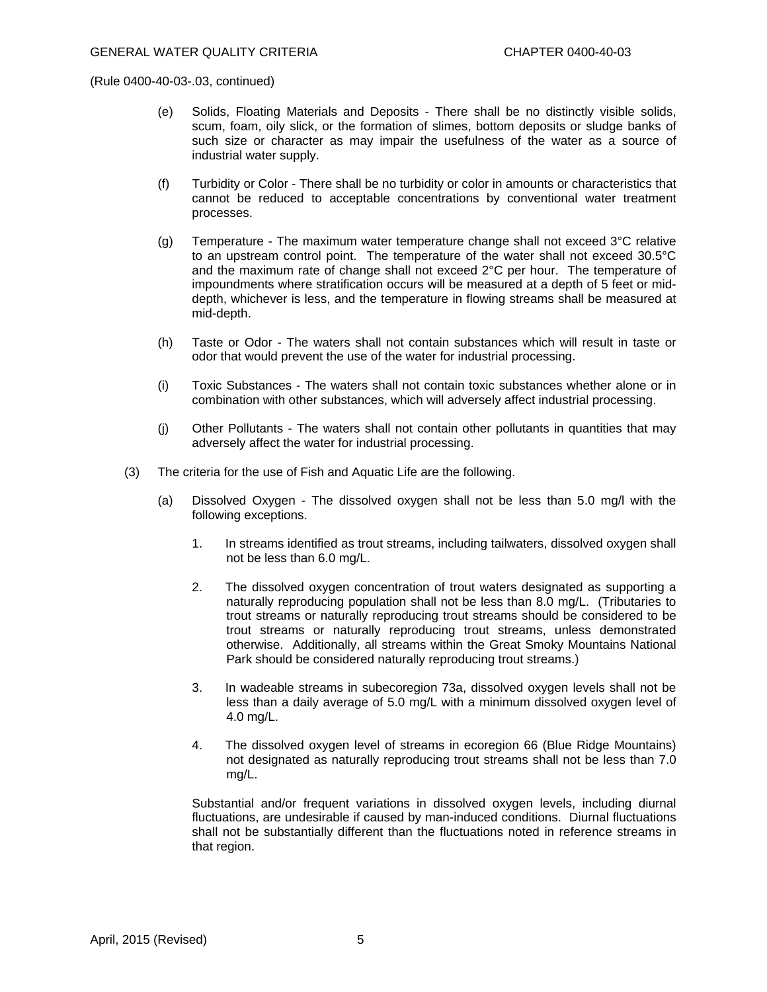- (e) Solids, Floating Materials and Deposits There shall be no distinctly visible solids, scum, foam, oily slick, or the formation of slimes, bottom deposits or sludge banks of such size or character as may impair the usefulness of the water as a source of industrial water supply.
- (f) Turbidity or Color There shall be no turbidity or color in amounts or characteristics that cannot be reduced to acceptable concentrations by conventional water treatment processes.
- (g) Temperature The maximum water temperature change shall not exceed  $3^{\circ}C$  relative to an upstream control point. The temperature of the water shall not exceed 30.5°C and the maximum rate of change shall not exceed 2°C per hour. The temperature of impoundments where stratification occurs will be measured at a depth of 5 feet or middepth, whichever is less, and the temperature in flowing streams shall be measured at mid-depth.
- (h) Taste or Odor The waters shall not contain substances which will result in taste or odor that would prevent the use of the water for industrial processing.
- (i) Toxic Substances The waters shall not contain toxic substances whether alone or in combination with other substances, which will adversely affect industrial processing.
- (j) Other Pollutants The waters shall not contain other pollutants in quantities that may adversely affect the water for industrial processing.
- (3) The criteria for the use of Fish and Aquatic Life are the following.
	- (a) Dissolved Oxygen The dissolved oxygen shall not be less than 5.0 mg/l with the following exceptions.
		- 1. In streams identified as trout streams, including tailwaters, dissolved oxygen shall not be less than 6.0 mg/L.
		- 2. The dissolved oxygen concentration of trout waters designated as supporting a naturally reproducing population shall not be less than 8.0 mg/L. (Tributaries to trout streams or naturally reproducing trout streams should be considered to be trout streams or naturally reproducing trout streams, unless demonstrated otherwise. Additionally, all streams within the Great Smoky Mountains National Park should be considered naturally reproducing trout streams.)
		- 3. In wadeable streams in subecoregion 73a, dissolved oxygen levels shall not be less than a daily average of 5.0 mg/L with a minimum dissolved oxygen level of 4.0 mg/L.
		- 4. The dissolved oxygen level of streams in ecoregion 66 (Blue Ridge Mountains) not designated as naturally reproducing trout streams shall not be less than 7.0 mg/L.

 Substantial and/or frequent variations in dissolved oxygen levels, including diurnal fluctuations, are undesirable if caused by man-induced conditions. Diurnal fluctuations shall not be substantially different than the fluctuations noted in reference streams in that region.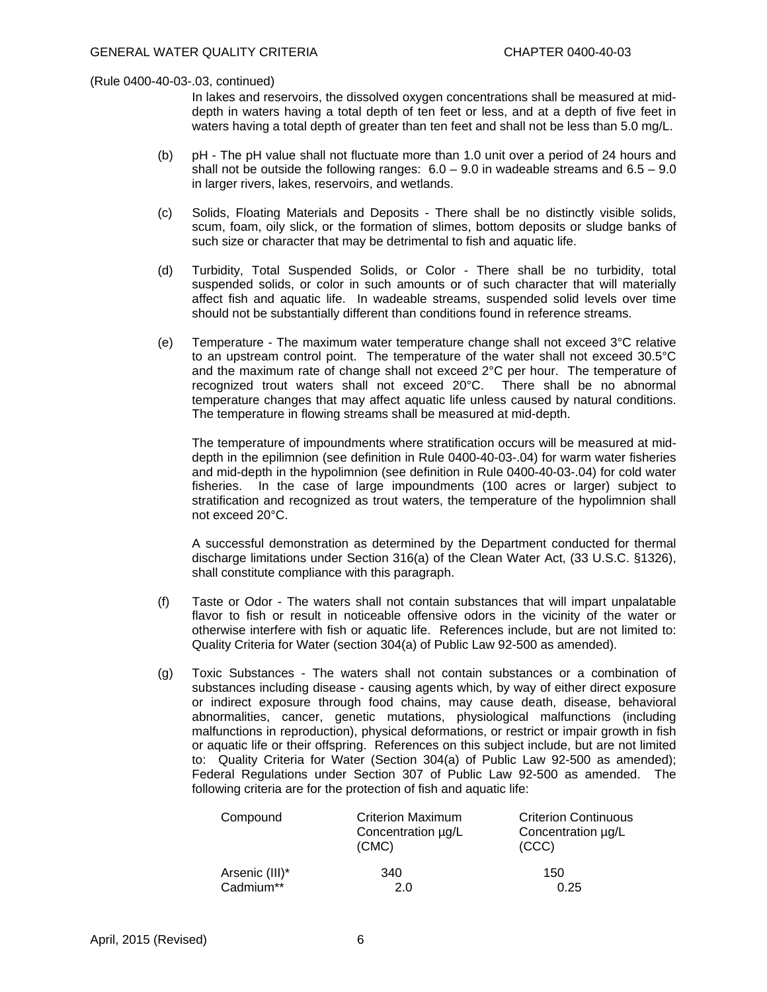In lakes and reservoirs, the dissolved oxygen concentrations shall be measured at middepth in waters having a total depth of ten feet or less, and at a depth of five feet in waters having a total depth of greater than ten feet and shall not be less than 5.0 mg/L.

- (b) pH The pH value shall not fluctuate more than 1.0 unit over a period of 24 hours and shall not be outside the following ranges:  $6.0 - 9.0$  in wadeable streams and  $6.5 - 9.0$ in larger rivers, lakes, reservoirs, and wetlands.
- (c) Solids, Floating Materials and Deposits There shall be no distinctly visible solids, scum, foam, oily slick, or the formation of slimes, bottom deposits or sludge banks of such size or character that may be detrimental to fish and aquatic life.
- (d) Turbidity, Total Suspended Solids, or Color There shall be no turbidity, total suspended solids, or color in such amounts or of such character that will materially affect fish and aquatic life. In wadeable streams, suspended solid levels over time should not be substantially different than conditions found in reference streams.
- (e) Temperature The maximum water temperature change shall not exceed  $3^{\circ}C$  relative to an upstream control point. The temperature of the water shall not exceed 30.5°C and the maximum rate of change shall not exceed 2°C per hour. The temperature of recognized trout waters shall not exceed 20°C. There shall be no abnormal temperature changes that may affect aquatic life unless caused by natural conditions. The temperature in flowing streams shall be measured at mid-depth.

 The temperature of impoundments where stratification occurs will be measured at middepth in the epilimnion (see definition in Rule 0400-40-03-.04) for warm water fisheries and mid-depth in the hypolimnion (see definition in Rule 0400-40-03-.04) for cold water fisheries. In the case of large impoundments (100 acres or larger) subject to stratification and recognized as trout waters, the temperature of the hypolimnion shall not exceed 20°C.

 A successful demonstration as determined by the Department conducted for thermal discharge limitations under Section 316(a) of the Clean Water Act, (33 U.S.C. §1326), shall constitute compliance with this paragraph.

- (f) Taste or Odor The waters shall not contain substances that will impart unpalatable flavor to fish or result in noticeable offensive odors in the vicinity of the water or otherwise interfere with fish or aquatic life. References include, but are not limited to: Quality Criteria for Water (section 304(a) of Public Law 92-500 as amended).
- (g) Toxic Substances The waters shall not contain substances or a combination of substances including disease - causing agents which, by way of either direct exposure or indirect exposure through food chains, may cause death, disease, behavioral abnormalities, cancer, genetic mutations, physiological malfunctions (including malfunctions in reproduction), physical deformations, or restrict or impair growth in fish or aquatic life or their offspring. References on this subject include, but are not limited to: Quality Criteria for Water (Section 304(a) of Public Law 92-500 as amended); Federal Regulations under Section 307 of Public Law 92-500 as amended. The following criteria are for the protection of fish and aquatic life:

| Compound       | <b>Criterion Maximum</b><br>Concentration µg/L<br>(CMC) | <b>Criterion Continuous</b><br>Concentration µg/L<br>(CCC) |
|----------------|---------------------------------------------------------|------------------------------------------------------------|
| Arsenic (III)* | 340                                                     | 150                                                        |
| Cadmium**      | 20                                                      | 0.25                                                       |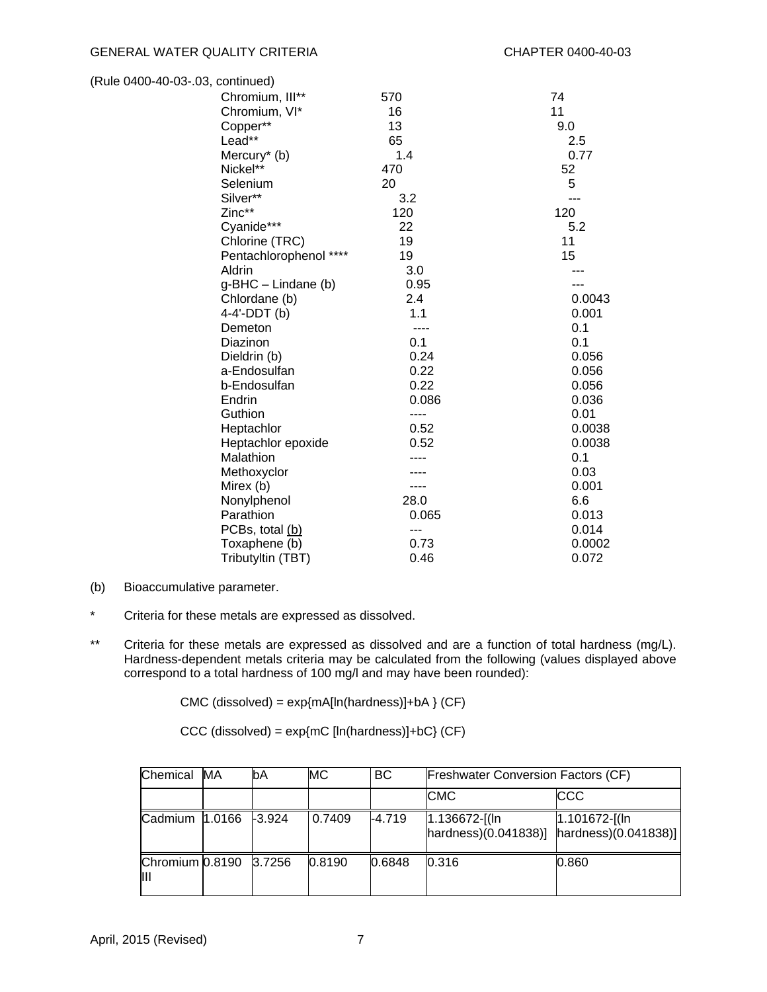| (Rule 0400-40-03-.03, continued) |       |        |
|----------------------------------|-------|--------|
| Chromium, III**                  | 570   | 74     |
| Chromium, VI*                    | 16    | 11     |
| Copper**                         | 13    | 9.0    |
| Lead**                           | 65    | 2.5    |
| Mercury <sup>*</sup> (b)         | 1.4   | 0.77   |
| Nickel**                         | 470   | 52     |
| Selenium                         | 20    | 5      |
| Silver**                         | 3.2   | ---    |
| Zinc**                           | 120   | 120    |
| Cyanide***                       | 22    | 5.2    |
| Chlorine (TRC)                   | 19    | 11     |
| Pentachlorophenol ****           | 19    | 15     |
| Aldrin                           | 3.0   |        |
| $g-BHC - Lindane$ (b)            | 0.95  |        |
| Chlordane (b)                    | 2.4   | 0.0043 |
| 4-4'-DDT (b)                     | 1.1   | 0.001  |
| Demeton                          | ----  | 0.1    |
| Diazinon                         | 0.1   | 0.1    |
| Dieldrin (b)                     | 0.24  | 0.056  |
| a-Endosulfan                     | 0.22  | 0.056  |
| b-Endosulfan                     | 0.22  | 0.056  |
| Endrin                           | 0.086 | 0.036  |
| Guthion                          | ----  | 0.01   |
| Heptachlor                       | 0.52  | 0.0038 |
| Heptachlor epoxide               | 0.52  | 0.0038 |
| Malathion                        |       | 0.1    |
| Methoxyclor                      |       | 0.03   |
| Mirex (b)                        |       | 0.001  |
| Nonylphenol                      | 28.0  | 6.6    |
| Parathion                        | 0.065 | 0.013  |
| PCBs, total (b)                  | ---   | 0.014  |
| Toxaphene (b)                    | 0.73  | 0.0002 |
| Tributyltin (TBT)                | 0.46  | 0.072  |

- (b) Bioaccumulative parameter.
- \* Criteria for these metals are expressed as dissolved.
- \*\* Criteria for these metals are expressed as dissolved and are a function of total hardness (mg/L). Hardness-dependent metals criteria may be calculated from the following (values displayed above correspond to a total hardness of 100 mg/l and may have been rounded):

CMC (dissolved) = exp{mA[ln(hardness)]+bA } (CF)

 $CCC$  (dissolved) =  $exp{mC}$  [In(hardness)]+bC} (CF)

| Chemical                    | МA | bA | MC     | BC       | <b>Freshwater Conversion Factors (CF)</b>                                                 |               |
|-----------------------------|----|----|--------|----------|-------------------------------------------------------------------------------------------|---------------|
|                             |    |    |        |          | <b>CMC</b>                                                                                | <b>CCC</b>    |
| Cadmium 1.0166 -3.924       |    |    | 0.7409 | $-4.719$ | $1.136672$ -[(ln<br>$\frac{1}{2}$ hardness)(0.041838)] $\frac{1}{2}$ hardness)(0.041838)] | 1.101672-[(ln |
| Chromium 0.8190 3.7256<br>Ш |    |    | 0.8190 | 0.6848   | 0.316                                                                                     | 0.860         |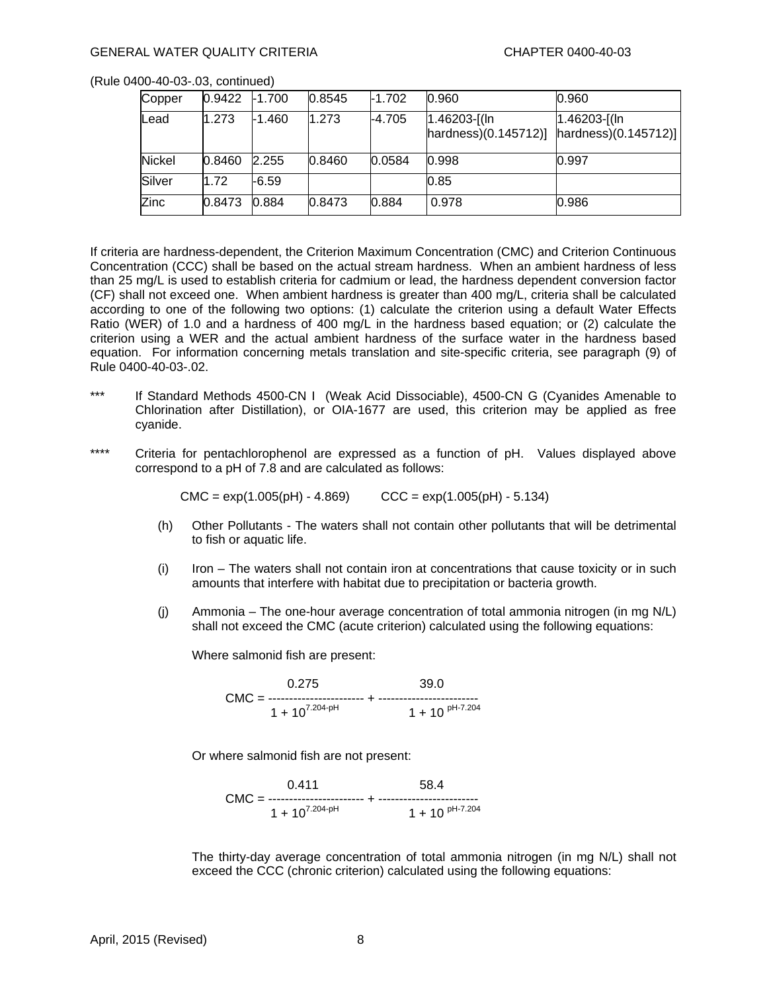| Copper        | 0.9422 | $-1.700$ | 0.8545 | $-1.702$ | 0.960                                 | 0.960                                   |
|---------------|--------|----------|--------|----------|---------------------------------------|-----------------------------------------|
| Lead          | 1.273  | $-1.460$ | 1.273  | $-4.705$ | $1.46203$ -[(ln<br>harduess(0.145712) | $1.46203$ -[(ln<br>hardness)(0.145712)] |
| <b>Nickel</b> | 0.8460 | 2.255    | 0.8460 | 0.0584   | 0.998                                 | 0.997                                   |
| Silver        | 1.72   | -6.59    |        |          | 0.85                                  |                                         |
| Zinc          | 0.8473 | 0.884    | 0.8473 | 0.884    | 0.978                                 | 0.986                                   |

If criteria are hardness-dependent, the Criterion Maximum Concentration (CMC) and Criterion Continuous Concentration (CCC) shall be based on the actual stream hardness. When an ambient hardness of less than 25 mg/L is used to establish criteria for cadmium or lead, the hardness dependent conversion factor (CF) shall not exceed one. When ambient hardness is greater than 400 mg/L, criteria shall be calculated according to one of the following two options: (1) calculate the criterion using a default Water Effects Ratio (WER) of 1.0 and a hardness of 400 mg/L in the hardness based equation; or (2) calculate the criterion using a WER and the actual ambient hardness of the surface water in the hardness based equation. For information concerning metals translation and site-specific criteria, see paragraph (9) of Rule 0400-40-03-.02.

- \*\*\* If Standard Methods 4500-CN I (Weak Acid Dissociable), 4500-CN G (Cyanides Amenable to Chlorination after Distillation), or OIA-1677 are used, this criterion may be applied as free cyanide.
- \*\*\*\* Criteria for pentachlorophenol are expressed as a function of pH. Values displayed above correspond to a pH of 7.8 and are calculated as follows:

 $CMC = exp(1.005(pH) - 4.869)$   $CCC = exp(1.005(pH) - 5.134)$ 

- (h) Other Pollutants The waters shall not contain other pollutants that will be detrimental to fish or aquatic life.
- (i) Iron The waters shall not contain iron at concentrations that cause toxicity or in such amounts that interfere with habitat due to precipitation or bacteria growth.
- (j) Ammonia The one-hour average concentration of total ammonia nitrogen (in mg N/L) shall not exceed the CMC (acute criterion) calculated using the following equations:

Where salmonid fish are present:

0.275 39.0 CMC = ----------------------- + ------------------------  $1 + 10^{7.204-pH}$  1 + 10 <sup>pH-7.204</sup>

Or where salmonid fish are not present:

0.411 58.4 CMC = ----------------------- + ------------------------  $1 + 10^{7.204 \cdot \text{pH}}$  1 + 10 <sup>pH-7.204</sup>

 The thirty-day average concentration of total ammonia nitrogen (in mg N/L) shall not exceed the CCC (chronic criterion) calculated using the following equations: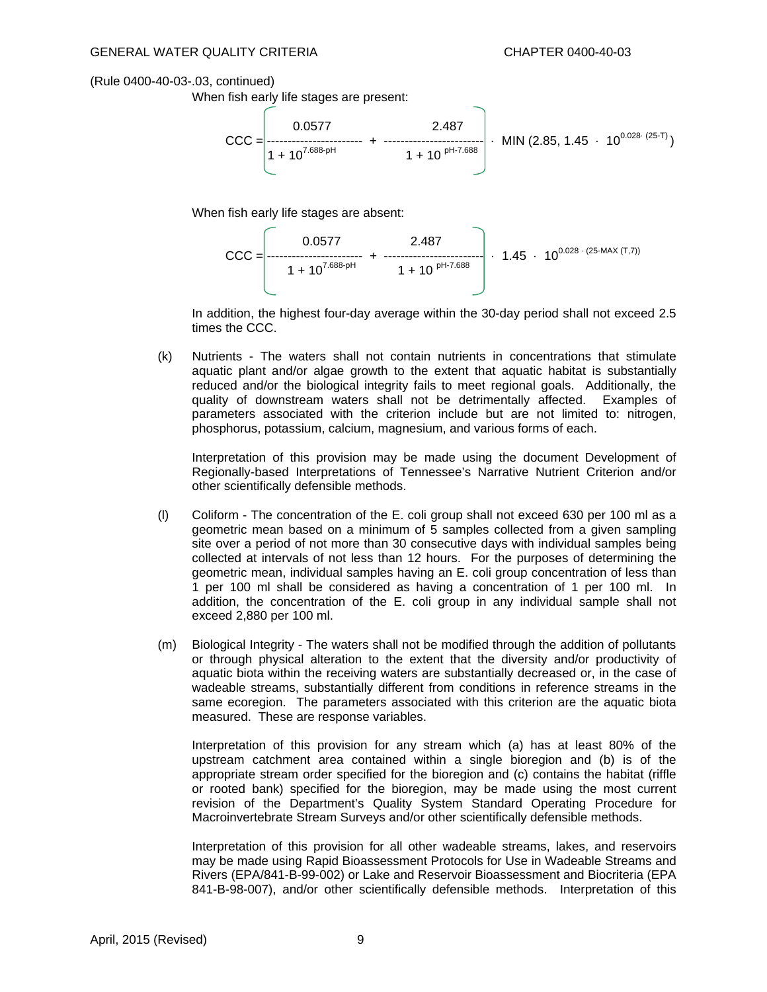When fish early life stages are present:



When fish early life stages are absent:



 In addition, the highest four-day average within the 30-day period shall not exceed 2.5 times the CCC.

(k) Nutrients - The waters shall not contain nutrients in concentrations that stimulate aquatic plant and/or algae growth to the extent that aquatic habitat is substantially reduced and/or the biological integrity fails to meet regional goals. Additionally, the quality of downstream waters shall not be detrimentally affected. Examples of parameters associated with the criterion include but are not limited to: nitrogen, phosphorus, potassium, calcium, magnesium, and various forms of each.

 Interpretation of this provision may be made using the document Development of Regionally-based Interpretations of Tennessee's Narrative Nutrient Criterion and/or other scientifically defensible methods.

- (l) Coliform The concentration of the E. coli group shall not exceed 630 per 100 ml as a geometric mean based on a minimum of 5 samples collected from a given sampling site over a period of not more than 30 consecutive days with individual samples being collected at intervals of not less than 12 hours. For the purposes of determining the geometric mean, individual samples having an E. coli group concentration of less than 1 per 100 ml shall be considered as having a concentration of 1 per 100 ml. In addition, the concentration of the E. coli group in any individual sample shall not exceed 2,880 per 100 ml.
- (m) Biological Integrity The waters shall not be modified through the addition of pollutants or through physical alteration to the extent that the diversity and/or productivity of aquatic biota within the receiving waters are substantially decreased or, in the case of wadeable streams, substantially different from conditions in reference streams in the same ecoregion. The parameters associated with this criterion are the aquatic biota measured. These are response variables.

 Interpretation of this provision for any stream which (a) has at least 80% of the upstream catchment area contained within a single bioregion and (b) is of the appropriate stream order specified for the bioregion and (c) contains the habitat (riffle or rooted bank) specified for the bioregion, may be made using the most current revision of the Department's Quality System Standard Operating Procedure for Macroinvertebrate Stream Surveys and/or other scientifically defensible methods.

 Interpretation of this provision for all other wadeable streams, lakes, and reservoirs may be made using Rapid Bioassessment Protocols for Use in Wadeable Streams and Rivers (EPA/841-B-99-002) or Lake and Reservoir Bioassessment and Biocriteria (EPA 841-B-98-007), and/or other scientifically defensible methods. Interpretation of this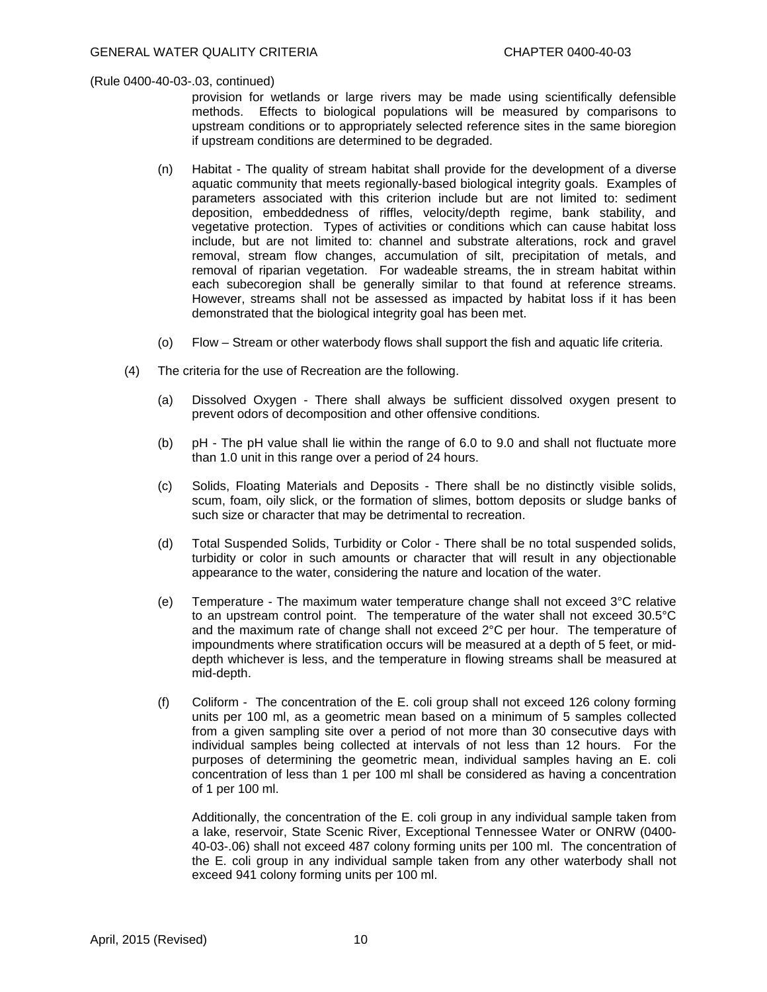provision for wetlands or large rivers may be made using scientifically defensible methods. Effects to biological populations will be measured by comparisons to upstream conditions or to appropriately selected reference sites in the same bioregion if upstream conditions are determined to be degraded.

- (n) Habitat The quality of stream habitat shall provide for the development of a diverse aquatic community that meets regionally-based biological integrity goals. Examples of parameters associated with this criterion include but are not limited to: sediment deposition, embeddedness of riffles, velocity/depth regime, bank stability, and vegetative protection. Types of activities or conditions which can cause habitat loss include, but are not limited to: channel and substrate alterations, rock and gravel removal, stream flow changes, accumulation of silt, precipitation of metals, and removal of riparian vegetation. For wadeable streams, the in stream habitat within each subecoregion shall be generally similar to that found at reference streams. However, streams shall not be assessed as impacted by habitat loss if it has been demonstrated that the biological integrity goal has been met.
- (o) Flow Stream or other waterbody flows shall support the fish and aquatic life criteria.
- (4) The criteria for the use of Recreation are the following.
	- (a) Dissolved Oxygen There shall always be sufficient dissolved oxygen present to prevent odors of decomposition and other offensive conditions.
	- (b) pH The pH value shall lie within the range of 6.0 to 9.0 and shall not fluctuate more than 1.0 unit in this range over a period of 24 hours.
	- (c) Solids, Floating Materials and Deposits There shall be no distinctly visible solids, scum, foam, oily slick, or the formation of slimes, bottom deposits or sludge banks of such size or character that may be detrimental to recreation.
	- (d) Total Suspended Solids, Turbidity or Color There shall be no total suspended solids, turbidity or color in such amounts or character that will result in any objectionable appearance to the water, considering the nature and location of the water.
	- (e) Temperature The maximum water temperature change shall not exceed  $3^{\circ}C$  relative to an upstream control point. The temperature of the water shall not exceed 30.5°C and the maximum rate of change shall not exceed 2°C per hour. The temperature of impoundments where stratification occurs will be measured at a depth of 5 feet, or middepth whichever is less, and the temperature in flowing streams shall be measured at mid-depth.
	- (f) Coliform The concentration of the E. coli group shall not exceed 126 colony forming units per 100 ml, as a geometric mean based on a minimum of 5 samples collected from a given sampling site over a period of not more than 30 consecutive days with individual samples being collected at intervals of not less than 12 hours. For the purposes of determining the geometric mean, individual samples having an E. coli concentration of less than 1 per 100 ml shall be considered as having a concentration of 1 per 100 ml.

 Additionally, the concentration of the E. coli group in any individual sample taken from a lake, reservoir, State Scenic River, Exceptional Tennessee Water or ONRW (0400- 40-03-.06) shall not exceed 487 colony forming units per 100 ml. The concentration of the E. coli group in any individual sample taken from any other waterbody shall not exceed 941 colony forming units per 100 ml.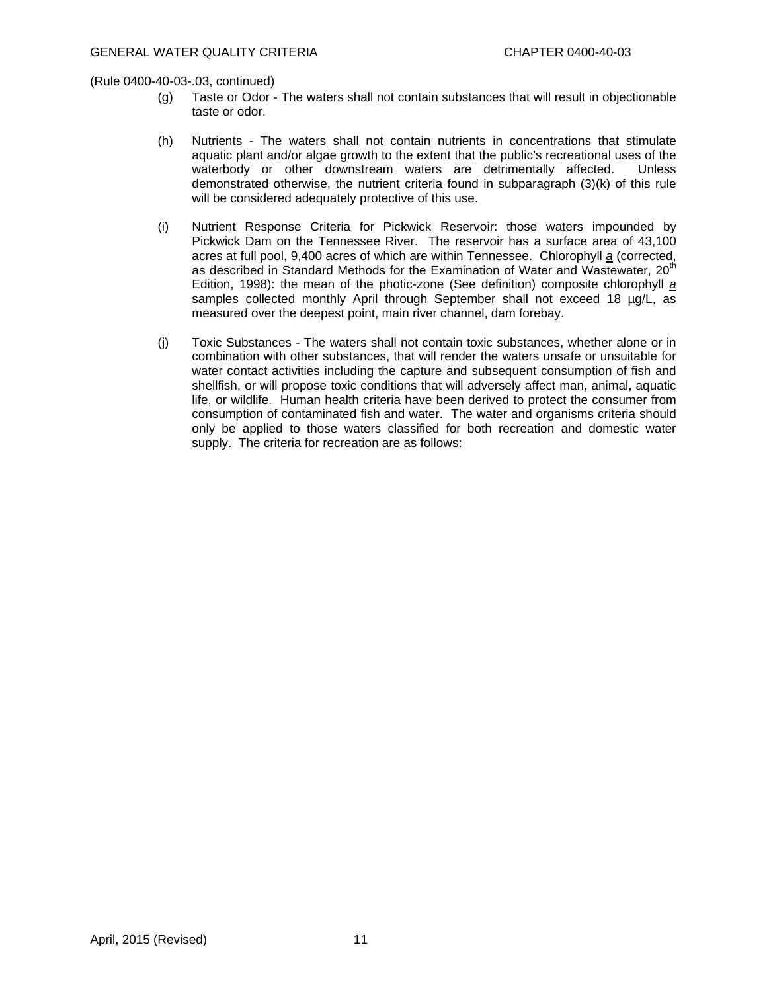- (g) Taste or Odor The waters shall not contain substances that will result in objectionable taste or odor.
- (h) Nutrients The waters shall not contain nutrients in concentrations that stimulate aquatic plant and/or algae growth to the extent that the public's recreational uses of the waterbody or other downstream waters are detrimentally affected. Unless demonstrated otherwise, the nutrient criteria found in subparagraph (3)(k) of this rule will be considered adequately protective of this use.
- (i) Nutrient Response Criteria for Pickwick Reservoir: those waters impounded by Pickwick Dam on the Tennessee River. The reservoir has a surface area of 43,100 acres at full pool, 9,400 acres of which are within Tennessee. Chlorophyll *a* (corrected, as described in Standard Methods for the Examination of Water and Wastewater,  $20<sup>th</sup>$ Edition, 1998): the mean of the photic-zone (See definition) composite chlorophyll *a* samples collected monthly April through September shall not exceed 18 µg/L, as measured over the deepest point, main river channel, dam forebay.
- (j) Toxic Substances The waters shall not contain toxic substances, whether alone or in combination with other substances, that will render the waters unsafe or unsuitable for water contact activities including the capture and subsequent consumption of fish and shellfish, or will propose toxic conditions that will adversely affect man, animal, aquatic life, or wildlife. Human health criteria have been derived to protect the consumer from consumption of contaminated fish and water. The water and organisms criteria should only be applied to those waters classified for both recreation and domestic water supply. The criteria for recreation are as follows: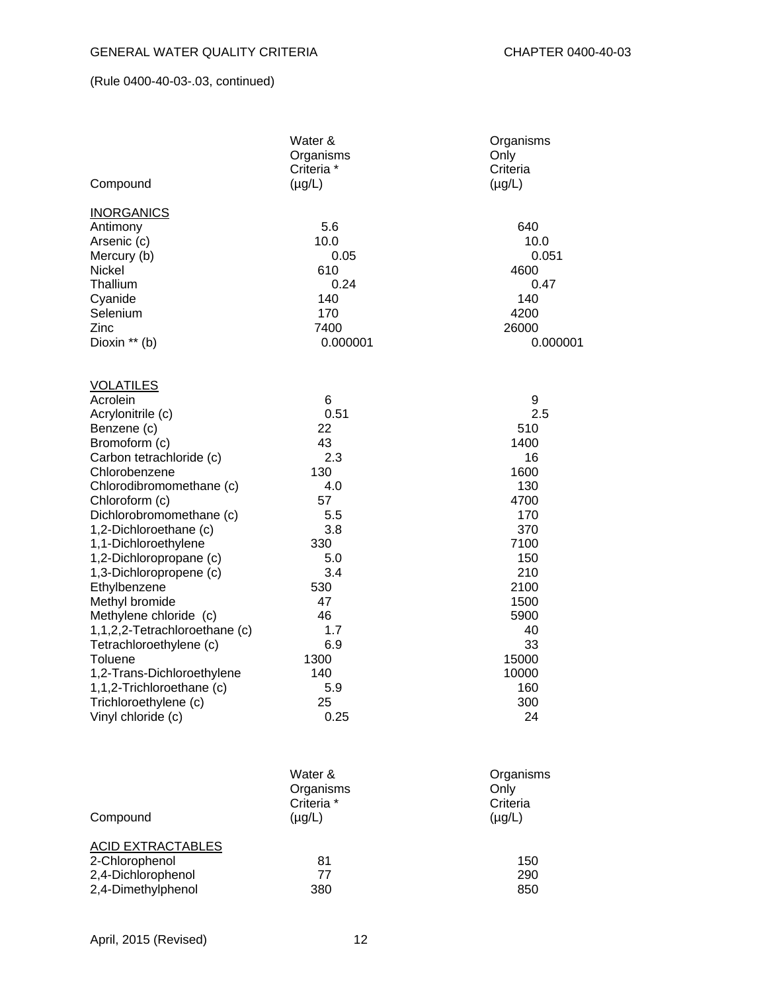|                                                    | Water &<br>Organisms<br>Criteria <sup>*</sup> | Organisms<br>Only<br>Criteria |
|----------------------------------------------------|-----------------------------------------------|-------------------------------|
| Compound                                           | $(\mu g/L)$                                   | $(\mu g/L)$                   |
| <b>INORGANICS</b>                                  |                                               |                               |
| Antimony                                           | 5.6                                           | 640                           |
| Arsenic (c)                                        | 10.0                                          | 10.0                          |
| Mercury (b)                                        | 0.05                                          | 0.051                         |
| Nickel                                             | 610                                           | 4600                          |
| Thallium                                           | 0.24<br>140                                   | 0.47<br>140                   |
| Cyanide<br>Selenium                                | 170                                           | 4200                          |
| Zinc                                               | 7400                                          | 26000                         |
| Dioxin ** (b)                                      | 0.000001                                      | 0.000001                      |
| <b>VOLATILES</b>                                   |                                               |                               |
| Acrolein                                           | 6                                             | 9                             |
| Acrylonitrile (c)                                  | 0.51                                          | 2.5                           |
| Benzene (c)                                        | 22                                            | 510                           |
| Bromoform (c)                                      | 43                                            | 1400                          |
| Carbon tetrachloride (c)                           | 2.3                                           | 16                            |
| Chlorobenzene                                      | 130                                           | 1600                          |
| Chlorodibromomethane (c)                           | 4.0                                           | 130                           |
| Chloroform (c)                                     | 57                                            | 4700                          |
| Dichlorobromomethane (c)                           | 5.5                                           | 170                           |
| 1,2-Dichloroethane (c)                             | 3.8                                           | 370                           |
| 1,1-Dichloroethylene                               | 330                                           | 7100                          |
| 1,2-Dichloropropane (c)<br>1,3-Dichloropropene (c) | 5.0<br>3.4                                    | 150<br>210                    |
| Ethylbenzene                                       | 530                                           | 2100                          |
| Methyl bromide                                     | 47                                            | 1500                          |
| Methylene chloride (c)                             | 46                                            | 5900                          |
| 1,1,2,2-Tetrachloroethane (c)                      | 1.7                                           | 40                            |
| Tetrachloroethylene (c)                            | 6.9                                           | 33                            |
| Toluene                                            | 1300                                          | 15000                         |
| 1,2-Trans-Dichloroethylene                         | 140                                           | 10000                         |
| 1,1,2-Trichloroethane (c)                          | 5.9                                           | 160                           |
| Trichloroethylene (c)                              | 25                                            | 300                           |
| Vinyl chloride (c)                                 | 0.25                                          | 24                            |
|                                                    |                                               |                               |
|                                                    | Water &<br>Organisms                          | Organisms<br>Only             |
|                                                    | Criteria *                                    | Criteria                      |
| Compound                                           | $(\mu g/L)$                                   | $(\mu g/L)$                   |
| <b>ACID EXTRACTABLES</b>                           |                                               |                               |
| 2-Chlorophenol                                     | 81                                            | 150                           |

2,4-Dichlorophenol 77 290 2,4-Dimethylphenol 380 850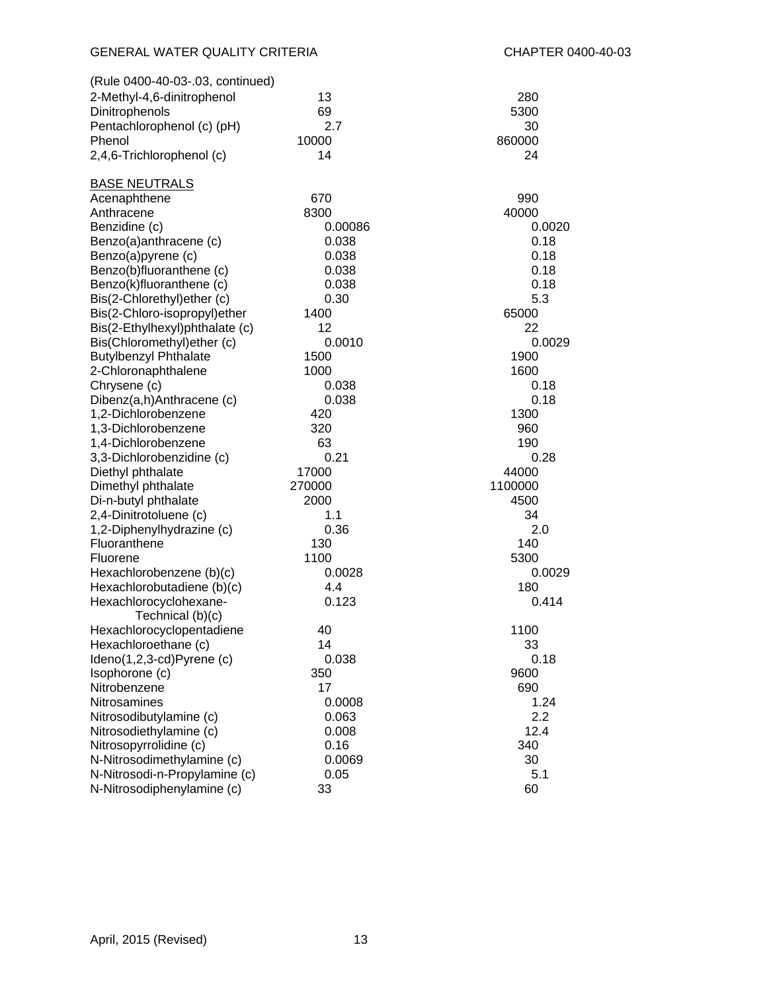| (Rule 0400-40-03-.03, continued) |         |         |
|----------------------------------|---------|---------|
| 2-Methyl-4,6-dinitrophenol       | 13      | 280     |
| Dinitrophenols                   | 69      | 5300    |
| Pentachlorophenol (c) (pH)       | 2.7     | 30      |
| Phenol                           | 10000   | 860000  |
| 2,4,6-Trichlorophenol (c)        | 14      | 24      |
|                                  |         |         |
| <b>BASE NEUTRALS</b>             |         |         |
| Acenaphthene                     | 670     | 990     |
| Anthracene                       | 8300    | 40000   |
| Benzidine (c)                    | 0.00086 | 0.0020  |
| Benzo(a)anthracene (c)           | 0.038   | 0.18    |
| Benzo(a)pyrene (c)               | 0.038   | 0.18    |
| Benzo(b)fluoranthene (c)         | 0.038   | 0.18    |
| Benzo(k)fluoranthene (c)         | 0.038   | 0.18    |
| Bis(2-Chlorethyl)ether (c)       | 0.30    | 5.3     |
| Bis(2-Chloro-isopropyl)ether     | 1400    | 65000   |
| Bis(2-Ethylhexyl)phthalate (c)   | 12      | 22      |
| Bis(Chloromethyl) ether (c)      | 0.0010  | 0.0029  |
| <b>Butylbenzyl Phthalate</b>     | 1500    | 1900    |
| 2-Chloronaphthalene              | 1000    | 1600    |
| Chrysene (c)                     | 0.038   | 0.18    |
| Dibenz(a,h)Anthracene (c)        | 0.038   | 0.18    |
| 1,2-Dichlorobenzene              | 420     | 1300    |
| 1,3-Dichlorobenzene              | 320     | 960     |
| 1,4-Dichlorobenzene              | 63      | 190     |
| 3,3-Dichlorobenzidine (c)        | 0.21    | 0.28    |
| Diethyl phthalate                | 17000   | 44000   |
| Dimethyl phthalate               | 270000  | 1100000 |
| Di-n-butyl phthalate             | 2000    | 4500    |
| 2,4-Dinitrotoluene (c)           | 1.1     | 34      |
| 1,2-Diphenylhydrazine (c)        | 0.36    | 2.0     |
| Fluoranthene                     | 130     | 140     |
| Fluorene                         | 1100    | 5300    |
| Hexachlorobenzene (b)(c)         | 0.0028  | 0.0029  |
| Hexachlorobutadiene (b)(c)       | 4.4     | 180     |
| Hexachlorocyclohexane-           | 0.123   | 0.414   |
| Technical (b)(c)                 |         |         |
| Hexachlorocyclopentadiene        | 40      | 1100    |
| Hexachloroethane (c)             | 14      | 33      |
| Ideno(1,2,3-cd)Pyrene (c)        | 0.038   | 0.18    |
| Isophorone (c)                   | 350     | 9600    |
| Nitrobenzene                     | 17      | 690     |
| Nitrosamines                     | 0.0008  | 1.24    |
| Nitrosodibutylamine (c)          | 0.063   | 2.2     |
| Nitrosodiethylamine (c)          | 0.008   | 12.4    |
| Nitrosopyrrolidine (c)           | 0.16    | 340     |
| N-Nitrosodimethylamine (c)       | 0.0069  | 30      |
| N-Nitrosodi-n-Propylamine (c)    | 0.05    | 5.1     |
| N-Nitrosodiphenylamine (c)       | 33      | 60      |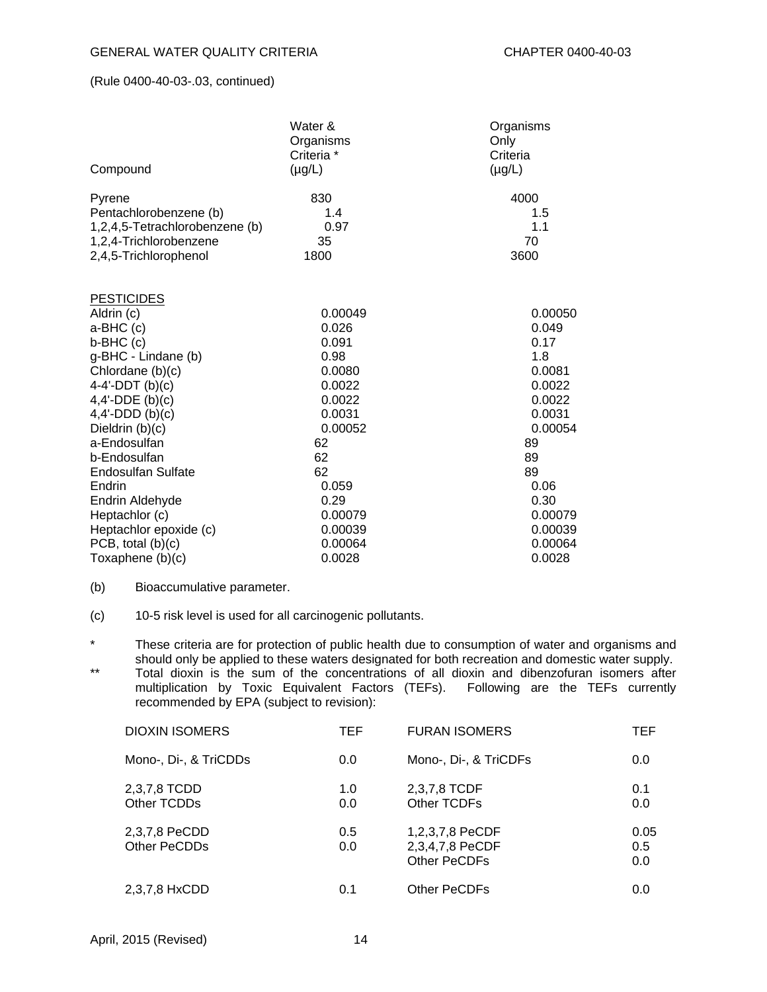| Compound                         | Water &<br>Organisms<br>Criteria *<br>$(\mu g/L)$ | Organisms<br>Only<br>Criteria<br>$(\mu g/L)$ |
|----------------------------------|---------------------------------------------------|----------------------------------------------|
| Pyrene<br>Pentachlorobenzene (b) | 830<br>1.4                                        | 4000<br>1.5                                  |
| 1,2,4,5-Tetrachlorobenzene (b)   | 0.97                                              | 1.1                                          |
| 1,2,4-Trichlorobenzene           | 35                                                | 70                                           |
| 2,4,5-Trichlorophenol            | 1800                                              | 3600                                         |
| <b>PESTICIDES</b>                |                                                   |                                              |
| Aldrin (c)                       | 0.00049                                           | 0.00050                                      |
| a-BHC (c)                        | 0.026                                             | 0.049                                        |
| $b-BHC(c)$                       | 0.091                                             | 0.17                                         |
| g-BHC - Lindane (b)              | 0.98                                              | 1.8                                          |
| Chlordane (b)(c)                 | 0.0080                                            | 0.0081                                       |
| 4-4'-DDT $(b)(c)$                | 0.0022                                            | 0.0022                                       |
| $4,4'$ -DDE (b)(c)               | 0.0022                                            | 0.0022                                       |
| $4,4'-DD(D(b)(c)$                | 0.0031                                            | 0.0031                                       |
| Dieldrin (b)(c)                  | 0.00052                                           | 0.00054                                      |
| a-Endosulfan                     | 62                                                | 89                                           |
| b-Endosulfan                     | 62                                                | 89                                           |
| <b>Endosulfan Sulfate</b>        | 62                                                | 89                                           |
| Endrin                           | 0.059                                             | 0.06                                         |
| Endrin Aldehyde                  | 0.29                                              | 0.30                                         |
| Heptachlor (c)                   | 0.00079                                           | 0.00079                                      |
| Heptachlor epoxide (c)           | 0.00039                                           | 0.00039                                      |
| PCB, total $(b)(c)$              | 0.00064                                           | 0.00064                                      |
| Toxaphene (b)(c)                 | 0.0028                                            | 0.0028                                       |

- (b) Bioaccumulative parameter.
- (c) 10-5 risk level is used for all carcinogenic pollutants.

\* These criteria are for protection of public health due to consumption of water and organisms and should only be applied to these waters designated for both recreation and domestic water supply.

\*\* Total dioxin is the sum of the concentrations of all dioxin and dibenzofuran isomers after multiplication by Toxic Equivalent Factors (TEFs). Following are the TEFs currently recommended by EPA (subject to revision):

| <b>DIOXIN ISOMERS</b>         | TEF        | <b>FURAN ISOMERS</b>                               | TEF.               |
|-------------------------------|------------|----------------------------------------------------|--------------------|
| Mono-, Di-, & TriCDDs         | 0.0        | Mono-, Di-, & TriCDFs                              | 0.0                |
| 2,3,7,8 TCDD<br>Other TCDDs   | 1.0<br>0.0 | 2,3,7,8 TCDF<br>Other TCDFs                        | 0.1<br>0.0         |
| 2,3,7,8 PeCDD<br>Other PeCDDs | 0.5<br>0.0 | 1,2,3,7,8 PeCDF<br>2,3,4,7,8 PeCDF<br>Other PeCDFs | 0.05<br>0.5<br>0.0 |
| 2,3,7,8 HxCDD                 | 0.1        | <b>Other PeCDFs</b>                                | 0.0                |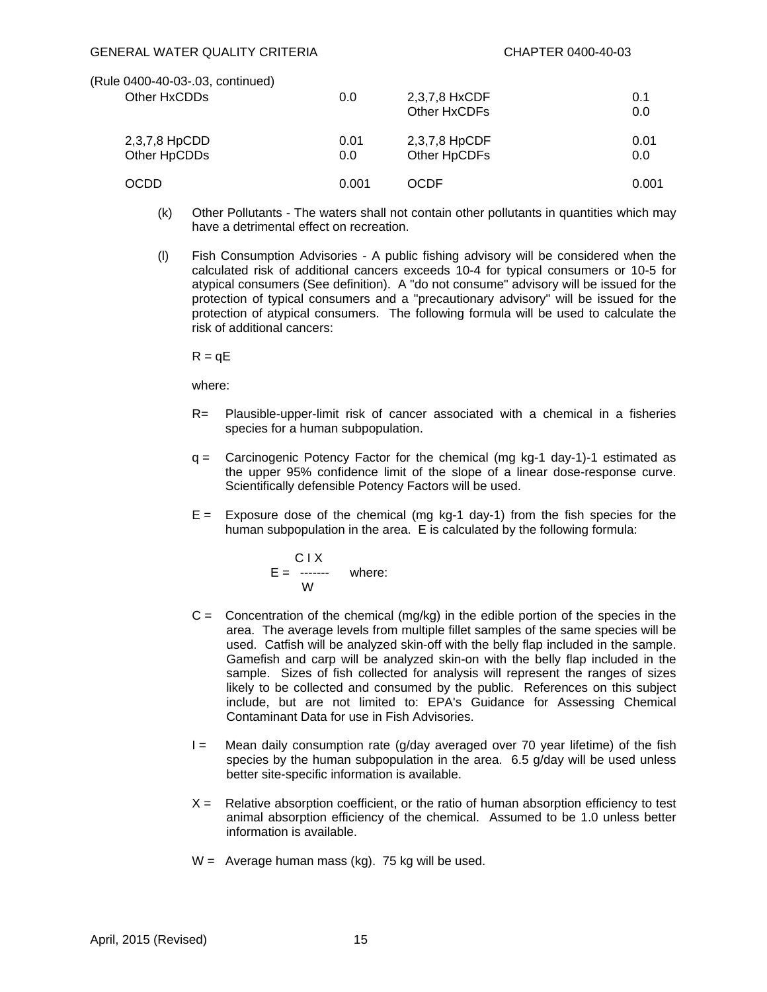| (Rule 0400-40-03-.03, continued) |       |               |       |
|----------------------------------|-------|---------------|-------|
| Other HxCDDs                     | 0.0   | 2,3,7,8 HxCDF | 0.1   |
|                                  |       | Other HxCDFs  | 0.0   |
| 2,3,7,8 HpCDD                    | 0.01  | 2,3,7,8 HpCDF | 0.01  |
| Other HpCDDs                     | 0.0   | Other HpCDFs  | 0.0   |
| <b>OCDD</b>                      | 0.001 | OCDF          | 0.001 |

- (k) Other Pollutants The waters shall not contain other pollutants in quantities which may have a detrimental effect on recreation.
- (l) Fish Consumption Advisories A public fishing advisory will be considered when the calculated risk of additional cancers exceeds 10-4 for typical consumers or 10-5 for atypical consumers (See definition). A "do not consume" advisory will be issued for the protection of typical consumers and a "precautionary advisory" will be issued for the protection of atypical consumers. The following formula will be used to calculate the risk of additional cancers:

 $R = qE$ 

where:

- R= Plausible-upper-limit risk of cancer associated with a chemical in a fisheries species for a human subpopulation.
- q = Carcinogenic Potency Factor for the chemical (mg kg-1 day-1)-1 estimated as the upper 95% confidence limit of the slope of a linear dose-response curve. Scientifically defensible Potency Factors will be used.
- $E =$  Exposure dose of the chemical (mg kg-1 day-1) from the fish species for the human subpopulation in the area. E is calculated by the following formula:

$$
E = \begin{matrix} C & 1 & X \\ - & - & \text{where:} \\ W & 1 & 1 \end{matrix}
$$

- $C =$  Concentration of the chemical (mg/kg) in the edible portion of the species in the area. The average levels from multiple fillet samples of the same species will be used. Catfish will be analyzed skin-off with the belly flap included in the sample. Gamefish and carp will be analyzed skin-on with the belly flap included in the sample. Sizes of fish collected for analysis will represent the ranges of sizes likely to be collected and consumed by the public. References on this subject include, but are not limited to: EPA's Guidance for Assessing Chemical Contaminant Data for use in Fish Advisories.
- $I =$  Mean daily consumption rate (g/day averaged over 70 year lifetime) of the fish species by the human subpopulation in the area. 6.5 g/day will be used unless better site-specific information is available.
- $X =$  Relative absorption coefficient, or the ratio of human absorption efficiency to test animal absorption efficiency of the chemical. Assumed to be 1.0 unless better information is available.
- $W =$  Average human mass (kg). 75 kg will be used.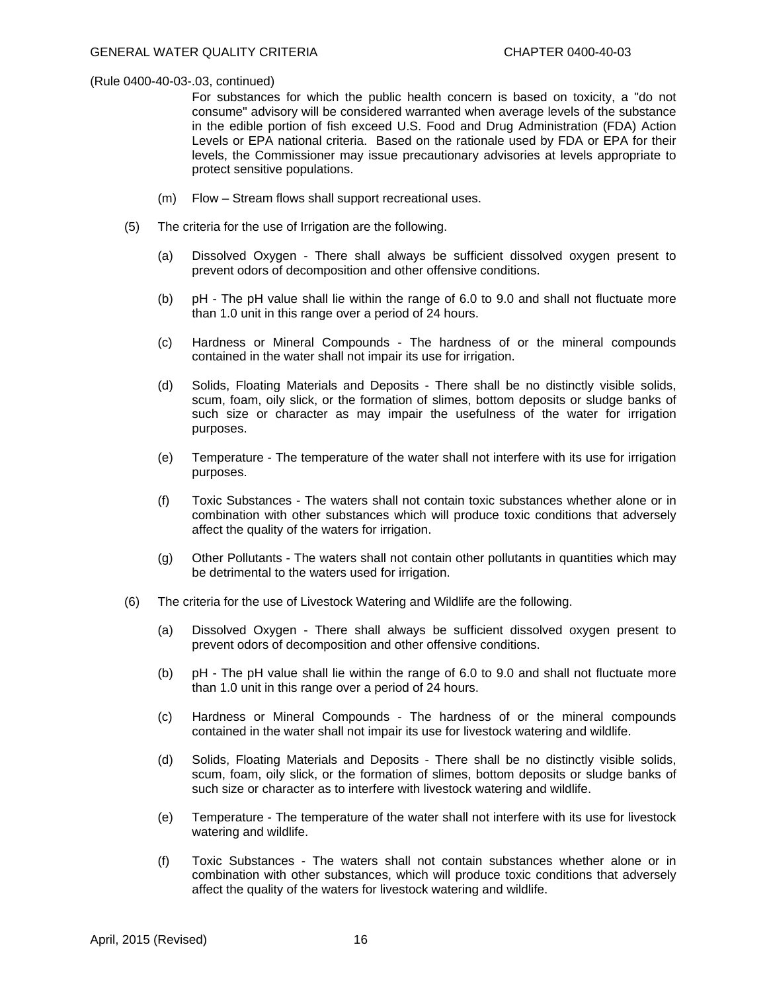For substances for which the public health concern is based on toxicity, a "do not consume" advisory will be considered warranted when average levels of the substance in the edible portion of fish exceed U.S. Food and Drug Administration (FDA) Action Levels or EPA national criteria. Based on the rationale used by FDA or EPA for their levels, the Commissioner may issue precautionary advisories at levels appropriate to protect sensitive populations.

- (m) Flow Stream flows shall support recreational uses.
- (5) The criteria for the use of Irrigation are the following.
	- (a) Dissolved Oxygen There shall always be sufficient dissolved oxygen present to prevent odors of decomposition and other offensive conditions.
	- (b) pH The pH value shall lie within the range of 6.0 to 9.0 and shall not fluctuate more than 1.0 unit in this range over a period of 24 hours.
	- (c) Hardness or Mineral Compounds The hardness of or the mineral compounds contained in the water shall not impair its use for irrigation.
	- (d) Solids, Floating Materials and Deposits There shall be no distinctly visible solids, scum, foam, oily slick, or the formation of slimes, bottom deposits or sludge banks of such size or character as may impair the usefulness of the water for irrigation purposes.
	- (e) Temperature The temperature of the water shall not interfere with its use for irrigation purposes.
	- (f) Toxic Substances The waters shall not contain toxic substances whether alone or in combination with other substances which will produce toxic conditions that adversely affect the quality of the waters for irrigation.
	- (g) Other Pollutants The waters shall not contain other pollutants in quantities which may be detrimental to the waters used for irrigation.
- (6) The criteria for the use of Livestock Watering and Wildlife are the following.
	- (a) Dissolved Oxygen There shall always be sufficient dissolved oxygen present to prevent odors of decomposition and other offensive conditions.
	- (b) pH The pH value shall lie within the range of 6.0 to 9.0 and shall not fluctuate more than 1.0 unit in this range over a period of 24 hours.
	- (c) Hardness or Mineral Compounds The hardness of or the mineral compounds contained in the water shall not impair its use for livestock watering and wildlife.
	- (d) Solids, Floating Materials and Deposits There shall be no distinctly visible solids, scum, foam, oily slick, or the formation of slimes, bottom deposits or sludge banks of such size or character as to interfere with livestock watering and wildlife.
	- (e) Temperature The temperature of the water shall not interfere with its use for livestock watering and wildlife.
	- (f) Toxic Substances The waters shall not contain substances whether alone or in combination with other substances, which will produce toxic conditions that adversely affect the quality of the waters for livestock watering and wildlife.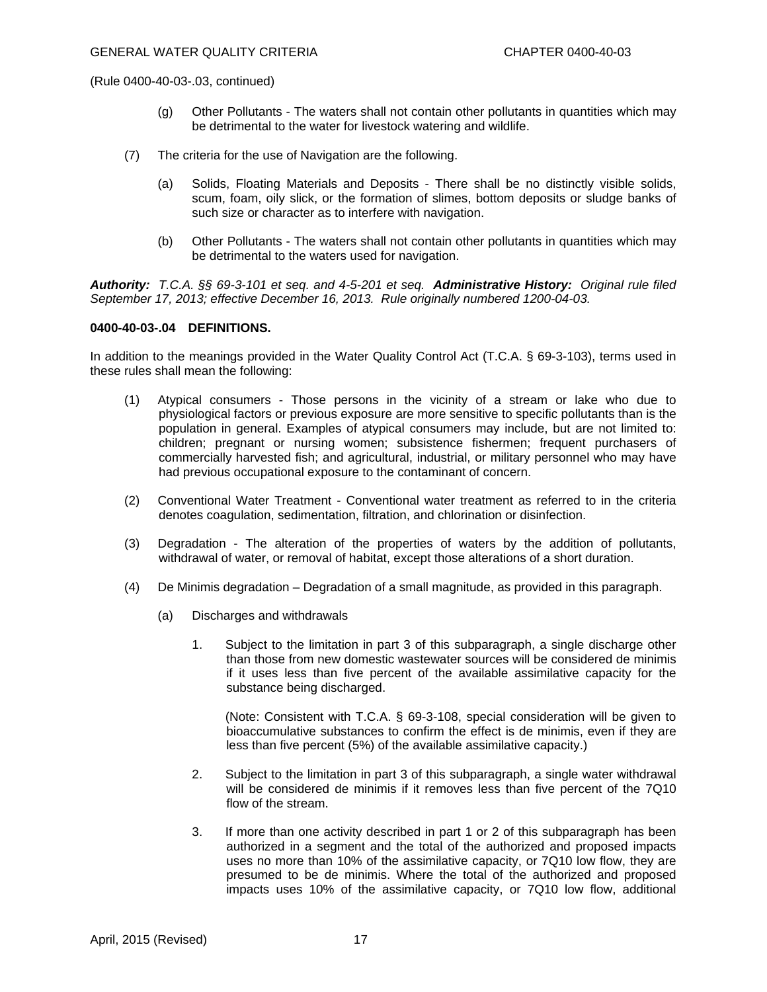- (g) Other Pollutants The waters shall not contain other pollutants in quantities which may be detrimental to the water for livestock watering and wildlife.
- (7) The criteria for the use of Navigation are the following.
	- (a) Solids, Floating Materials and Deposits There shall be no distinctly visible solids, scum, foam, oily slick, or the formation of slimes, bottom deposits or sludge banks of such size or character as to interfere with navigation.
	- (b) Other Pollutants The waters shall not contain other pollutants in quantities which may be detrimental to the waters used for navigation.

*Authority: T.C.A. §§ 69-3-101 et seq. and 4-5-201 et seq. Administrative History: Original rule filed September 17, 2013; effective December 16, 2013. Rule originally numbered 1200-04-03.* 

#### **0400-40-03-.04 DEFINITIONS.**

In addition to the meanings provided in the Water Quality Control Act (T.C.A. § 69-3-103), terms used in these rules shall mean the following:

- (1) Atypical consumers Those persons in the vicinity of a stream or lake who due to physiological factors or previous exposure are more sensitive to specific pollutants than is the population in general. Examples of atypical consumers may include, but are not limited to: children; pregnant or nursing women; subsistence fishermen; frequent purchasers of commercially harvested fish; and agricultural, industrial, or military personnel who may have had previous occupational exposure to the contaminant of concern.
- (2) Conventional Water Treatment Conventional water treatment as referred to in the criteria denotes coagulation, sedimentation, filtration, and chlorination or disinfection.
- (3) Degradation The alteration of the properties of waters by the addition of pollutants, withdrawal of water, or removal of habitat, except those alterations of a short duration.
- (4) De Minimis degradation Degradation of a small magnitude, as provided in this paragraph.
	- (a) Discharges and withdrawals
		- 1. Subject to the limitation in part 3 of this subparagraph, a single discharge other than those from new domestic wastewater sources will be considered de minimis if it uses less than five percent of the available assimilative capacity for the substance being discharged.

 (Note: Consistent with T.C.A. § 69-3-108, special consideration will be given to bioaccumulative substances to confirm the effect is de minimis, even if they are less than five percent (5%) of the available assimilative capacity.)

- 2. Subject to the limitation in part 3 of this subparagraph, a single water withdrawal will be considered de minimis if it removes less than five percent of the 7Q10 flow of the stream.
- 3. If more than one activity described in part 1 or 2 of this subparagraph has been authorized in a segment and the total of the authorized and proposed impacts uses no more than 10% of the assimilative capacity, or 7Q10 low flow, they are presumed to be de minimis. Where the total of the authorized and proposed impacts uses 10% of the assimilative capacity, or 7Q10 low flow, additional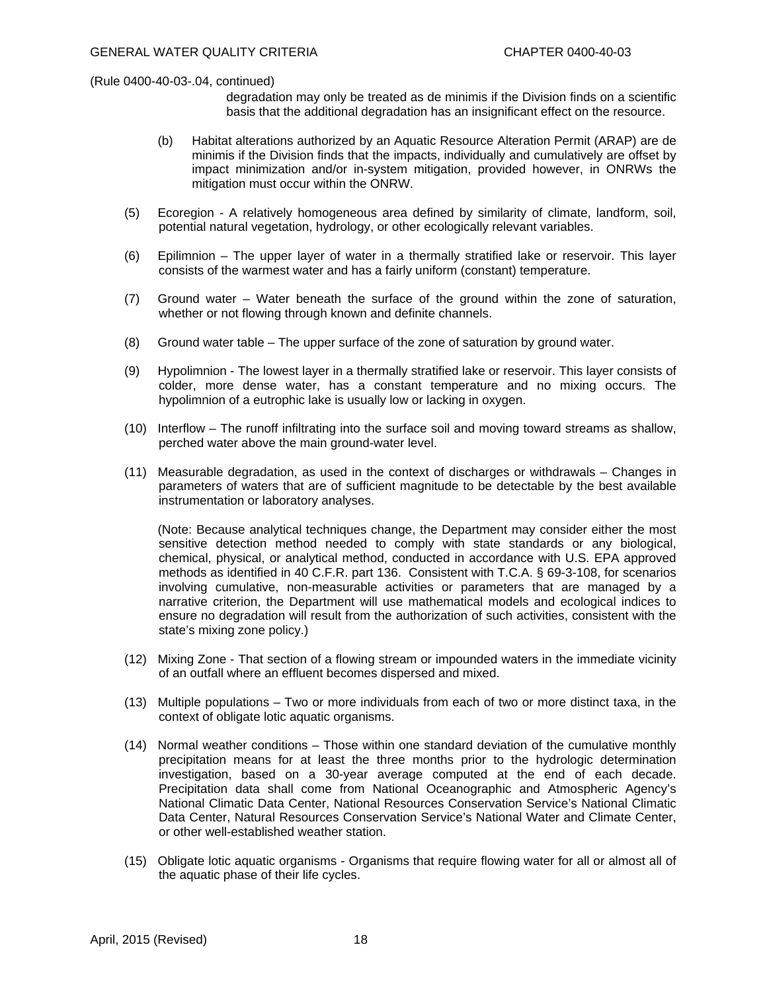- degradation may only be treated as de minimis if the Division finds on a scientific basis that the additional degradation has an insignificant effect on the resource.
- (b) Habitat alterations authorized by an Aquatic Resource Alteration Permit (ARAP) are de minimis if the Division finds that the impacts, individually and cumulatively are offset by impact minimization and/or in-system mitigation, provided however, in ONRWs the mitigation must occur within the ONRW.
- (5) Ecoregion A relatively homogeneous area defined by similarity of climate, landform, soil, potential natural vegetation, hydrology, or other ecologically relevant variables.
- (6) Epilimnion The upper layer of water in a thermally stratified lake or reservoir. This layer consists of the warmest water and has a fairly uniform (constant) temperature.
- (7) Ground water Water beneath the surface of the ground within the zone of saturation, whether or not flowing through known and definite channels.
- (8) Ground water table The upper surface of the zone of saturation by ground water.
- (9) Hypolimnion The lowest layer in a thermally stratified lake or reservoir. This layer consists of colder, more dense water, has a constant temperature and no mixing occurs. The hypolimnion of a eutrophic lake is usually low or lacking in oxygen.
- (10) Interflow The runoff infiltrating into the surface soil and moving toward streams as shallow, perched water above the main ground-water level.
- (11) Measurable degradation, as used in the context of discharges or withdrawals Changes in parameters of waters that are of sufficient magnitude to be detectable by the best available instrumentation or laboratory analyses.

 (Note: Because analytical techniques change, the Department may consider either the most sensitive detection method needed to comply with state standards or any biological, chemical, physical, or analytical method, conducted in accordance with U.S. EPA approved methods as identified in 40 C.F.R. part 136. Consistent with T.C.A. § 69-3-108, for scenarios involving cumulative, non-measurable activities or parameters that are managed by a narrative criterion, the Department will use mathematical models and ecological indices to ensure no degradation will result from the authorization of such activities, consistent with the state's mixing zone policy.)

- (12) Mixing Zone That section of a flowing stream or impounded waters in the immediate vicinity of an outfall where an effluent becomes dispersed and mixed.
- (13) Multiple populations Two or more individuals from each of two or more distinct taxa, in the context of obligate lotic aquatic organisms.
- (14) Normal weather conditions Those within one standard deviation of the cumulative monthly precipitation means for at least the three months prior to the hydrologic determination investigation, based on a 30-year average computed at the end of each decade. Precipitation data shall come from National Oceanographic and Atmospheric Agency's National Climatic Data Center, National Resources Conservation Service's National Climatic Data Center, Natural Resources Conservation Service's National Water and Climate Center, or other well-established weather station.
- (15) Obligate lotic aquatic organisms Organisms that require flowing water for all or almost all of the aquatic phase of their life cycles.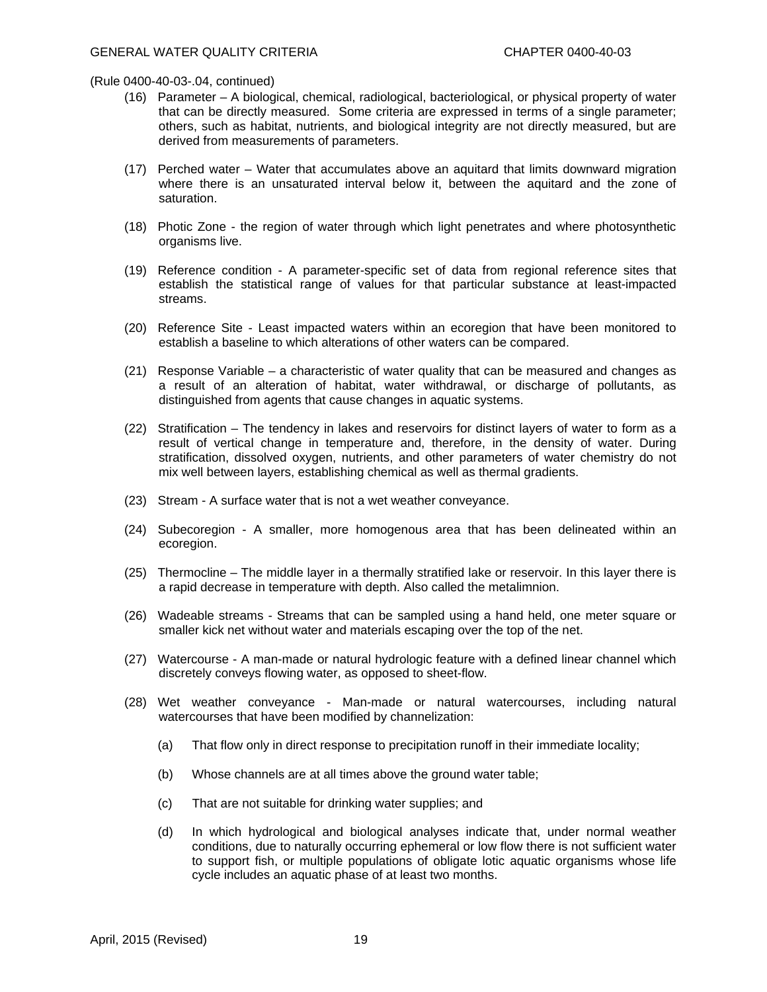- (16) Parameter A biological, chemical, radiological, bacteriological, or physical property of water that can be directly measured. Some criteria are expressed in terms of a single parameter; others, such as habitat, nutrients, and biological integrity are not directly measured, but are derived from measurements of parameters.
- (17) Perched water Water that accumulates above an aquitard that limits downward migration where there is an unsaturated interval below it, between the aquitard and the zone of saturation.
- (18) Photic Zone the region of water through which light penetrates and where photosynthetic organisms live.
- (19) Reference condition A parameter-specific set of data from regional reference sites that establish the statistical range of values for that particular substance at least-impacted streams.
- (20) Reference Site Least impacted waters within an ecoregion that have been monitored to establish a baseline to which alterations of other waters can be compared.
- (21) Response Variable a characteristic of water quality that can be measured and changes as a result of an alteration of habitat, water withdrawal, or discharge of pollutants, as distinguished from agents that cause changes in aquatic systems.
- (22) Stratification The tendency in lakes and reservoirs for distinct layers of water to form as a result of vertical change in temperature and, therefore, in the density of water. During stratification, dissolved oxygen, nutrients, and other parameters of water chemistry do not mix well between layers, establishing chemical as well as thermal gradients.
- (23) Stream A surface water that is not a wet weather conveyance.
- (24) Subecoregion A smaller, more homogenous area that has been delineated within an ecoregion.
- (25) Thermocline The middle layer in a thermally stratified lake or reservoir. In this layer there is a rapid decrease in temperature with depth. Also called the metalimnion.
- (26) Wadeable streams Streams that can be sampled using a hand held, one meter square or smaller kick net without water and materials escaping over the top of the net.
- (27) Watercourse A man-made or natural hydrologic feature with a defined linear channel which discretely conveys flowing water, as opposed to sheet-flow.
- (28) Wet weather conveyance Man-made or natural watercourses, including natural watercourses that have been modified by channelization:
	- (a) That flow only in direct response to precipitation runoff in their immediate locality;
	- (b) Whose channels are at all times above the ground water table;
	- (c) That are not suitable for drinking water supplies; and
	- (d) In which hydrological and biological analyses indicate that, under normal weather conditions, due to naturally occurring ephemeral or low flow there is not sufficient water to support fish, or multiple populations of obligate lotic aquatic organisms whose life cycle includes an aquatic phase of at least two months.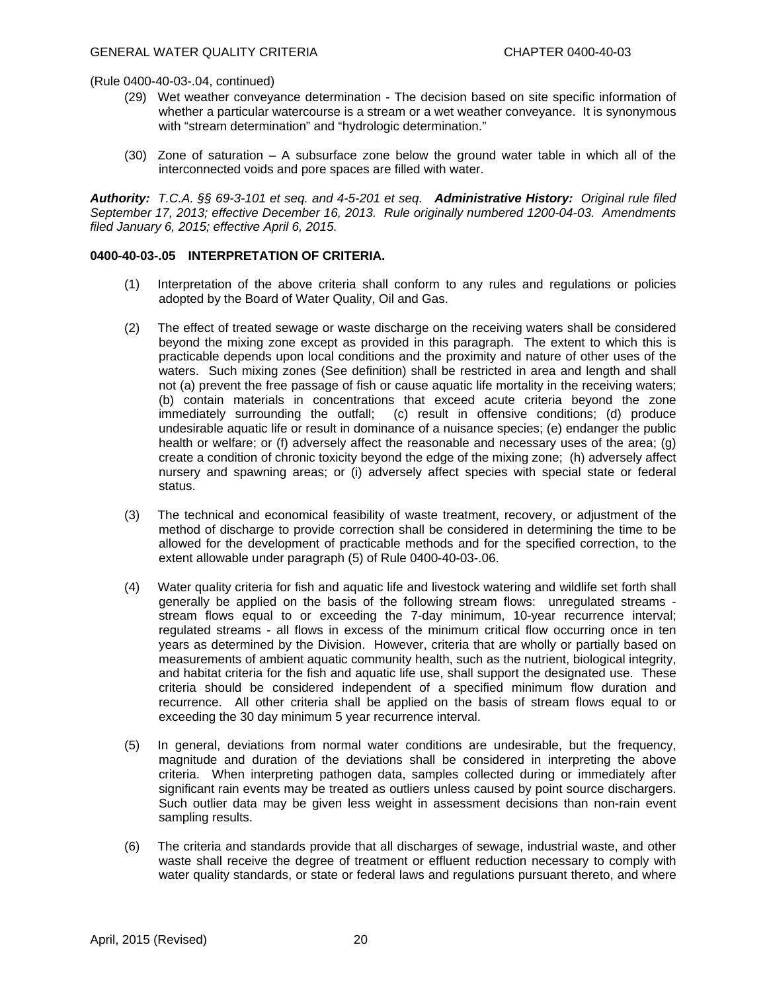- (29) Wet weather conveyance determination The decision based on site specific information of whether a particular watercourse is a stream or a wet weather conveyance. It is synonymous with "stream determination" and "hydrologic determination."
- (30) Zone of saturation A subsurface zone below the ground water table in which all of the interconnected voids and pore spaces are filled with water.

*Authority: T.C.A. §§ 69-3-101 et seq. and 4-5-201 et seq. Administrative History: Original rule filed September 17, 2013; effective December 16, 2013. Rule originally numbered 1200-04-03. Amendments filed January 6, 2015; effective April 6, 2015.* 

### **0400-40-03-.05 INTERPRETATION OF CRITERIA.**

- (1) Interpretation of the above criteria shall conform to any rules and regulations or policies adopted by the Board of Water Quality, Oil and Gas.
- (2) The effect of treated sewage or waste discharge on the receiving waters shall be considered beyond the mixing zone except as provided in this paragraph. The extent to which this is practicable depends upon local conditions and the proximity and nature of other uses of the waters. Such mixing zones (See definition) shall be restricted in area and length and shall not (a) prevent the free passage of fish or cause aquatic life mortality in the receiving waters; (b) contain materials in concentrations that exceed acute criteria beyond the zone immediately surrounding the outfall; (c) result in offensive conditions; (d) produce undesirable aquatic life or result in dominance of a nuisance species; (e) endanger the public health or welfare; or (f) adversely affect the reasonable and necessary uses of the area; (g) create a condition of chronic toxicity beyond the edge of the mixing zone; (h) adversely affect nursery and spawning areas; or (i) adversely affect species with special state or federal status.
- (3) The technical and economical feasibility of waste treatment, recovery, or adjustment of the method of discharge to provide correction shall be considered in determining the time to be allowed for the development of practicable methods and for the specified correction, to the extent allowable under paragraph (5) of Rule 0400-40-03-.06.
- (4) Water quality criteria for fish and aquatic life and livestock watering and wildlife set forth shall generally be applied on the basis of the following stream flows: unregulated streams stream flows equal to or exceeding the 7-day minimum, 10-year recurrence interval; regulated streams - all flows in excess of the minimum critical flow occurring once in ten years as determined by the Division. However, criteria that are wholly or partially based on measurements of ambient aquatic community health, such as the nutrient, biological integrity, and habitat criteria for the fish and aquatic life use, shall support the designated use. These criteria should be considered independent of a specified minimum flow duration and recurrence. All other criteria shall be applied on the basis of stream flows equal to or exceeding the 30 day minimum 5 year recurrence interval.
- (5) In general, deviations from normal water conditions are undesirable, but the frequency, magnitude and duration of the deviations shall be considered in interpreting the above criteria. When interpreting pathogen data, samples collected during or immediately after significant rain events may be treated as outliers unless caused by point source dischargers. Such outlier data may be given less weight in assessment decisions than non-rain event sampling results.
- (6) The criteria and standards provide that all discharges of sewage, industrial waste, and other waste shall receive the degree of treatment or effluent reduction necessary to comply with water quality standards, or state or federal laws and regulations pursuant thereto, and where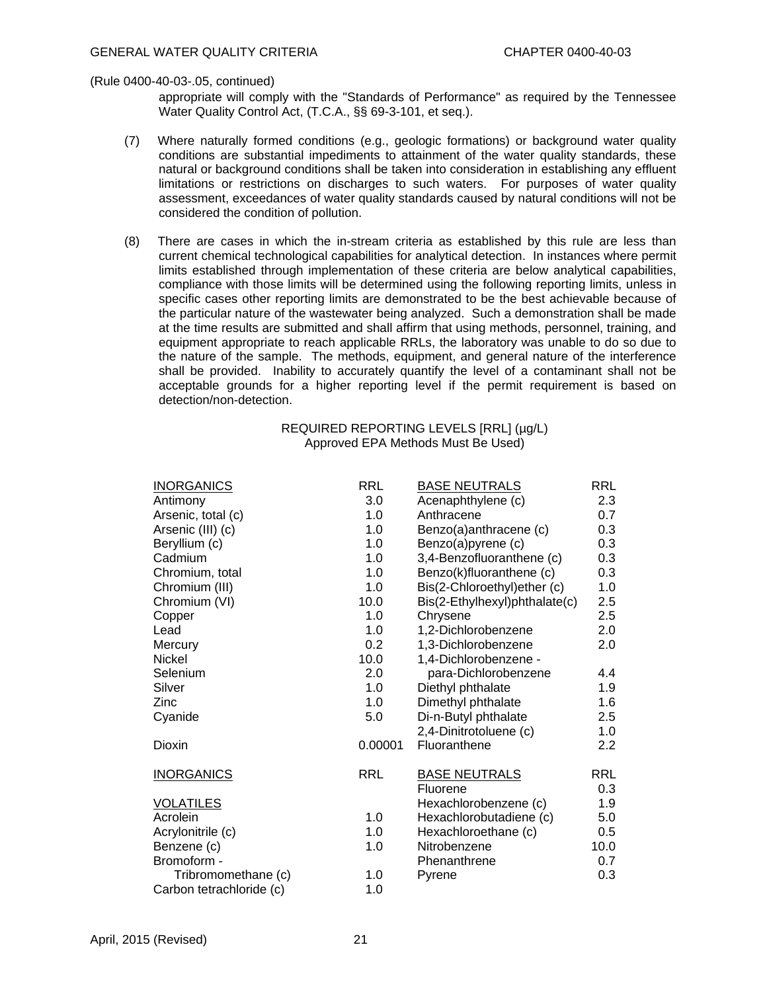appropriate will comply with the "Standards of Performance" as required by the Tennessee Water Quality Control Act, (T.C.A., §§ 69-3-101, et seq.).

- (7) Where naturally formed conditions (e.g., geologic formations) or background water quality conditions are substantial impediments to attainment of the water quality standards, these natural or background conditions shall be taken into consideration in establishing any effluent limitations or restrictions on discharges to such waters. For purposes of water quality assessment, exceedances of water quality standards caused by natural conditions will not be considered the condition of pollution.
- (8) There are cases in which the in-stream criteria as established by this rule are less than current chemical technological capabilities for analytical detection. In instances where permit limits established through implementation of these criteria are below analytical capabilities, compliance with those limits will be determined using the following reporting limits, unless in specific cases other reporting limits are demonstrated to be the best achievable because of the particular nature of the wastewater being analyzed. Such a demonstration shall be made at the time results are submitted and shall affirm that using methods, personnel, training, and equipment appropriate to reach applicable RRLs, the laboratory was unable to do so due to the nature of the sample. The methods, equipment, and general nature of the interference shall be provided. Inability to accurately quantify the level of a contaminant shall not be acceptable grounds for a higher reporting level if the permit requirement is based on detection/non-detection.

### REQUIRED REPORTING LEVELS [RRL] (µg/L) Approved EPA Methods Must Be Used)

| <b>INORGANICS</b>        | <b>RRL</b> | <b>BASE NEUTRALS</b>          | <b>RRL</b> |
|--------------------------|------------|-------------------------------|------------|
| Antimony                 | 3.0        | Acenaphthylene (c)            | 2.3        |
| Arsenic, total (c)       | 1.0        | Anthracene                    | 0.7        |
| Arsenic (III) (c)        | 1.0        | Benzo(a)anthracene (c)        | 0.3        |
| Beryllium (c)            | 1.0        | Benzo(a)pyrene (c)            | 0.3        |
| Cadmium                  | 1.0        | 3,4-Benzofluoranthene (c)     | 0.3        |
| Chromium, total          | 1.0        | Benzo(k)fluoranthene (c)      | 0.3        |
| Chromium (III)           | 1.0        | Bis(2-Chloroethyl)ether (c)   | 1.0        |
| Chromium (VI)            | 10.0       | Bis(2-Ethylhexyl)phthalate(c) | 2.5        |
| Copper                   | 1.0        | Chrysene                      | 2.5        |
| Lead                     | 1.0        | 1,2-Dichlorobenzene           | 2.0        |
| Mercury                  | 0.2        | 1,3-Dichlorobenzene           | 2.0        |
| <b>Nickel</b>            | 10.0       | 1,4-Dichlorobenzene -         |            |
| Selenium                 | 2.0        | para-Dichlorobenzene          | 4.4        |
| Silver                   | 1.0        | Diethyl phthalate             | 1.9        |
| Zinc                     | 1.0        | Dimethyl phthalate            | 1.6        |
| Cyanide                  | 5.0        | Di-n-Butyl phthalate          | $2.5\,$    |
|                          |            | 2,4-Dinitrotoluene (c)        | 1.0        |
| Dioxin                   | 0.00001    | Fluoranthene                  | 2.2        |
|                          |            |                               |            |
| <b>INORGANICS</b>        | <b>RRL</b> | <b>BASE NEUTRALS</b>          | <b>RRL</b> |
|                          |            | Fluorene                      | 0.3        |
| <b>VOLATILES</b>         |            | Hexachlorobenzene (c)         | 1.9        |
| Acrolein                 | 1.0        | Hexachlorobutadiene (c)       | 5.0        |
| Acrylonitrile (c)        | 1.0        | Hexachloroethane (c)          | 0.5        |
| Benzene (c)              | 1.0        | Nitrobenzene                  | 10.0       |
| Bromoform -              |            | Phenanthrene                  | 0.7        |
| Tribromomethane (c)      | 1.0        | Pyrene                        | 0.3        |
| Carbon tetrachloride (c) | 1.0        |                               |            |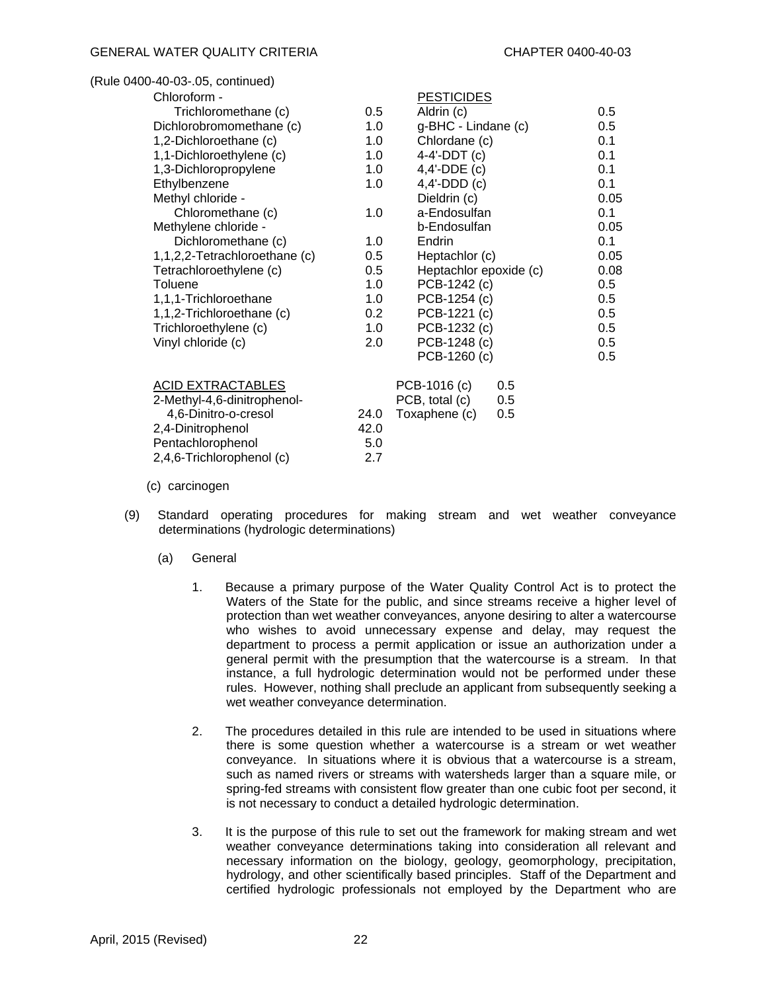| (Rule 0400-40-03-.05, continued) |      |                        |      |
|----------------------------------|------|------------------------|------|
| Chloroform -                     |      | <b>PESTICIDES</b>      |      |
| Trichloromethane (c)             | 0.5  | Aldrin (c)             | 0.5  |
| Dichlorobromomethane (c)         | 1.0  | g-BHC - Lindane (c)    | 0.5  |
| 1,2-Dichloroethane (c)           | 1.0  | Chlordane (c)          | 0.1  |
| 1,1-Dichloroethylene (c)         | 1.0  | $4-4'$ -DDT $(c)$      | 0.1  |
| 1,3-Dichloropropylene            | 1.0  | $4,4'-DDE$ (c)         | 0.1  |
| Ethylbenzene                     | 1.0  | $4,4'-DDD(c)$          | 0.1  |
| Methyl chloride -                |      | Dieldrin (c)           | 0.05 |
| Chloromethane (c)                | 1.0  | a-Endosulfan           | 0.1  |
| Methylene chloride -             |      | b-Endosulfan           | 0.05 |
| Dichloromethane (c)              | 1.0  | Endrin                 | 0.1  |
| 1,1,2,2-Tetrachloroethane (c)    | 0.5  | Heptachlor (c)         | 0.05 |
| Tetrachloroethylene (c)          | 0.5  | Heptachlor epoxide (c) | 0.08 |
| Toluene                          | 1.0  | PCB-1242 (c)           | 0.5  |
| 1,1,1-Trichloroethane            | 1.0  | PCB-1254 (c)           | 0.5  |
| 1,1,2-Trichloroethane (c)        | 0.2  | PCB-1221 (c)           | 0.5  |
| Trichloroethylene (c)            | 1.0  | PCB-1232 (c)           | 0.5  |
| Vinyl chloride (c)               | 2.0  | PCB-1248 (c)           | 0.5  |
|                                  |      | PCB-1260 (c)           | 0.5  |
| <b>ACID EXTRACTABLES</b>         |      | PCB-1016 (c)<br>0.5    |      |
| 2-Methyl-4,6-dinitrophenol-      |      | PCB, total (c)<br>0.5  |      |
| 4,6-Dinitro-o-cresol             | 24.0 | Toxaphene (c)<br>0.5   |      |
| 2,4-Dinitrophenol                | 42.0 |                        |      |
| Pentachlorophenol                | 5.0  |                        |      |
| 2,4,6-Trichlorophenol (c)        | 2.7  |                        |      |

- (c) carcinogen
- (9) Standard operating procedures for making stream and wet weather conveyance determinations (hydrologic determinations)
	- (a) General
		- 1. Because a primary purpose of the Water Quality Control Act is to protect the Waters of the State for the public, and since streams receive a higher level of protection than wet weather conveyances, anyone desiring to alter a watercourse who wishes to avoid unnecessary expense and delay, may request the department to process a permit application or issue an authorization under a general permit with the presumption that the watercourse is a stream. In that instance, a full hydrologic determination would not be performed under these rules. However, nothing shall preclude an applicant from subsequently seeking a wet weather conveyance determination.
		- 2. The procedures detailed in this rule are intended to be used in situations where there is some question whether a watercourse is a stream or wet weather conveyance. In situations where it is obvious that a watercourse is a stream, such as named rivers or streams with watersheds larger than a square mile, or spring-fed streams with consistent flow greater than one cubic foot per second, it is not necessary to conduct a detailed hydrologic determination.
		- 3. It is the purpose of this rule to set out the framework for making stream and wet weather conveyance determinations taking into consideration all relevant and necessary information on the biology, geology, geomorphology, precipitation, hydrology, and other scientifically based principles. Staff of the Department and certified hydrologic professionals not employed by the Department who are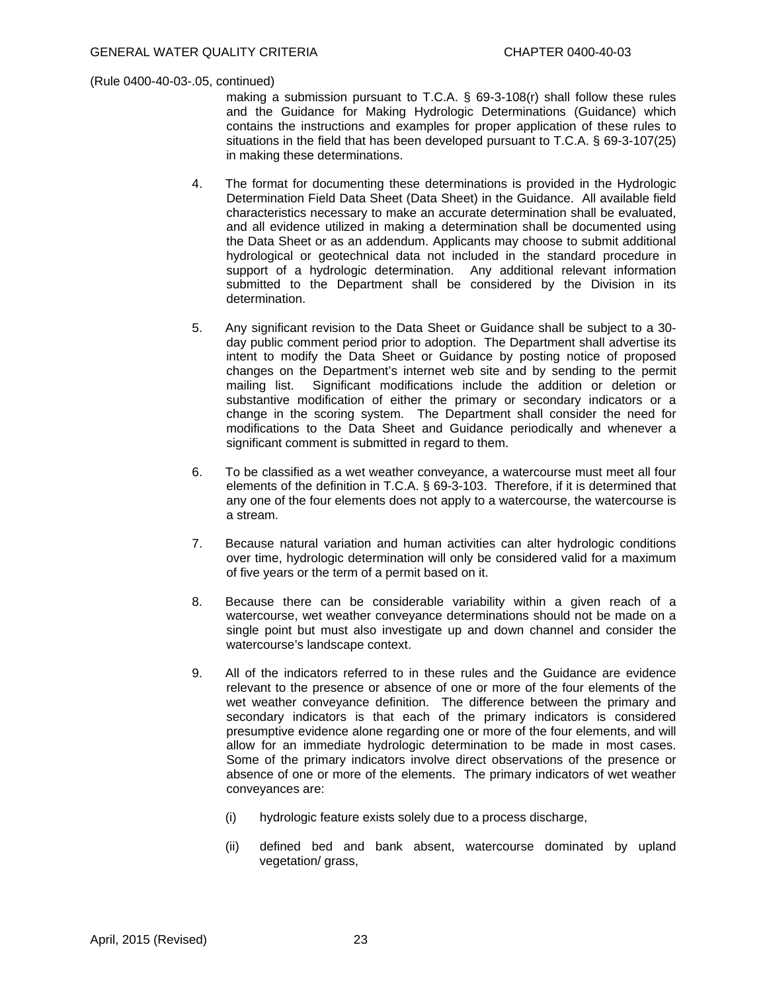making a submission pursuant to T.C.A. § 69-3-108(r) shall follow these rules and the Guidance for Making Hydrologic Determinations (Guidance) which contains the instructions and examples for proper application of these rules to situations in the field that has been developed pursuant to T.C.A. § 69-3-107(25) in making these determinations.

- 4. The format for documenting these determinations is provided in the Hydrologic Determination Field Data Sheet (Data Sheet) in the Guidance. All available field characteristics necessary to make an accurate determination shall be evaluated, and all evidence utilized in making a determination shall be documented using the Data Sheet or as an addendum. Applicants may choose to submit additional hydrological or geotechnical data not included in the standard procedure in support of a hydrologic determination. Any additional relevant information submitted to the Department shall be considered by the Division in its determination.
- 5. Any significant revision to the Data Sheet or Guidance shall be subject to a 30 day public comment period prior to adoption. The Department shall advertise its intent to modify the Data Sheet or Guidance by posting notice of proposed changes on the Department's internet web site and by sending to the permit mailing list. Significant modifications include the addition or deletion or substantive modification of either the primary or secondary indicators or a change in the scoring system. The Department shall consider the need for modifications to the Data Sheet and Guidance periodically and whenever a significant comment is submitted in regard to them.
- 6. To be classified as a wet weather conveyance, a watercourse must meet all four elements of the definition in T.C.A. § 69-3-103. Therefore, if it is determined that any one of the four elements does not apply to a watercourse, the watercourse is a stream.
- 7. Because natural variation and human activities can alter hydrologic conditions over time, hydrologic determination will only be considered valid for a maximum of five years or the term of a permit based on it.
- 8. Because there can be considerable variability within a given reach of a watercourse, wet weather conveyance determinations should not be made on a single point but must also investigate up and down channel and consider the watercourse's landscape context.
- 9. All of the indicators referred to in these rules and the Guidance are evidence relevant to the presence or absence of one or more of the four elements of the wet weather conveyance definition. The difference between the primary and secondary indicators is that each of the primary indicators is considered presumptive evidence alone regarding one or more of the four elements, and will allow for an immediate hydrologic determination to be made in most cases. Some of the primary indicators involve direct observations of the presence or absence of one or more of the elements. The primary indicators of wet weather conveyances are:
	- (i) hydrologic feature exists solely due to a process discharge,
	- (ii) defined bed and bank absent, watercourse dominated by upland vegetation/ grass,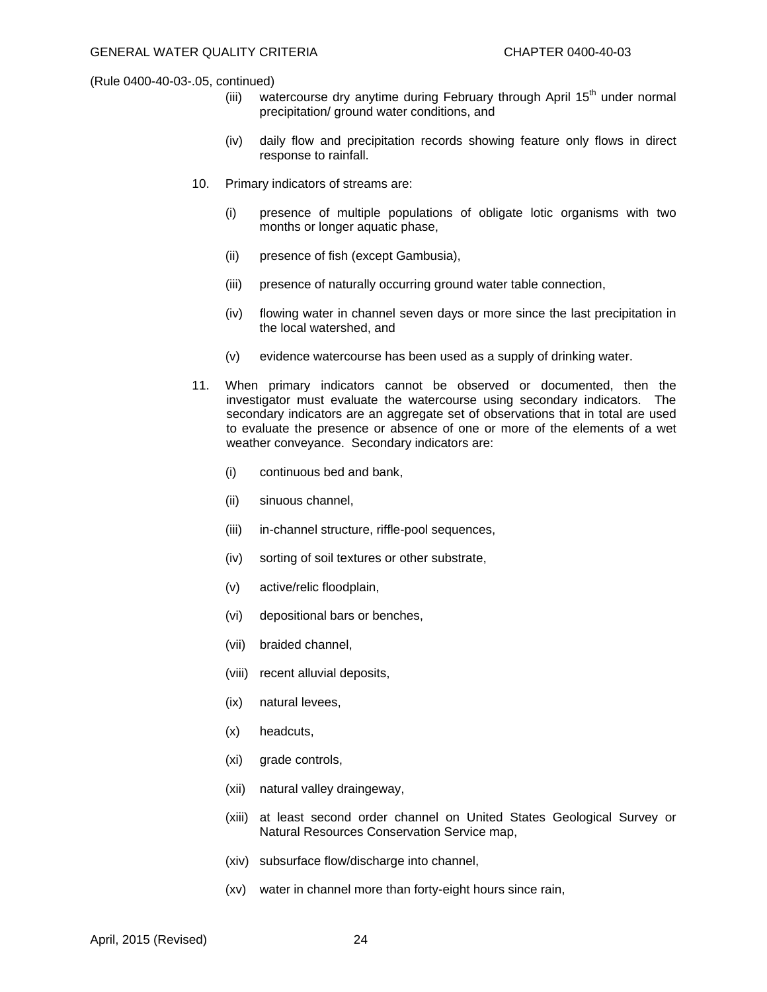- (iii) watercourse dry anytime during February through April  $15<sup>th</sup>$  under normal precipitation/ ground water conditions, and
- (iv) daily flow and precipitation records showing feature only flows in direct response to rainfall.
- 10. Primary indicators of streams are:
	- (i) presence of multiple populations of obligate lotic organisms with two months or longer aquatic phase,
	- (ii) presence of fish (except Gambusia),
	- (iii) presence of naturally occurring ground water table connection,
	- (iv) flowing water in channel seven days or more since the last precipitation in the local watershed, and
	- (v) evidence watercourse has been used as a supply of drinking water.
- 11. When primary indicators cannot be observed or documented, then the investigator must evaluate the watercourse using secondary indicators. The secondary indicators are an aggregate set of observations that in total are used to evaluate the presence or absence of one or more of the elements of a wet weather conveyance. Secondary indicators are:
	- (i) continuous bed and bank,
	- (ii) sinuous channel,
	- (iii) in-channel structure, riffle-pool sequences,
	- (iv) sorting of soil textures or other substrate,
	- (v) active/relic floodplain,
	- (vi) depositional bars or benches,
	- (vii) braided channel,
	- (viii) recent alluvial deposits,
	- (ix) natural levees,
	- (x) headcuts,
	- (xi) grade controls,
	- (xii) natural valley draingeway,
	- (xiii) at least second order channel on United States Geological Survey or Natural Resources Conservation Service map,
	- (xiv) subsurface flow/discharge into channel,
	- (xv) water in channel more than forty-eight hours since rain,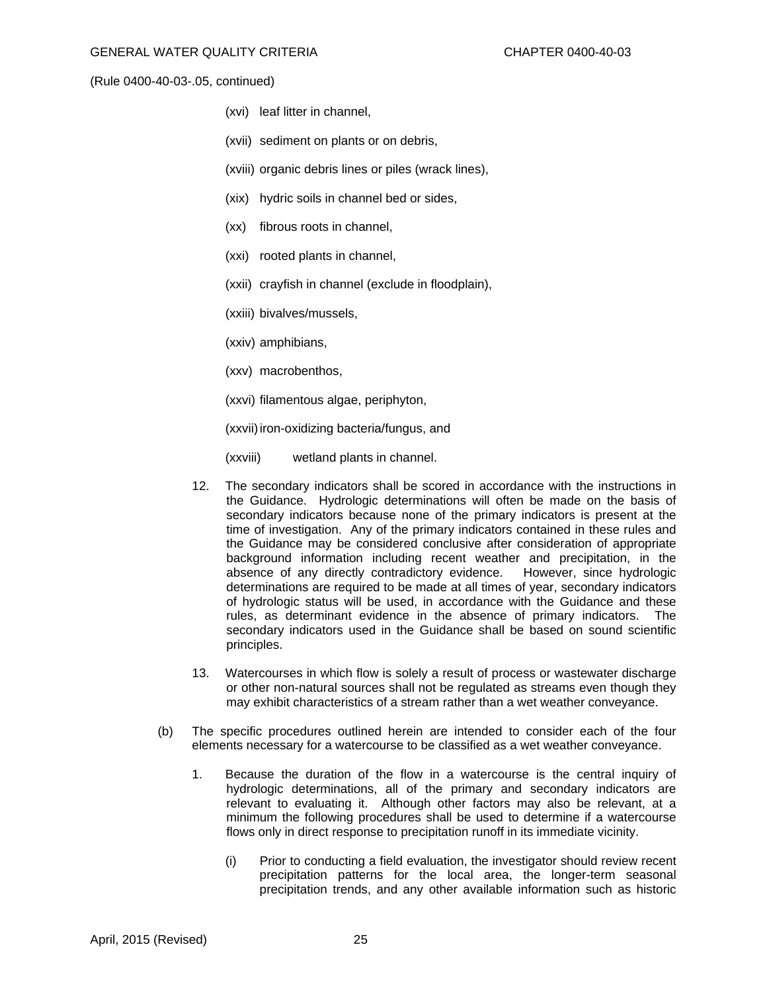- (xvi) leaf litter in channel,
- (xvii) sediment on plants or on debris,
- (xviii) organic debris lines or piles (wrack lines),
- (xix) hydric soils in channel bed or sides,
- (xx) fibrous roots in channel,
- (xxi) rooted plants in channel,
- (xxii) crayfish in channel (exclude in floodplain),
- (xxiii) bivalves/mussels,
- (xxiv) amphibians,
- (xxv) macrobenthos,
- (xxvi) filamentous algae, periphyton,

(xxvii) iron-oxidizing bacteria/fungus, and

- (xxviii) wetland plants in channel.
- 12. The secondary indicators shall be scored in accordance with the instructions in the Guidance. Hydrologic determinations will often be made on the basis of secondary indicators because none of the primary indicators is present at the time of investigation. Any of the primary indicators contained in these rules and the Guidance may be considered conclusive after consideration of appropriate background information including recent weather and precipitation, in the absence of any directly contradictory evidence. However, since hydrologic determinations are required to be made at all times of year, secondary indicators of hydrologic status will be used, in accordance with the Guidance and these rules, as determinant evidence in the absence of primary indicators. The secondary indicators used in the Guidance shall be based on sound scientific principles.
- 13. Watercourses in which flow is solely a result of process or wastewater discharge or other non-natural sources shall not be regulated as streams even though they may exhibit characteristics of a stream rather than a wet weather conveyance.
- (b) The specific procedures outlined herein are intended to consider each of the four elements necessary for a watercourse to be classified as a wet weather conveyance.
	- 1. Because the duration of the flow in a watercourse is the central inquiry of hydrologic determinations, all of the primary and secondary indicators are relevant to evaluating it. Although other factors may also be relevant, at a minimum the following procedures shall be used to determine if a watercourse flows only in direct response to precipitation runoff in its immediate vicinity.
		- (i) Prior to conducting a field evaluation, the investigator should review recent precipitation patterns for the local area, the longer-term seasonal precipitation trends, and any other available information such as historic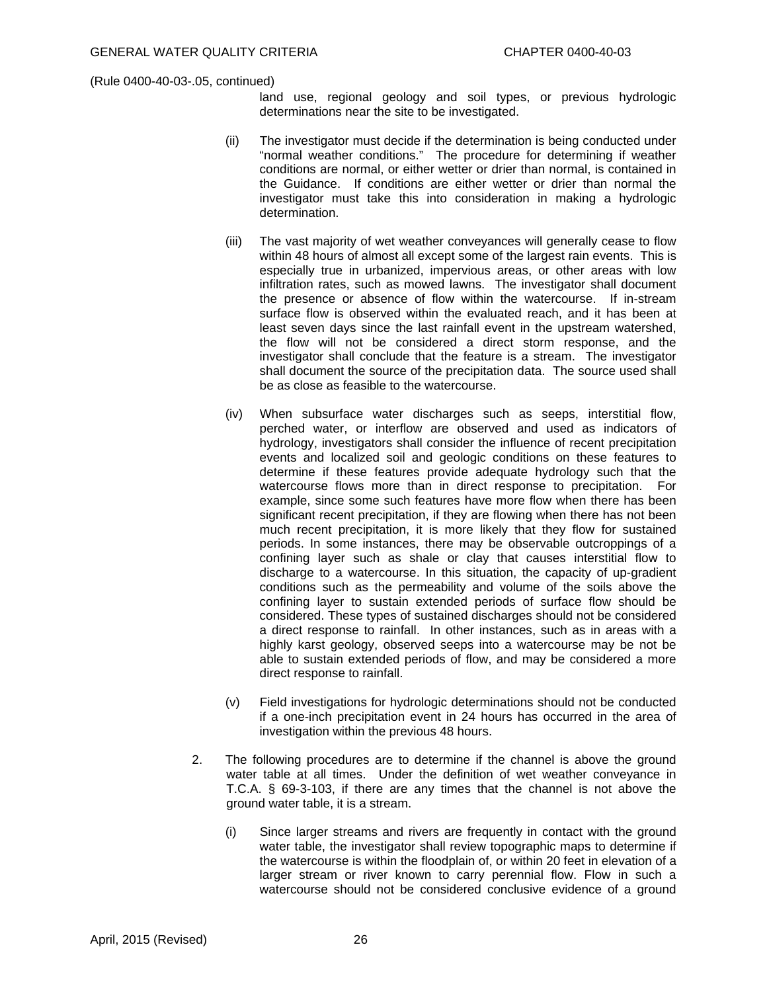land use, regional geology and soil types, or previous hydrologic determinations near the site to be investigated.

- (ii) The investigator must decide if the determination is being conducted under "normal weather conditions." The procedure for determining if weather conditions are normal, or either wetter or drier than normal, is contained in the Guidance. If conditions are either wetter or drier than normal the investigator must take this into consideration in making a hydrologic determination.
- (iii) The vast majority of wet weather conveyances will generally cease to flow within 48 hours of almost all except some of the largest rain events. This is especially true in urbanized, impervious areas, or other areas with low infiltration rates, such as mowed lawns. The investigator shall document the presence or absence of flow within the watercourse. If in-stream surface flow is observed within the evaluated reach, and it has been at least seven days since the last rainfall event in the upstream watershed, the flow will not be considered a direct storm response, and the investigator shall conclude that the feature is a stream. The investigator shall document the source of the precipitation data. The source used shall be as close as feasible to the watercourse.
- (iv) When subsurface water discharges such as seeps, interstitial flow, perched water, or interflow are observed and used as indicators of hydrology, investigators shall consider the influence of recent precipitation events and localized soil and geologic conditions on these features to determine if these features provide adequate hydrology such that the watercourse flows more than in direct response to precipitation. For example, since some such features have more flow when there has been significant recent precipitation, if they are flowing when there has not been much recent precipitation, it is more likely that they flow for sustained periods. In some instances, there may be observable outcroppings of a confining layer such as shale or clay that causes interstitial flow to discharge to a watercourse. In this situation, the capacity of up-gradient conditions such as the permeability and volume of the soils above the confining layer to sustain extended periods of surface flow should be considered. These types of sustained discharges should not be considered a direct response to rainfall. In other instances, such as in areas with a highly karst geology, observed seeps into a watercourse may be not be able to sustain extended periods of flow, and may be considered a more direct response to rainfall.
- (v) Field investigations for hydrologic determinations should not be conducted if a one-inch precipitation event in 24 hours has occurred in the area of investigation within the previous 48 hours.
- 2. The following procedures are to determine if the channel is above the ground water table at all times. Under the definition of wet weather conveyance in T.C.A. § 69-3-103, if there are any times that the channel is not above the ground water table, it is a stream.
	- (i) Since larger streams and rivers are frequently in contact with the ground water table, the investigator shall review topographic maps to determine if the watercourse is within the floodplain of, or within 20 feet in elevation of a larger stream or river known to carry perennial flow. Flow in such a watercourse should not be considered conclusive evidence of a ground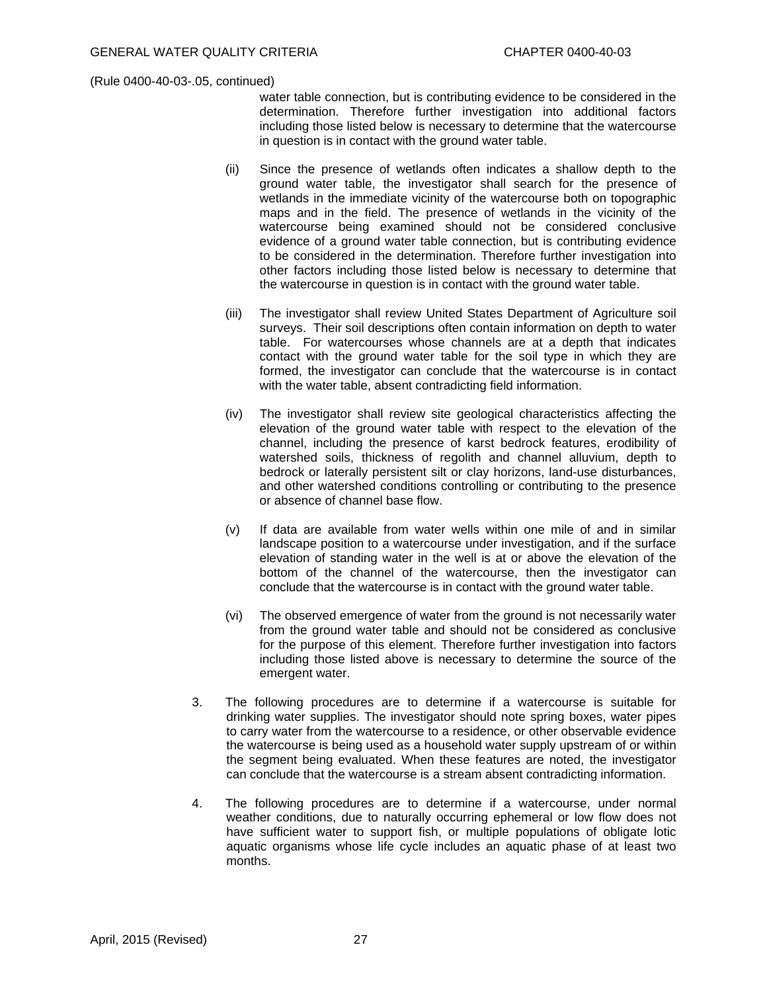water table connection, but is contributing evidence to be considered in the determination. Therefore further investigation into additional factors including those listed below is necessary to determine that the watercourse in question is in contact with the ground water table.

- (ii) Since the presence of wetlands often indicates a shallow depth to the ground water table, the investigator shall search for the presence of wetlands in the immediate vicinity of the watercourse both on topographic maps and in the field. The presence of wetlands in the vicinity of the watercourse being examined should not be considered conclusive evidence of a ground water table connection, but is contributing evidence to be considered in the determination. Therefore further investigation into other factors including those listed below is necessary to determine that the watercourse in question is in contact with the ground water table.
- (iii) The investigator shall review United States Department of Agriculture soil surveys. Their soil descriptions often contain information on depth to water table. For watercourses whose channels are at a depth that indicates contact with the ground water table for the soil type in which they are formed, the investigator can conclude that the watercourse is in contact with the water table, absent contradicting field information.
- (iv) The investigator shall review site geological characteristics affecting the elevation of the ground water table with respect to the elevation of the channel, including the presence of karst bedrock features, erodibility of watershed soils, thickness of regolith and channel alluvium, depth to bedrock or laterally persistent silt or clay horizons, land-use disturbances, and other watershed conditions controlling or contributing to the presence or absence of channel base flow.
- (v) If data are available from water wells within one mile of and in similar landscape position to a watercourse under investigation, and if the surface elevation of standing water in the well is at or above the elevation of the bottom of the channel of the watercourse, then the investigator can conclude that the watercourse is in contact with the ground water table.
- (vi) The observed emergence of water from the ground is not necessarily water from the ground water table and should not be considered as conclusive for the purpose of this element. Therefore further investigation into factors including those listed above is necessary to determine the source of the emergent water.
- 3. The following procedures are to determine if a watercourse is suitable for drinking water supplies. The investigator should note spring boxes, water pipes to carry water from the watercourse to a residence, or other observable evidence the watercourse is being used as a household water supply upstream of or within the segment being evaluated. When these features are noted, the investigator can conclude that the watercourse is a stream absent contradicting information.
- 4. The following procedures are to determine if a watercourse, under normal weather conditions, due to naturally occurring ephemeral or low flow does not have sufficient water to support fish, or multiple populations of obligate lotic aquatic organisms whose life cycle includes an aquatic phase of at least two months.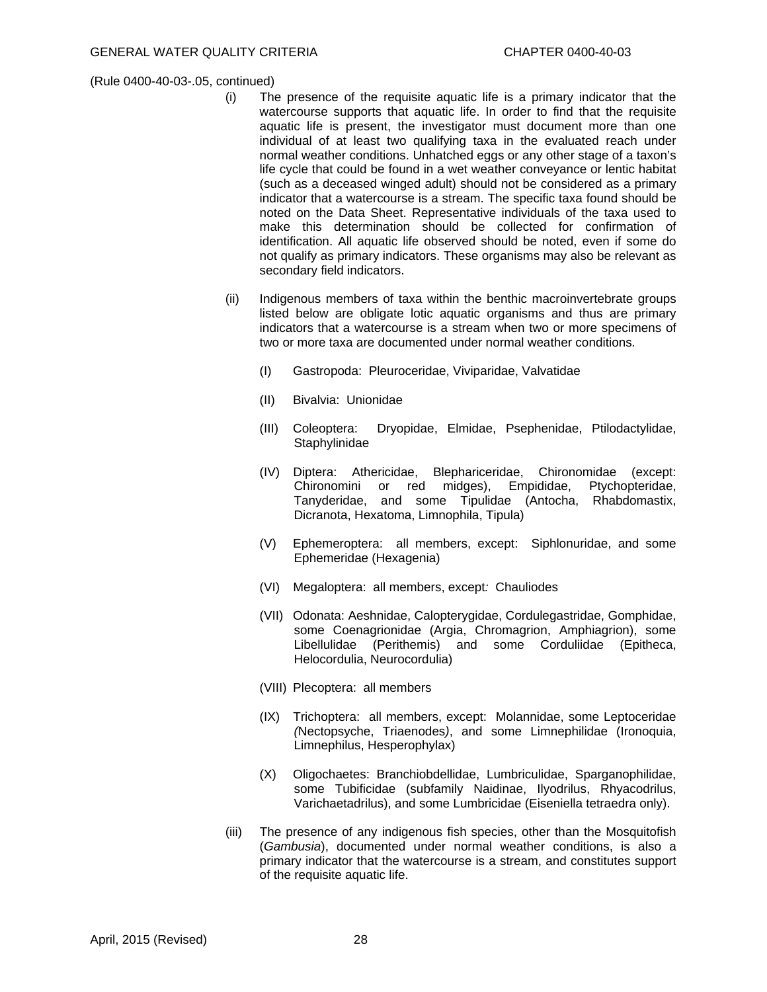- (i) The presence of the requisite aquatic life is a primary indicator that the watercourse supports that aquatic life. In order to find that the requisite aquatic life is present, the investigator must document more than one individual of at least two qualifying taxa in the evaluated reach under normal weather conditions. Unhatched eggs or any other stage of a taxon's life cycle that could be found in a wet weather conveyance or lentic habitat (such as a deceased winged adult) should not be considered as a primary indicator that a watercourse is a stream. The specific taxa found should be noted on the Data Sheet. Representative individuals of the taxa used to make this determination should be collected for confirmation of identification. All aquatic life observed should be noted, even if some do not qualify as primary indicators. These organisms may also be relevant as secondary field indicators.
- (ii) Indigenous members of taxa within the benthic macroinvertebrate groups listed below are obligate lotic aquatic organisms and thus are primary indicators that a watercourse is a stream when two or more specimens of two or more taxa are documented under normal weather conditions*.*
	- (I) Gastropoda: Pleuroceridae, Viviparidae, Valvatidae
	- (II) Bivalvia: Unionidae
	- (III) Coleoptera: Dryopidae, Elmidae, Psephenidae, Ptilodactylidae, **Staphylinidae**
	- (IV) Diptera: Athericidae, Blephariceridae, Chironomidae (except: Chironomini or red midges), Empididae, Ptychopteridae, Tanyderidae, and some Tipulidae (Antocha, Rhabdomastix, Dicranota, Hexatoma, Limnophila, Tipula)
	- (V) Ephemeroptera: all members, except: Siphlonuridae, and some Ephemeridae (Hexagenia)
	- (VI) Megaloptera: all members, except*:* Chauliodes
	- (VII) Odonata: Aeshnidae, Calopterygidae, Cordulegastridae, Gomphidae, some Coenagrionidae (Argia, Chromagrion, Amphiagrion), some Libellulidae (Perithemis) and some Corduliidae (Epitheca, Helocordulia, Neurocordulia)
	- (VIII) Plecoptera: all members
	- (IX) Trichoptera: all members, except: Molannidae, some Leptoceridae *(*Nectopsyche, Triaenodes*)*, and some Limnephilidae (Ironoquia, Limnephilus, Hesperophylax)
	- (X) Oligochaetes: Branchiobdellidae, Lumbriculidae, Sparganophilidae, some Tubificidae (subfamily Naidinae, Ilyodrilus, Rhyacodrilus, Varichaetadrilus), and some Lumbricidae (Eiseniella tetraedra only).
- (iii) The presence of any indigenous fish species, other than the Mosquitofish (*Gambusia*), documented under normal weather conditions, is also a primary indicator that the watercourse is a stream, and constitutes support of the requisite aquatic life.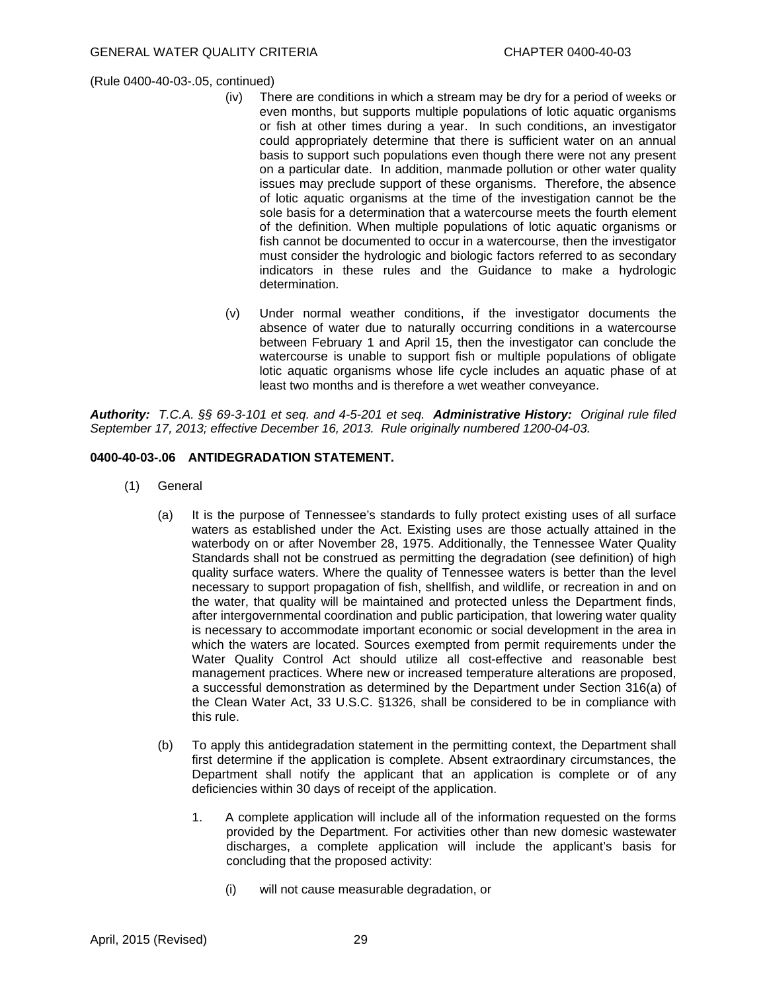- (iv) There are conditions in which a stream may be dry for a period of weeks or even months, but supports multiple populations of lotic aquatic organisms or fish at other times during a year. In such conditions, an investigator could appropriately determine that there is sufficient water on an annual basis to support such populations even though there were not any present on a particular date. In addition, manmade pollution or other water quality issues may preclude support of these organisms. Therefore, the absence of lotic aquatic organisms at the time of the investigation cannot be the sole basis for a determination that a watercourse meets the fourth element of the definition. When multiple populations of lotic aquatic organisms or fish cannot be documented to occur in a watercourse, then the investigator must consider the hydrologic and biologic factors referred to as secondary indicators in these rules and the Guidance to make a hydrologic determination.
- (v) Under normal weather conditions, if the investigator documents the absence of water due to naturally occurring conditions in a watercourse between February 1 and April 15, then the investigator can conclude the watercourse is unable to support fish or multiple populations of obligate lotic aquatic organisms whose life cycle includes an aquatic phase of at least two months and is therefore a wet weather conveyance.

*Authority: T.C.A. §§ 69-3-101 et seq. and 4-5-201 et seq. Administrative History: Original rule filed September 17, 2013; effective December 16, 2013. Rule originally numbered 1200-04-03.* 

# **0400-40-03-.06 ANTIDEGRADATION STATEMENT.**

- (1) General
	- (a) It is the purpose of Tennessee's standards to fully protect existing uses of all surface waters as established under the Act. Existing uses are those actually attained in the waterbody on or after November 28, 1975. Additionally, the Tennessee Water Quality Standards shall not be construed as permitting the degradation (see definition) of high quality surface waters. Where the quality of Tennessee waters is better than the level necessary to support propagation of fish, shellfish, and wildlife, or recreation in and on the water, that quality will be maintained and protected unless the Department finds, after intergovernmental coordination and public participation, that lowering water quality is necessary to accommodate important economic or social development in the area in which the waters are located. Sources exempted from permit requirements under the Water Quality Control Act should utilize all cost-effective and reasonable best management practices. Where new or increased temperature alterations are proposed, a successful demonstration as determined by the Department under Section 316(a) of the Clean Water Act, 33 U.S.C. §1326, shall be considered to be in compliance with this rule.
	- (b) To apply this antidegradation statement in the permitting context, the Department shall first determine if the application is complete. Absent extraordinary circumstances, the Department shall notify the applicant that an application is complete or of any deficiencies within 30 days of receipt of the application.
		- 1. A complete application will include all of the information requested on the forms provided by the Department. For activities other than new domesic wastewater discharges, a complete application will include the applicant's basis for concluding that the proposed activity:
			- (i) will not cause measurable degradation, or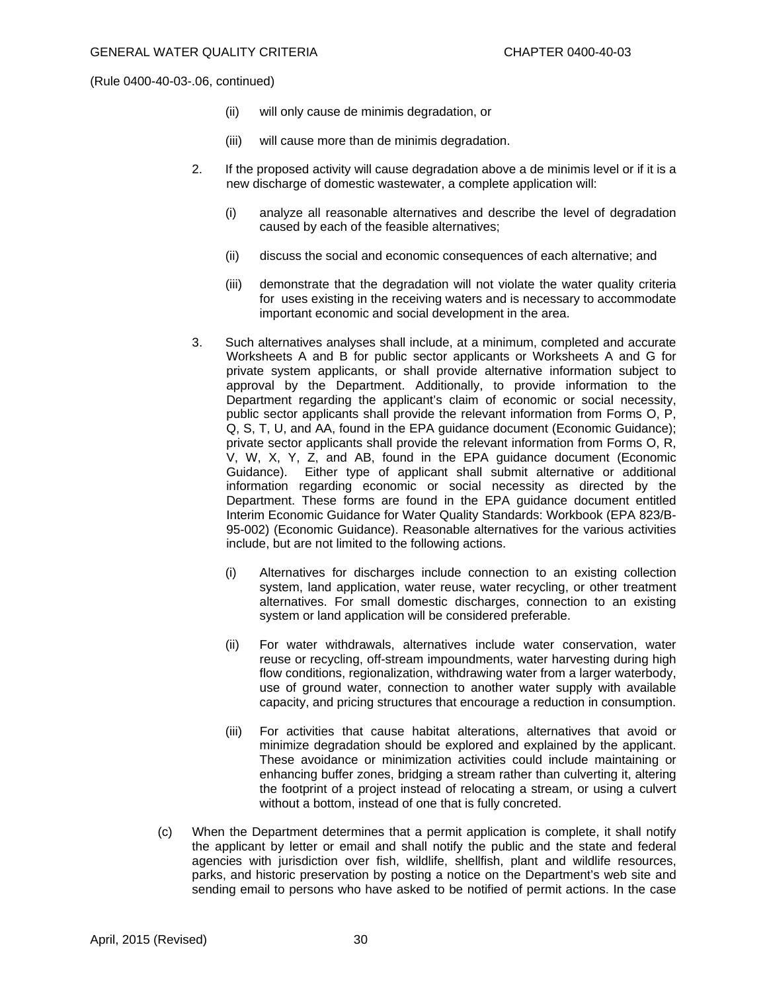- (ii) will only cause de minimis degradation, or
- (iii) will cause more than de minimis degradation.
- 2. If the proposed activity will cause degradation above a de minimis level or if it is a new discharge of domestic wastewater, a complete application will:
	- (i) analyze all reasonable alternatives and describe the level of degradation caused by each of the feasible alternatives;
	- (ii) discuss the social and economic consequences of each alternative; and
	- (iii) demonstrate that the degradation will not violate the water quality criteria for uses existing in the receiving waters and is necessary to accommodate important economic and social development in the area.
- 3. Such alternatives analyses shall include, at a minimum, completed and accurate Worksheets A and B for public sector applicants or Worksheets A and G for private system applicants, or shall provide alternative information subject to approval by the Department. Additionally, to provide information to the Department regarding the applicant's claim of economic or social necessity, public sector applicants shall provide the relevant information from Forms O, P, Q, S, T, U, and AA, found in the EPA guidance document (Economic Guidance); private sector applicants shall provide the relevant information from Forms O, R, V, W, X, Y, Z, and AB, found in the EPA guidance document (Economic Guidance). Either type of applicant shall submit alternative or additional information regarding economic or social necessity as directed by the Department. These forms are found in the EPA guidance document entitled Interim Economic Guidance for Water Quality Standards: Workbook (EPA 823/B-95-002) (Economic Guidance). Reasonable alternatives for the various activities include, but are not limited to the following actions.
	- (i) Alternatives for discharges include connection to an existing collection system, land application, water reuse, water recycling, or other treatment alternatives. For small domestic discharges, connection to an existing system or land application will be considered preferable.
	- (ii) For water withdrawals, alternatives include water conservation, water reuse or recycling, off-stream impoundments, water harvesting during high flow conditions, regionalization, withdrawing water from a larger waterbody, use of ground water, connection to another water supply with available capacity, and pricing structures that encourage a reduction in consumption.
	- (iii) For activities that cause habitat alterations, alternatives that avoid or minimize degradation should be explored and explained by the applicant. These avoidance or minimization activities could include maintaining or enhancing buffer zones, bridging a stream rather than culverting it, altering the footprint of a project instead of relocating a stream, or using a culvert without a bottom, instead of one that is fully concreted.
- (c) When the Department determines that a permit application is complete, it shall notify the applicant by letter or email and shall notify the public and the state and federal agencies with jurisdiction over fish, wildlife, shellfish, plant and wildlife resources, parks, and historic preservation by posting a notice on the Department's web site and sending email to persons who have asked to be notified of permit actions. In the case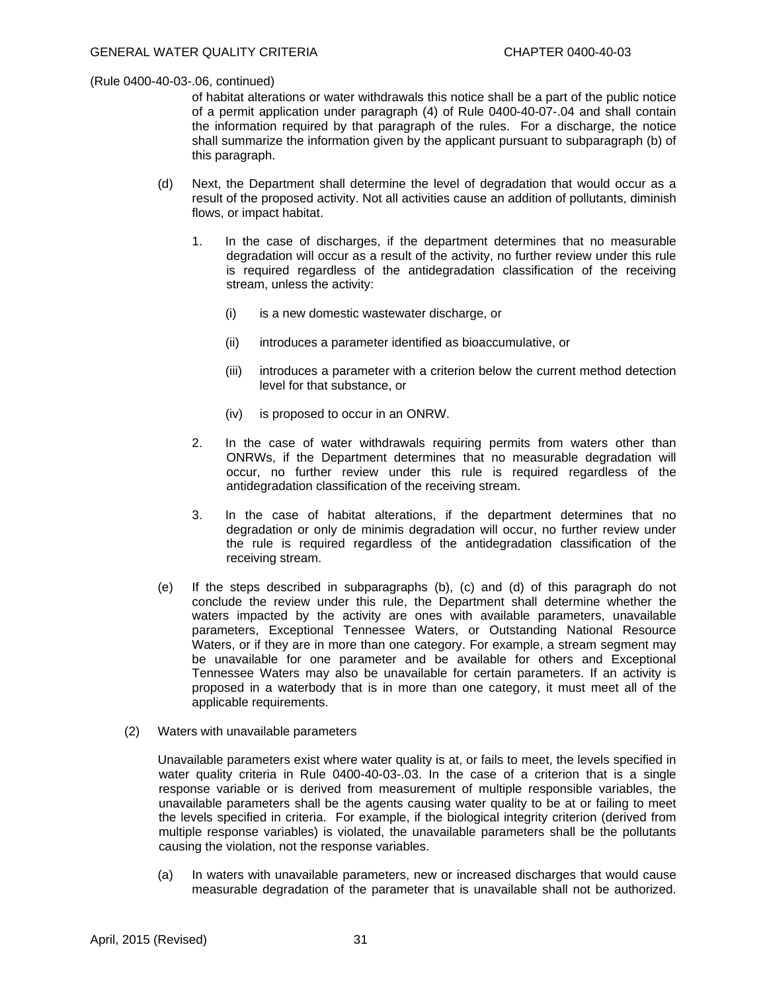of habitat alterations or water withdrawals this notice shall be a part of the public notice of a permit application under paragraph (4) of Rule 0400-40-07-.04 and shall contain the information required by that paragraph of the rules. For a discharge, the notice shall summarize the information given by the applicant pursuant to subparagraph (b) of this paragraph.

- (d) Next, the Department shall determine the level of degradation that would occur as a result of the proposed activity. Not all activities cause an addition of pollutants, diminish flows, or impact habitat.
	- 1. In the case of discharges, if the department determines that no measurable degradation will occur as a result of the activity, no further review under this rule is required regardless of the antidegradation classification of the receiving stream, unless the activity:
		- (i) is a new domestic wastewater discharge, or
		- (ii) introduces a parameter identified as bioaccumulative, or
		- (iii) introduces a parameter with a criterion below the current method detection level for that substance, or
		- (iv) is proposed to occur in an ONRW.
	- 2. In the case of water withdrawals requiring permits from waters other than ONRWs, if the Department determines that no measurable degradation will occur, no further review under this rule is required regardless of the antidegradation classification of the receiving stream.
	- 3. In the case of habitat alterations, if the department determines that no degradation or only de minimis degradation will occur, no further review under the rule is required regardless of the antidegradation classification of the receiving stream.
- (e) If the steps described in subparagraphs (b), (c) and (d) of this paragraph do not conclude the review under this rule, the Department shall determine whether the waters impacted by the activity are ones with available parameters, unavailable parameters, Exceptional Tennessee Waters, or Outstanding National Resource Waters, or if they are in more than one category. For example, a stream segment may be unavailable for one parameter and be available for others and Exceptional Tennessee Waters may also be unavailable for certain parameters. If an activity is proposed in a waterbody that is in more than one category, it must meet all of the applicable requirements.
- (2) Waters with unavailable parameters

 Unavailable parameters exist where water quality is at, or fails to meet, the levels specified in water quality criteria in Rule 0400-40-03-03. In the case of a criterion that is a single response variable or is derived from measurement of multiple responsible variables, the unavailable parameters shall be the agents causing water quality to be at or failing to meet the levels specified in criteria. For example, if the biological integrity criterion (derived from multiple response variables) is violated, the unavailable parameters shall be the pollutants causing the violation, not the response variables.

(a) In waters with unavailable parameters, new or increased discharges that would cause measurable degradation of the parameter that is unavailable shall not be authorized.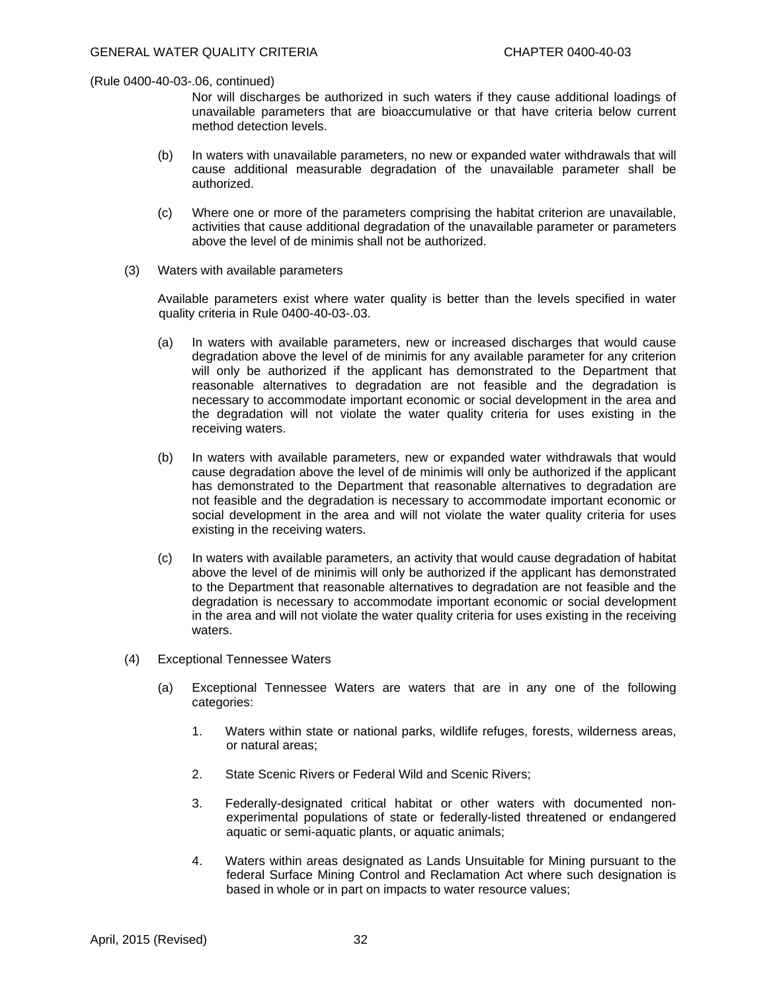Nor will discharges be authorized in such waters if they cause additional loadings of unavailable parameters that are bioaccumulative or that have criteria below current method detection levels.

- (b) In waters with unavailable parameters, no new or expanded water withdrawals that will cause additional measurable degradation of the unavailable parameter shall be authorized.
- (c) Where one or more of the parameters comprising the habitat criterion are unavailable, activities that cause additional degradation of the unavailable parameter or parameters above the level of de minimis shall not be authorized.
- (3) Waters with available parameters

 Available parameters exist where water quality is better than the levels specified in water quality criteria in Rule 0400-40-03-.03.

- (a) In waters with available parameters, new or increased discharges that would cause degradation above the level of de minimis for any available parameter for any criterion will only be authorized if the applicant has demonstrated to the Department that reasonable alternatives to degradation are not feasible and the degradation is necessary to accommodate important economic or social development in the area and the degradation will not violate the water quality criteria for uses existing in the receiving waters.
- (b) In waters with available parameters, new or expanded water withdrawals that would cause degradation above the level of de minimis will only be authorized if the applicant has demonstrated to the Department that reasonable alternatives to degradation are not feasible and the degradation is necessary to accommodate important economic or social development in the area and will not violate the water quality criteria for uses existing in the receiving waters.
- (c) In waters with available parameters, an activity that would cause degradation of habitat above the level of de minimis will only be authorized if the applicant has demonstrated to the Department that reasonable alternatives to degradation are not feasible and the degradation is necessary to accommodate important economic or social development in the area and will not violate the water quality criteria for uses existing in the receiving waters.
- (4) Exceptional Tennessee Waters
	- (a) Exceptional Tennessee Waters are waters that are in any one of the following categories:
		- 1. Waters within state or national parks, wildlife refuges, forests, wilderness areas, or natural areas;
		- 2. State Scenic Rivers or Federal Wild and Scenic Rivers;
		- 3. Federally-designated critical habitat or other waters with documented nonexperimental populations of state or federally-listed threatened or endangered aquatic or semi-aquatic plants, or aquatic animals;
		- 4. Waters within areas designated as Lands Unsuitable for Mining pursuant to the federal Surface Mining Control and Reclamation Act where such designation is based in whole or in part on impacts to water resource values;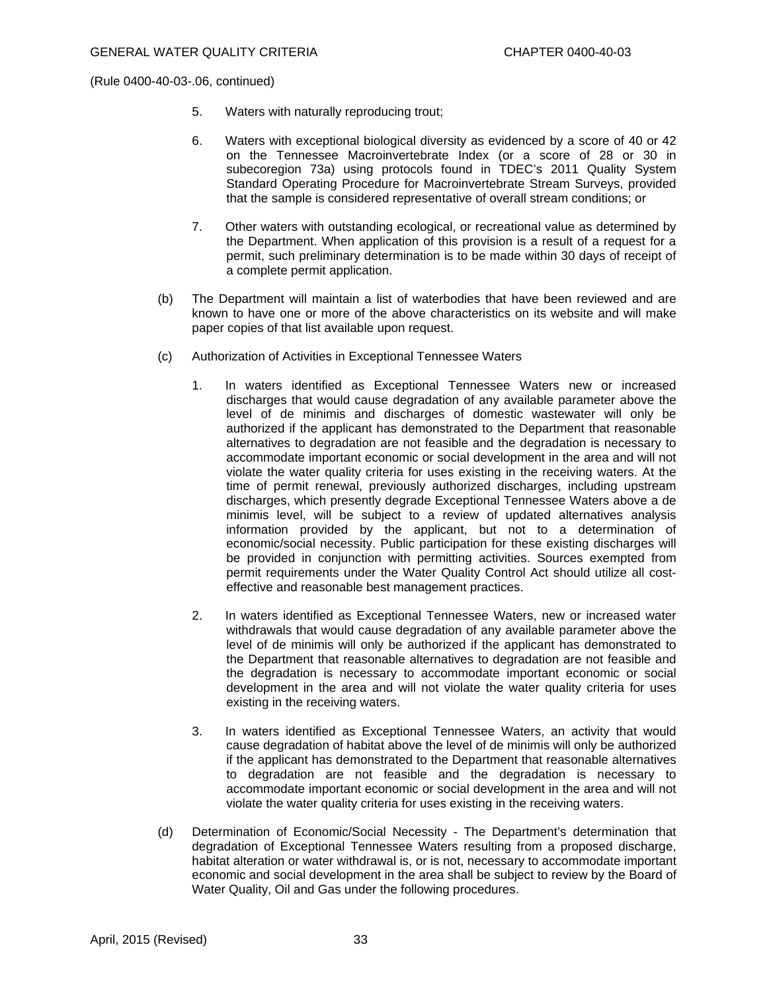- 5. Waters with naturally reproducing trout;
- 6. Waters with exceptional biological diversity as evidenced by a score of 40 or 42 on the Tennessee Macroinvertebrate Index (or a score of 28 or 30 in subecoregion 73a) using protocols found in TDEC's 2011 Quality System Standard Operating Procedure for Macroinvertebrate Stream Surveys, provided that the sample is considered representative of overall stream conditions; or
- 7. Other waters with outstanding ecological, or recreational value as determined by the Department. When application of this provision is a result of a request for a permit, such preliminary determination is to be made within 30 days of receipt of a complete permit application.
- (b) The Department will maintain a list of waterbodies that have been reviewed and are known to have one or more of the above characteristics on its website and will make paper copies of that list available upon request.
- (c) Authorization of Activities in Exceptional Tennessee Waters
	- 1. In waters identified as Exceptional Tennessee Waters new or increased discharges that would cause degradation of any available parameter above the level of de minimis and discharges of domestic wastewater will only be authorized if the applicant has demonstrated to the Department that reasonable alternatives to degradation are not feasible and the degradation is necessary to accommodate important economic or social development in the area and will not violate the water quality criteria for uses existing in the receiving waters. At the time of permit renewal, previously authorized discharges, including upstream discharges, which presently degrade Exceptional Tennessee Waters above a de minimis level, will be subject to a review of updated alternatives analysis information provided by the applicant, but not to a determination of economic/social necessity. Public participation for these existing discharges will be provided in conjunction with permitting activities. Sources exempted from permit requirements under the Water Quality Control Act should utilize all costeffective and reasonable best management practices.
	- 2. In waters identified as Exceptional Tennessee Waters, new or increased water withdrawals that would cause degradation of any available parameter above the level of de minimis will only be authorized if the applicant has demonstrated to the Department that reasonable alternatives to degradation are not feasible and the degradation is necessary to accommodate important economic or social development in the area and will not violate the water quality criteria for uses existing in the receiving waters.
	- 3. In waters identified as Exceptional Tennessee Waters, an activity that would cause degradation of habitat above the level of de minimis will only be authorized if the applicant has demonstrated to the Department that reasonable alternatives to degradation are not feasible and the degradation is necessary to accommodate important economic or social development in the area and will not violate the water quality criteria for uses existing in the receiving waters.
- (d) Determination of Economic/Social Necessity The Department's determination that degradation of Exceptional Tennessee Waters resulting from a proposed discharge, habitat alteration or water withdrawal is, or is not, necessary to accommodate important economic and social development in the area shall be subject to review by the Board of Water Quality, Oil and Gas under the following procedures.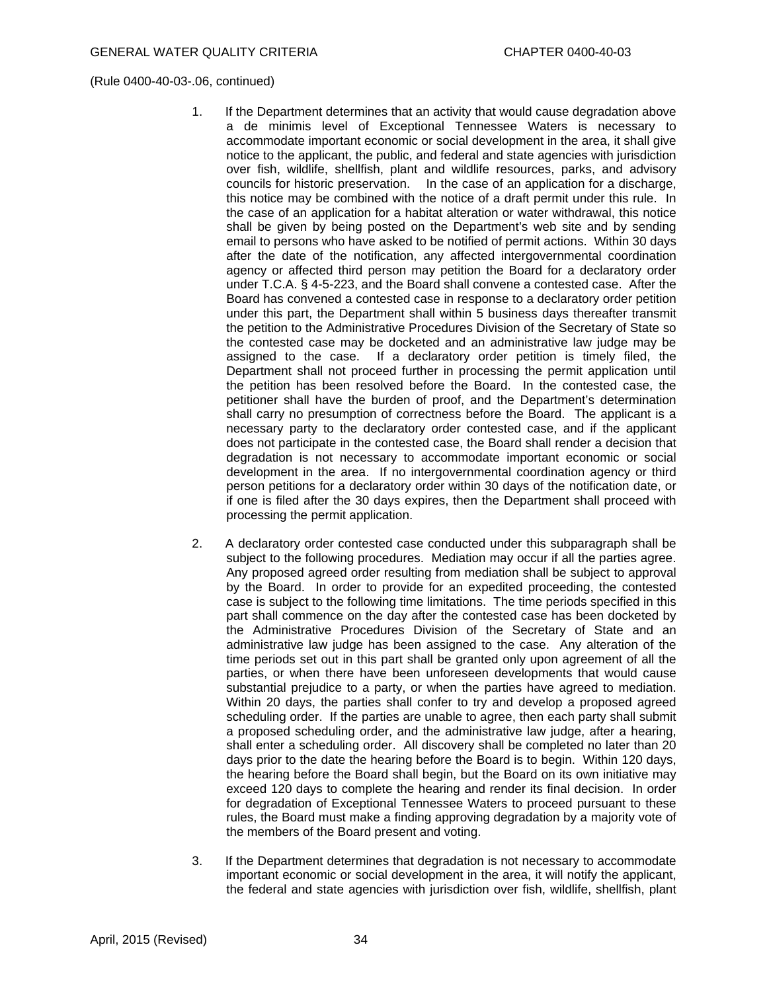- 1. If the Department determines that an activity that would cause degradation above a de minimis level of Exceptional Tennessee Waters is necessary to accommodate important economic or social development in the area, it shall give notice to the applicant, the public, and federal and state agencies with jurisdiction over fish, wildlife, shellfish, plant and wildlife resources, parks, and advisory councils for historic preservation. In the case of an application for a discharge, this notice may be combined with the notice of a draft permit under this rule. In the case of an application for a habitat alteration or water withdrawal, this notice shall be given by being posted on the Department's web site and by sending email to persons who have asked to be notified of permit actions. Within 30 days after the date of the notification, any affected intergovernmental coordination agency or affected third person may petition the Board for a declaratory order under T.C.A. § 4-5-223, and the Board shall convene a contested case. After the Board has convened a contested case in response to a declaratory order petition under this part, the Department shall within 5 business days thereafter transmit the petition to the Administrative Procedures Division of the Secretary of State so the contested case may be docketed and an administrative law judge may be assigned to the case. If a declaratory order petition is timely filed, the Department shall not proceed further in processing the permit application until the petition has been resolved before the Board. In the contested case, the petitioner shall have the burden of proof, and the Department's determination shall carry no presumption of correctness before the Board. The applicant is a necessary party to the declaratory order contested case, and if the applicant does not participate in the contested case, the Board shall render a decision that degradation is not necessary to accommodate important economic or social development in the area. If no intergovernmental coordination agency or third person petitions for a declaratory order within 30 days of the notification date, or if one is filed after the 30 days expires, then the Department shall proceed with processing the permit application.
- 2. A declaratory order contested case conducted under this subparagraph shall be subject to the following procedures. Mediation may occur if all the parties agree. Any proposed agreed order resulting from mediation shall be subject to approval by the Board. In order to provide for an expedited proceeding, the contested case is subject to the following time limitations. The time periods specified in this part shall commence on the day after the contested case has been docketed by the Administrative Procedures Division of the Secretary of State and an administrative law judge has been assigned to the case. Any alteration of the time periods set out in this part shall be granted only upon agreement of all the parties, or when there have been unforeseen developments that would cause substantial prejudice to a party, or when the parties have agreed to mediation. Within 20 days, the parties shall confer to try and develop a proposed agreed scheduling order. If the parties are unable to agree, then each party shall submit a proposed scheduling order, and the administrative law judge, after a hearing, shall enter a scheduling order. All discovery shall be completed no later than 20 days prior to the date the hearing before the Board is to begin. Within 120 days, the hearing before the Board shall begin, but the Board on its own initiative may exceed 120 days to complete the hearing and render its final decision. In order for degradation of Exceptional Tennessee Waters to proceed pursuant to these rules, the Board must make a finding approving degradation by a majority vote of the members of the Board present and voting.
- 3. If the Department determines that degradation is not necessary to accommodate important economic or social development in the area, it will notify the applicant, the federal and state agencies with jurisdiction over fish, wildlife, shellfish, plant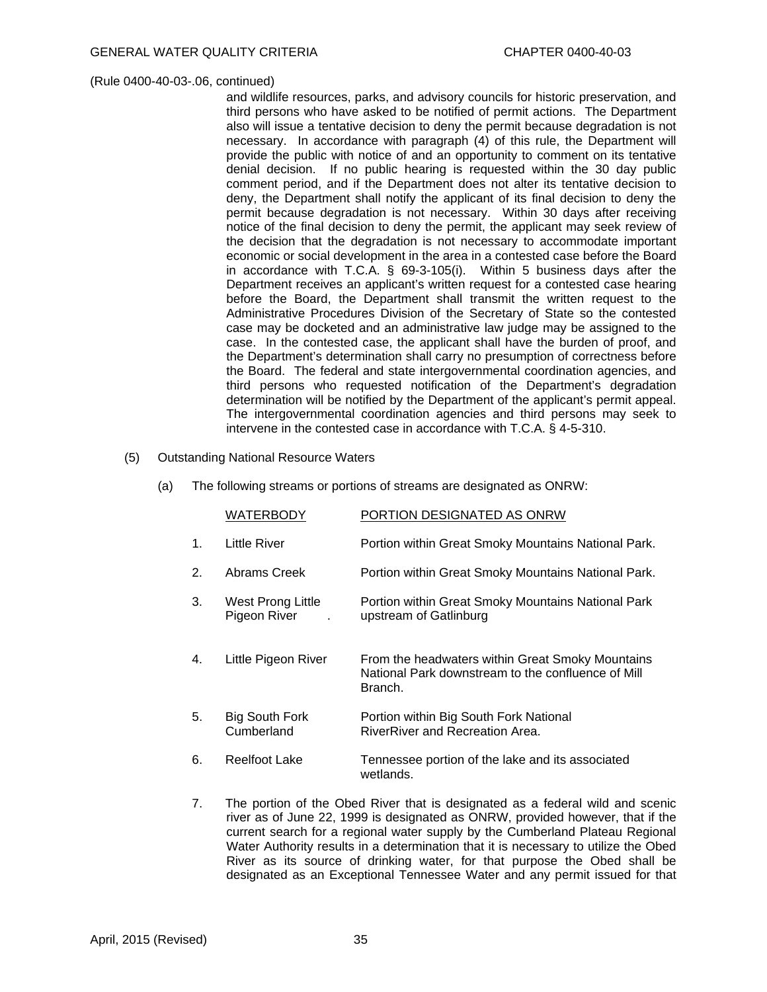and wildlife resources, parks, and advisory councils for historic preservation, and third persons who have asked to be notified of permit actions. The Department also will issue a tentative decision to deny the permit because degradation is not necessary. In accordance with paragraph (4) of this rule, the Department will provide the public with notice of and an opportunity to comment on its tentative denial decision. If no public hearing is requested within the 30 day public comment period, and if the Department does not alter its tentative decision to deny, the Department shall notify the applicant of its final decision to deny the permit because degradation is not necessary. Within 30 days after receiving notice of the final decision to deny the permit, the applicant may seek review of the decision that the degradation is not necessary to accommodate important economic or social development in the area in a contested case before the Board in accordance with T.C.A. § 69-3-105(i). Within 5 business days after the Department receives an applicant's written request for a contested case hearing before the Board, the Department shall transmit the written request to the Administrative Procedures Division of the Secretary of State so the contested case may be docketed and an administrative law judge may be assigned to the case. In the contested case, the applicant shall have the burden of proof, and the Department's determination shall carry no presumption of correctness before the Board. The federal and state intergovernmental coordination agencies, and third persons who requested notification of the Department's degradation determination will be notified by the Department of the applicant's permit appeal. The intergovernmental coordination agencies and third persons may seek to intervene in the contested case in accordance with T.C.A. § 4-5-310.

- (5) Outstanding National Resource Waters
	- (a) The following streams or portions of streams are designated as ONRW:

|    | <b>WATERBODY</b>                    | PORTION DESIGNATED AS ONRW                                                                                        |
|----|-------------------------------------|-------------------------------------------------------------------------------------------------------------------|
| 1. | Little River                        | Portion within Great Smoky Mountains National Park.                                                               |
| 2. | Abrams Creek                        | Portion within Great Smoky Mountains National Park.                                                               |
| 3. | West Prong Little<br>Pigeon River   | Portion within Great Smoky Mountains National Park<br>upstream of Gatlinburg                                      |
| 4. | Little Pigeon River                 | From the headwaters within Great Smoky Mountains<br>National Park downstream to the confluence of Mill<br>Branch. |
| 5. | <b>Big South Fork</b><br>Cumberland | Portion within Big South Fork National<br>RiverRiver and Recreation Area.                                         |
| 6. | <b>Reelfoot Lake</b>                | Tennessee portion of the lake and its associated<br>wetlands.                                                     |

7. The portion of the Obed River that is designated as a federal wild and scenic river as of June 22, 1999 is designated as ONRW, provided however, that if the current search for a regional water supply by the Cumberland Plateau Regional Water Authority results in a determination that it is necessary to utilize the Obed River as its source of drinking water, for that purpose the Obed shall be designated as an Exceptional Tennessee Water and any permit issued for that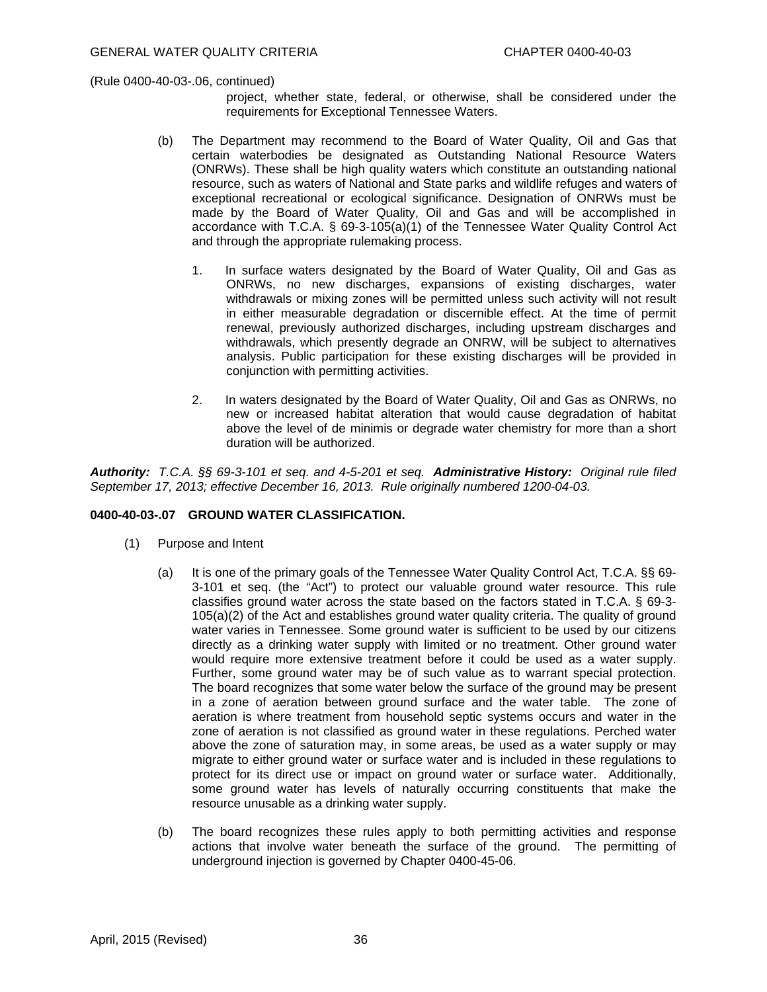- project, whether state, federal, or otherwise, shall be considered under the requirements for Exceptional Tennessee Waters.
- (b) The Department may recommend to the Board of Water Quality, Oil and Gas that certain waterbodies be designated as Outstanding National Resource Waters (ONRWs). These shall be high quality waters which constitute an outstanding national resource, such as waters of National and State parks and wildlife refuges and waters of exceptional recreational or ecological significance. Designation of ONRWs must be made by the Board of Water Quality, Oil and Gas and will be accomplished in accordance with T.C.A. § 69-3-105(a)(1) of the Tennessee Water Quality Control Act and through the appropriate rulemaking process.
	- 1. In surface waters designated by the Board of Water Quality, Oil and Gas as ONRWs, no new discharges, expansions of existing discharges, water withdrawals or mixing zones will be permitted unless such activity will not result in either measurable degradation or discernible effect. At the time of permit renewal, previously authorized discharges, including upstream discharges and withdrawals, which presently degrade an ONRW, will be subject to alternatives analysis. Public participation for these existing discharges will be provided in conjunction with permitting activities.
	- 2. In waters designated by the Board of Water Quality, Oil and Gas as ONRWs, no new or increased habitat alteration that would cause degradation of habitat above the level of de minimis or degrade water chemistry for more than a short duration will be authorized.

*Authority: T.C.A. §§ 69-3-101 et seq. and 4-5-201 et seq. Administrative History: Original rule filed September 17, 2013; effective December 16, 2013. Rule originally numbered 1200-04-03.* 

#### **0400-40-03-.07 GROUND WATER CLASSIFICATION.**

- (1) Purpose and Intent
	- (a) It is one of the primary goals of the Tennessee Water Quality Control Act, T.C.A. §§ 69- 3-101 et seq. (the "Act") to protect our valuable ground water resource. This rule classifies ground water across the state based on the factors stated in T.C.A. § 69-3- 105(a)(2) of the Act and establishes ground water quality criteria. The quality of ground water varies in Tennessee. Some ground water is sufficient to be used by our citizens directly as a drinking water supply with limited or no treatment. Other ground water would require more extensive treatment before it could be used as a water supply. Further, some ground water may be of such value as to warrant special protection. The board recognizes that some water below the surface of the ground may be present in a zone of aeration between ground surface and the water table. The zone of aeration is where treatment from household septic systems occurs and water in the zone of aeration is not classified as ground water in these regulations. Perched water above the zone of saturation may, in some areas, be used as a water supply or may migrate to either ground water or surface water and is included in these regulations to protect for its direct use or impact on ground water or surface water. Additionally, some ground water has levels of naturally occurring constituents that make the resource unusable as a drinking water supply.
	- (b) The board recognizes these rules apply to both permitting activities and response actions that involve water beneath the surface of the ground. The permitting of underground injection is governed by Chapter 0400-45-06.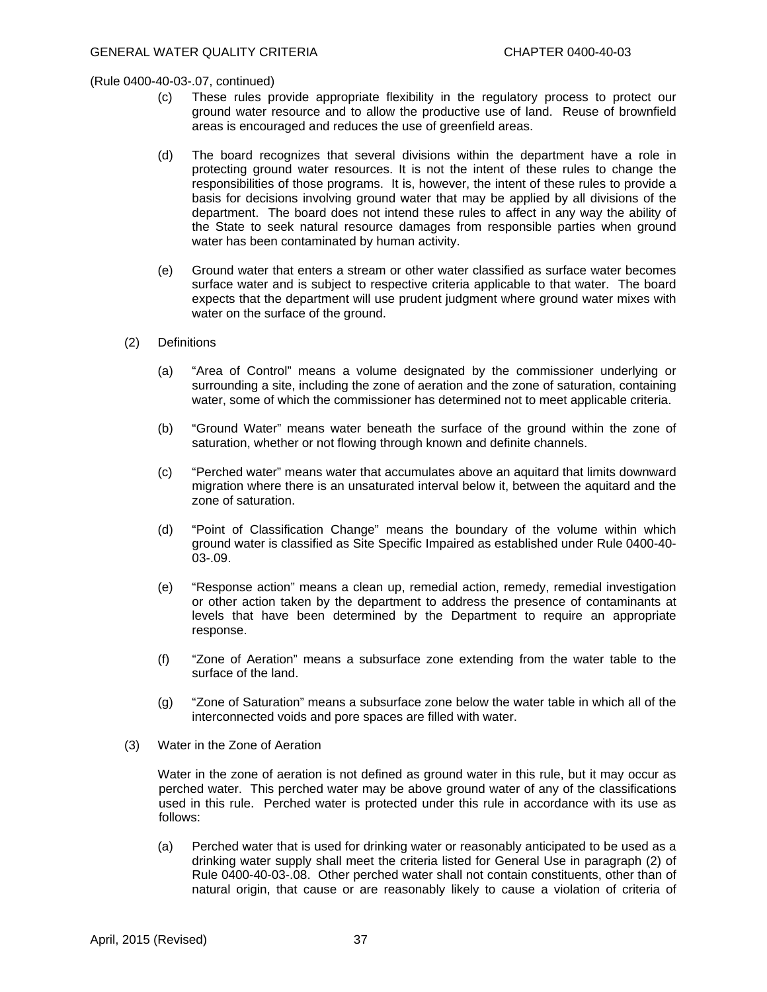- (c) These rules provide appropriate flexibility in the regulatory process to protect our ground water resource and to allow the productive use of land. Reuse of brownfield areas is encouraged and reduces the use of greenfield areas.
- (d) The board recognizes that several divisions within the department have a role in protecting ground water resources. It is not the intent of these rules to change the responsibilities of those programs. It is, however, the intent of these rules to provide a basis for decisions involving ground water that may be applied by all divisions of the department. The board does not intend these rules to affect in any way the ability of the State to seek natural resource damages from responsible parties when ground water has been contaminated by human activity.
- (e) Ground water that enters a stream or other water classified as surface water becomes surface water and is subject to respective criteria applicable to that water. The board expects that the department will use prudent judgment where ground water mixes with water on the surface of the ground.
- (2) Definitions
	- (a) "Area of Control" means a volume designated by the commissioner underlying or surrounding a site, including the zone of aeration and the zone of saturation, containing water, some of which the commissioner has determined not to meet applicable criteria.
	- (b) "Ground Water" means water beneath the surface of the ground within the zone of saturation, whether or not flowing through known and definite channels.
	- (c) "Perched water" means water that accumulates above an aquitard that limits downward migration where there is an unsaturated interval below it, between the aquitard and the zone of saturation.
	- (d) "Point of Classification Change" means the boundary of the volume within which ground water is classified as Site Specific Impaired as established under Rule 0400-40- 03-.09.
	- (e) "Response action" means a clean up, remedial action, remedy, remedial investigation or other action taken by the department to address the presence of contaminants at levels that have been determined by the Department to require an appropriate response.
	- (f) "Zone of Aeration" means a subsurface zone extending from the water table to the surface of the land.
	- (g) "Zone of Saturation" means a subsurface zone below the water table in which all of the interconnected voids and pore spaces are filled with water.
- (3) Water in the Zone of Aeration

 Water in the zone of aeration is not defined as ground water in this rule, but it may occur as perched water. This perched water may be above ground water of any of the classifications used in this rule. Perched water is protected under this rule in accordance with its use as follows:

(a) Perched water that is used for drinking water or reasonably anticipated to be used as a drinking water supply shall meet the criteria listed for General Use in paragraph (2) of Rule 0400-40-03-.08. Other perched water shall not contain constituents, other than of natural origin, that cause or are reasonably likely to cause a violation of criteria of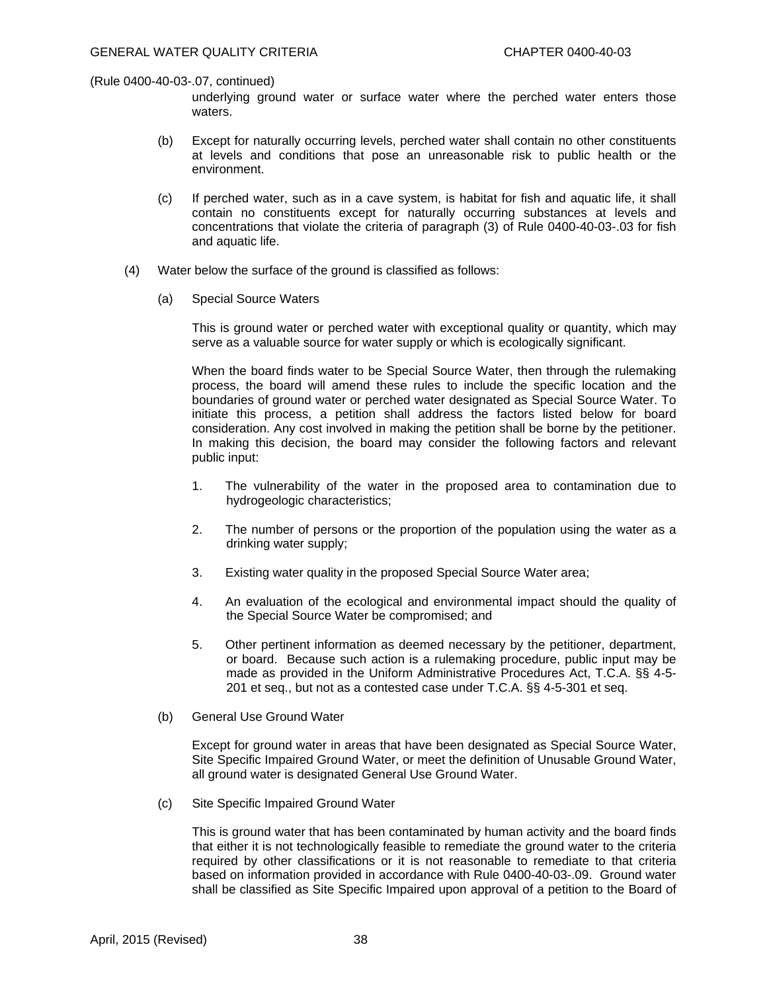underlying ground water or surface water where the perched water enters those waters.

- (b) Except for naturally occurring levels, perched water shall contain no other constituents at levels and conditions that pose an unreasonable risk to public health or the environment.
- (c) If perched water, such as in a cave system, is habitat for fish and aquatic life, it shall contain no constituents except for naturally occurring substances at levels and concentrations that violate the criteria of paragraph (3) of Rule 0400-40-03-.03 for fish and aquatic life.
- (4) Water below the surface of the ground is classified as follows:
	- (a) Special Source Waters

 This is ground water or perched water with exceptional quality or quantity, which may serve as a valuable source for water supply or which is ecologically significant.

 When the board finds water to be Special Source Water, then through the rulemaking process, the board will amend these rules to include the specific location and the boundaries of ground water or perched water designated as Special Source Water. To initiate this process, a petition shall address the factors listed below for board consideration. Any cost involved in making the petition shall be borne by the petitioner. In making this decision, the board may consider the following factors and relevant public input:

- 1. The vulnerability of the water in the proposed area to contamination due to hydrogeologic characteristics;
- 2. The number of persons or the proportion of the population using the water as a drinking water supply;
- 3. Existing water quality in the proposed Special Source Water area;
- 4. An evaluation of the ecological and environmental impact should the quality of the Special Source Water be compromised; and
- 5. Other pertinent information as deemed necessary by the petitioner, department, or board. Because such action is a rulemaking procedure, public input may be made as provided in the Uniform Administrative Procedures Act, T.C.A. §§ 4-5- 201 et seq., but not as a contested case under T.C.A. §§ 4-5-301 et seq.
- (b) General Use Ground Water

 Except for ground water in areas that have been designated as Special Source Water, Site Specific Impaired Ground Water, or meet the definition of Unusable Ground Water, all ground water is designated General Use Ground Water.

(c) Site Specific Impaired Ground Water

 This is ground water that has been contaminated by human activity and the board finds that either it is not technologically feasible to remediate the ground water to the criteria required by other classifications or it is not reasonable to remediate to that criteria based on information provided in accordance with Rule 0400-40-03-.09. Ground water shall be classified as Site Specific Impaired upon approval of a petition to the Board of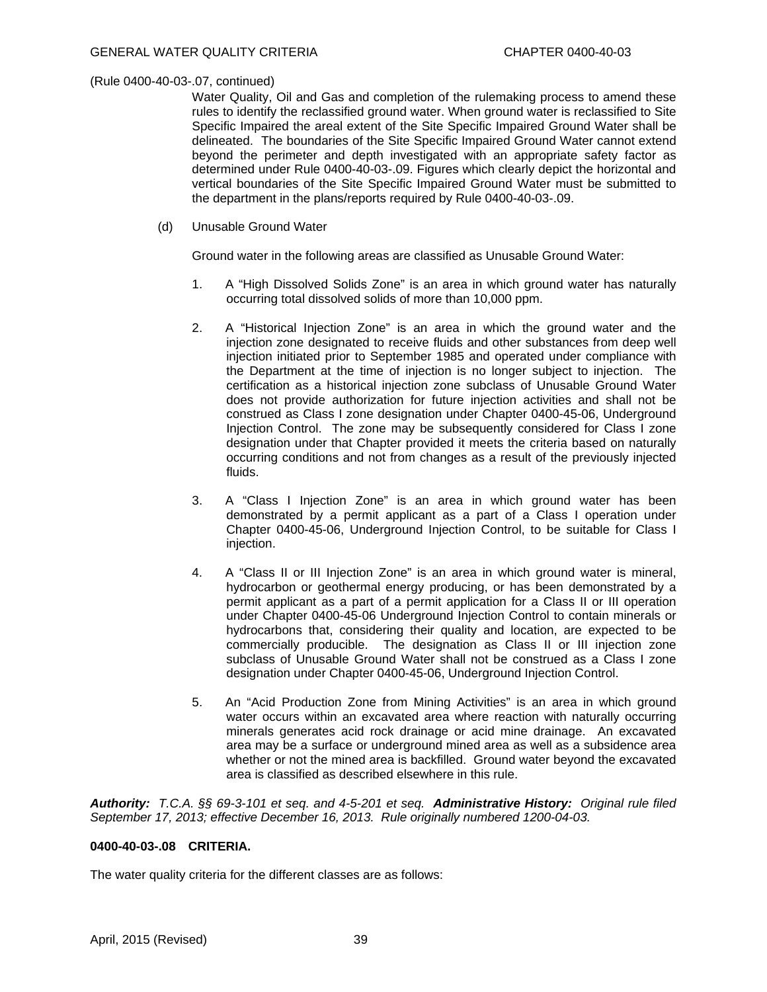Water Quality, Oil and Gas and completion of the rulemaking process to amend these rules to identify the reclassified ground water. When ground water is reclassified to Site Specific Impaired the areal extent of the Site Specific Impaired Ground Water shall be delineated. The boundaries of the Site Specific Impaired Ground Water cannot extend beyond the perimeter and depth investigated with an appropriate safety factor as determined under Rule 0400-40-03-.09. Figures which clearly depict the horizontal and vertical boundaries of the Site Specific Impaired Ground Water must be submitted to the department in the plans/reports required by Rule 0400-40-03-.09.

(d) Unusable Ground Water

Ground water in the following areas are classified as Unusable Ground Water:

- 1. A "High Dissolved Solids Zone" is an area in which ground water has naturally occurring total dissolved solids of more than 10,000 ppm.
- 2. A "Historical Injection Zone" is an area in which the ground water and the injection zone designated to receive fluids and other substances from deep well injection initiated prior to September 1985 and operated under compliance with the Department at the time of injection is no longer subject to injection. The certification as a historical injection zone subclass of Unusable Ground Water does not provide authorization for future injection activities and shall not be construed as Class I zone designation under Chapter 0400-45-06, Underground Injection Control. The zone may be subsequently considered for Class I zone designation under that Chapter provided it meets the criteria based on naturally occurring conditions and not from changes as a result of the previously injected fluids.
- 3. A "Class I Injection Zone" is an area in which ground water has been demonstrated by a permit applicant as a part of a Class I operation under Chapter 0400-45-06, Underground Injection Control, to be suitable for Class I injection.
- 4. A "Class II or III Injection Zone" is an area in which ground water is mineral, hydrocarbon or geothermal energy producing, or has been demonstrated by a permit applicant as a part of a permit application for a Class II or III operation under Chapter 0400-45-06 Underground Injection Control to contain minerals or hydrocarbons that, considering their quality and location, are expected to be commercially producible. The designation as Class II or III injection zone subclass of Unusable Ground Water shall not be construed as a Class I zone designation under Chapter 0400-45-06, Underground Injection Control.
- 5. An "Acid Production Zone from Mining Activities" is an area in which ground water occurs within an excavated area where reaction with naturally occurring minerals generates acid rock drainage or acid mine drainage. An excavated area may be a surface or underground mined area as well as a subsidence area whether or not the mined area is backfilled. Ground water beyond the excavated area is classified as described elsewhere in this rule.

*Authority: T.C.A. §§ 69-3-101 et seq. and 4-5-201 et seq. Administrative History: Original rule filed September 17, 2013; effective December 16, 2013. Rule originally numbered 1200-04-03.* 

# **0400-40-03-.08 CRITERIA.**

The water quality criteria for the different classes are as follows: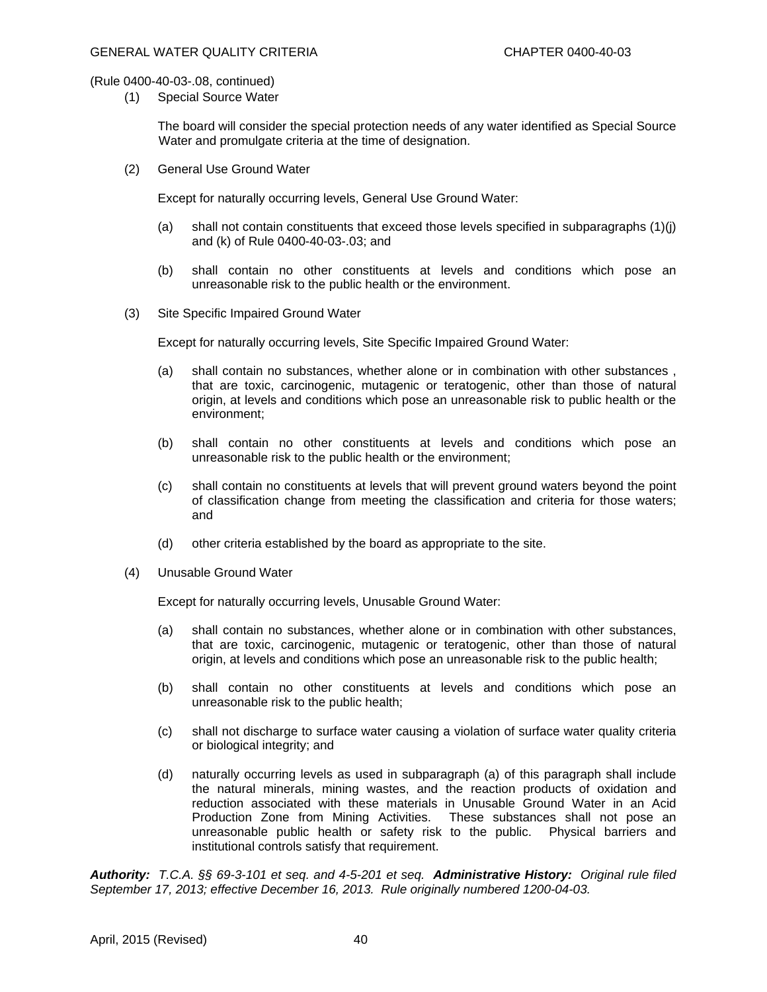(1) Special Source Water

 The board will consider the special protection needs of any water identified as Special Source Water and promulgate criteria at the time of designation.

(2) General Use Ground Water

Except for naturally occurring levels, General Use Ground Water:

- (a) shall not contain constituents that exceed those levels specified in subparagraphs (1)(j) and (k) of Rule 0400-40-03-.03; and
- (b) shall contain no other constituents at levels and conditions which pose an unreasonable risk to the public health or the environment.
- (3) Site Specific Impaired Ground Water

Except for naturally occurring levels, Site Specific Impaired Ground Water:

- (a) shall contain no substances, whether alone or in combination with other substances , that are toxic, carcinogenic, mutagenic or teratogenic, other than those of natural origin, at levels and conditions which pose an unreasonable risk to public health or the environment;
- (b) shall contain no other constituents at levels and conditions which pose an unreasonable risk to the public health or the environment;
- (c) shall contain no constituents at levels that will prevent ground waters beyond the point of classification change from meeting the classification and criteria for those waters; and
- (d) other criteria established by the board as appropriate to the site.
- (4) Unusable Ground Water

Except for naturally occurring levels, Unusable Ground Water:

- (a) shall contain no substances, whether alone or in combination with other substances, that are toxic, carcinogenic, mutagenic or teratogenic, other than those of natural origin, at levels and conditions which pose an unreasonable risk to the public health;
- (b) shall contain no other constituents at levels and conditions which pose an unreasonable risk to the public health;
- (c) shall not discharge to surface water causing a violation of surface water quality criteria or biological integrity; and
- (d) naturally occurring levels as used in subparagraph (a) of this paragraph shall include the natural minerals, mining wastes, and the reaction products of oxidation and reduction associated with these materials in Unusable Ground Water in an Acid Production Zone from Mining Activities. These substances shall not pose an unreasonable public health or safety risk to the public. Physical barriers and institutional controls satisfy that requirement.

*Authority: T.C.A. §§ 69-3-101 et seq. and 4-5-201 et seq. Administrative History: Original rule filed September 17, 2013; effective December 16, 2013. Rule originally numbered 1200-04-03.*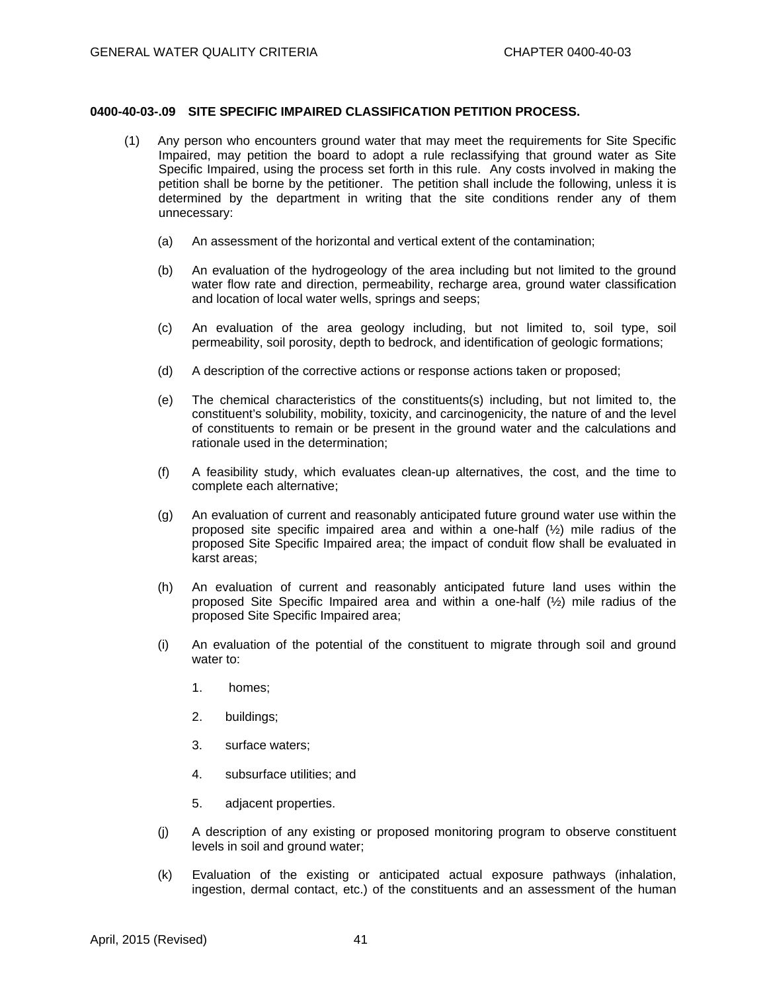# **0400-40-03-.09 SITE SPECIFIC IMPAIRED CLASSIFICATION PETITION PROCESS.**

- (1) Any person who encounters ground water that may meet the requirements for Site Specific Impaired, may petition the board to adopt a rule reclassifying that ground water as Site Specific Impaired, using the process set forth in this rule. Any costs involved in making the petition shall be borne by the petitioner. The petition shall include the following, unless it is determined by the department in writing that the site conditions render any of them unnecessary:
	- (a) An assessment of the horizontal and vertical extent of the contamination;
	- (b) An evaluation of the hydrogeology of the area including but not limited to the ground water flow rate and direction, permeability, recharge area, ground water classification and location of local water wells, springs and seeps;
	- (c) An evaluation of the area geology including, but not limited to, soil type, soil permeability, soil porosity, depth to bedrock, and identification of geologic formations;
	- (d) A description of the corrective actions or response actions taken or proposed;
	- (e) The chemical characteristics of the constituents(s) including, but not limited to, the constituent's solubility, mobility, toxicity, and carcinogenicity, the nature of and the level of constituents to remain or be present in the ground water and the calculations and rationale used in the determination;
	- (f) A feasibility study, which evaluates clean-up alternatives, the cost, and the time to complete each alternative;
	- (g) An evaluation of current and reasonably anticipated future ground water use within the proposed site specific impaired area and within a one-half (½) mile radius of the proposed Site Specific Impaired area; the impact of conduit flow shall be evaluated in karst areas;
	- (h) An evaluation of current and reasonably anticipated future land uses within the proposed Site Specific Impaired area and within a one-half (½) mile radius of the proposed Site Specific Impaired area;
	- (i) An evaluation of the potential of the constituent to migrate through soil and ground water to:
		- 1. homes;
		- 2. buildings;
		- 3. surface waters;
		- 4. subsurface utilities; and
		- 5. adjacent properties.
	- (j) A description of any existing or proposed monitoring program to observe constituent levels in soil and ground water;
	- (k) Evaluation of the existing or anticipated actual exposure pathways (inhalation, ingestion, dermal contact, etc.) of the constituents and an assessment of the human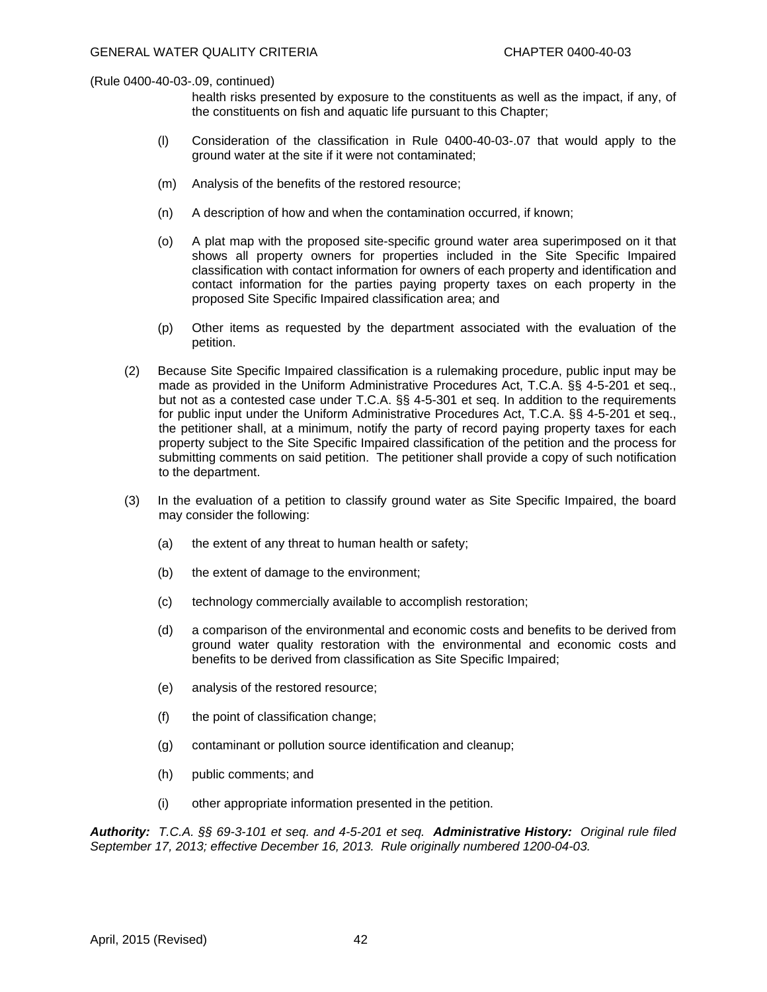health risks presented by exposure to the constituents as well as the impact, if any, of the constituents on fish and aquatic life pursuant to this Chapter;

- (l) Consideration of the classification in Rule 0400-40-03-.07 that would apply to the ground water at the site if it were not contaminated;
- (m) Analysis of the benefits of the restored resource;
- (n) A description of how and when the contamination occurred, if known;
- (o) A plat map with the proposed site-specific ground water area superimposed on it that shows all property owners for properties included in the Site Specific Impaired classification with contact information for owners of each property and identification and contact information for the parties paying property taxes on each property in the proposed Site Specific Impaired classification area; and
- (p) Other items as requested by the department associated with the evaluation of the petition.
- (2) Because Site Specific Impaired classification is a rulemaking procedure, public input may be made as provided in the Uniform Administrative Procedures Act, T.C.A. §§ 4-5-201 et seq., but not as a contested case under T.C.A. §§ 4-5-301 et seq. In addition to the requirements for public input under the Uniform Administrative Procedures Act, T.C.A. §§ 4-5-201 et seq., the petitioner shall, at a minimum, notify the party of record paying property taxes for each property subject to the Site Specific Impaired classification of the petition and the process for submitting comments on said petition. The petitioner shall provide a copy of such notification to the department.
- (3) In the evaluation of a petition to classify ground water as Site Specific Impaired, the board may consider the following:
	- (a) the extent of any threat to human health or safety;
	- (b) the extent of damage to the environment;
	- (c) technology commercially available to accomplish restoration;
	- (d) a comparison of the environmental and economic costs and benefits to be derived from ground water quality restoration with the environmental and economic costs and benefits to be derived from classification as Site Specific Impaired;
	- (e) analysis of the restored resource;
	- (f) the point of classification change;
	- (g) contaminant or pollution source identification and cleanup;
	- (h) public comments; and
	- (i) other appropriate information presented in the petition.

*Authority: T.C.A. §§ 69-3-101 et seq. and 4-5-201 et seq. Administrative History: Original rule filed September 17, 2013; effective December 16, 2013. Rule originally numbered 1200-04-03.*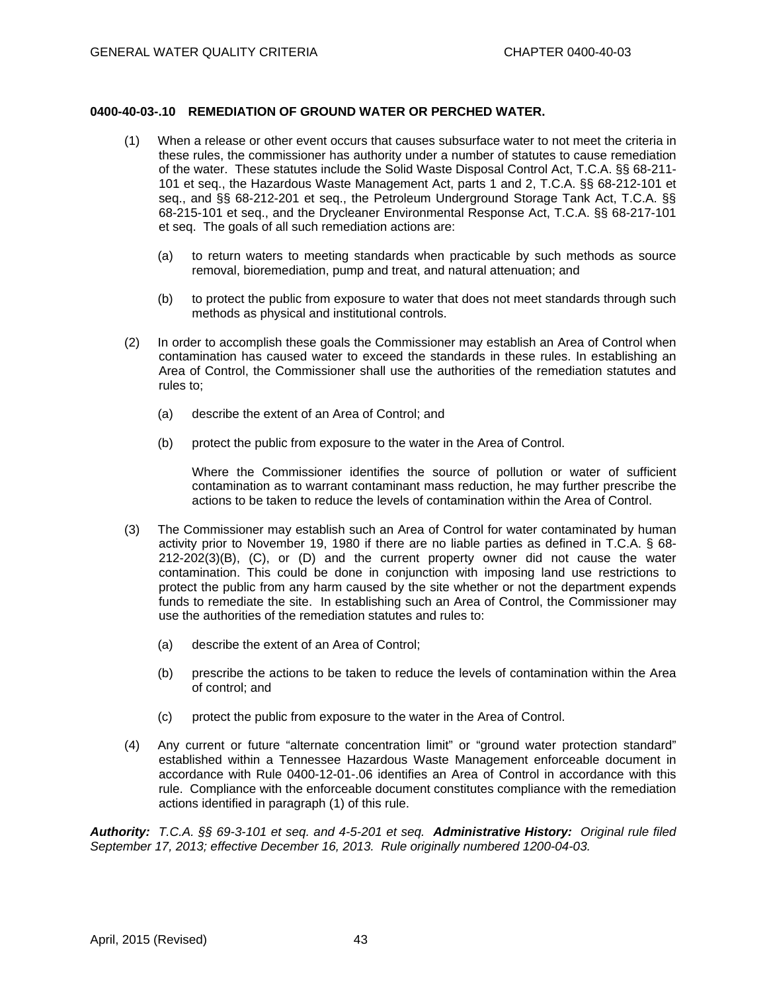# **0400-40-03-.10 REMEDIATION OF GROUND WATER OR PERCHED WATER.**

- (1) When a release or other event occurs that causes subsurface water to not meet the criteria in these rules, the commissioner has authority under a number of statutes to cause remediation of the water. These statutes include the Solid Waste Disposal Control Act, T.C.A. §§ 68-211- 101 et seq., the Hazardous Waste Management Act, parts 1 and 2, T.C.A. §§ 68-212-101 et seq., and §§ 68-212-201 et seq., the Petroleum Underground Storage Tank Act, T.C.A. §§ 68-215-101 et seq., and the Drycleaner Environmental Response Act, T.C.A. §§ 68-217-101 et seq. The goals of all such remediation actions are:
	- (a) to return waters to meeting standards when practicable by such methods as source removal, bioremediation, pump and treat, and natural attenuation; and
	- (b) to protect the public from exposure to water that does not meet standards through such methods as physical and institutional controls.
- (2) In order to accomplish these goals the Commissioner may establish an Area of Control when contamination has caused water to exceed the standards in these rules. In establishing an Area of Control, the Commissioner shall use the authorities of the remediation statutes and rules to;
	- (a) describe the extent of an Area of Control; and
	- (b) protect the public from exposure to the water in the Area of Control.

 Where the Commissioner identifies the source of pollution or water of sufficient contamination as to warrant contaminant mass reduction, he may further prescribe the actions to be taken to reduce the levels of contamination within the Area of Control.

- (3) The Commissioner may establish such an Area of Control for water contaminated by human activity prior to November 19, 1980 if there are no liable parties as defined in T.C.A. § 68- 212-202(3)(B), (C), or (D) and the current property owner did not cause the water contamination. This could be done in conjunction with imposing land use restrictions to protect the public from any harm caused by the site whether or not the department expends funds to remediate the site. In establishing such an Area of Control, the Commissioner may use the authorities of the remediation statutes and rules to:
	- (a) describe the extent of an Area of Control;
	- (b) prescribe the actions to be taken to reduce the levels of contamination within the Area of control; and
	- (c) protect the public from exposure to the water in the Area of Control.
- (4) Any current or future "alternate concentration limit" or "ground water protection standard" established within a Tennessee Hazardous Waste Management enforceable document in accordance with Rule 0400-12-01-.06 identifies an Area of Control in accordance with this rule. Compliance with the enforceable document constitutes compliance with the remediation actions identified in paragraph (1) of this rule.

*Authority: T.C.A. §§ 69-3-101 et seq. and 4-5-201 et seq. Administrative History: Original rule filed September 17, 2013; effective December 16, 2013. Rule originally numbered 1200-04-03.*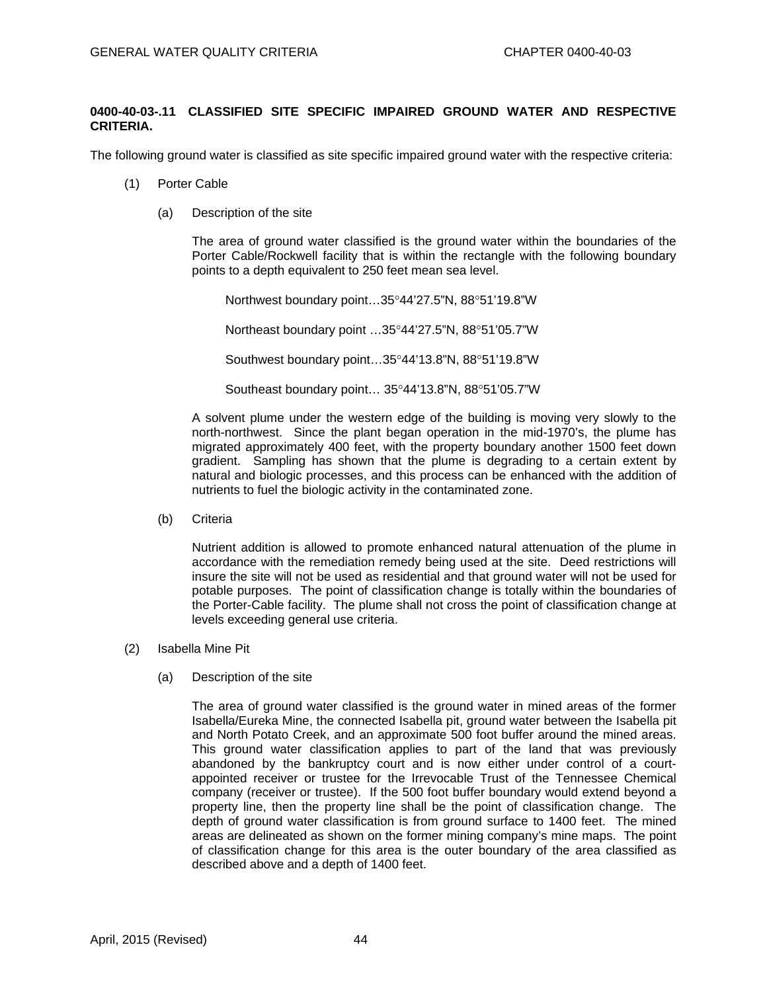# **0400-40-03-.11 CLASSIFIED SITE SPECIFIC IMPAIRED GROUND WATER AND RESPECTIVE CRITERIA.**

The following ground water is classified as site specific impaired ground water with the respective criteria:

- (1) Porter Cable
	- (a) Description of the site

 The area of ground water classified is the ground water within the boundaries of the Porter Cable/Rockwell facility that is within the rectangle with the following boundary points to a depth equivalent to 250 feet mean sea level.

Northwest boundary point... $35^{\circ}44'27.5''N$ ,  $88^{\circ}51'19.8''W$ Northeast boundary point ...35°44'27.5"N, 88°51'05.7"W Southwest boundary point...35°44'13.8"N, 88°51'19.8"W Southeast boundary point... 35°44'13.8"N, 88°51'05.7"W

 A solvent plume under the western edge of the building is moving very slowly to the north-northwest. Since the plant began operation in the mid-1970's, the plume has migrated approximately 400 feet, with the property boundary another 1500 feet down gradient. Sampling has shown that the plume is degrading to a certain extent by natural and biologic processes, and this process can be enhanced with the addition of nutrients to fuel the biologic activity in the contaminated zone.

(b) Criteria

 Nutrient addition is allowed to promote enhanced natural attenuation of the plume in accordance with the remediation remedy being used at the site. Deed restrictions will insure the site will not be used as residential and that ground water will not be used for potable purposes. The point of classification change is totally within the boundaries of the Porter-Cable facility. The plume shall not cross the point of classification change at levels exceeding general use criteria.

- (2) Isabella Mine Pit
	- (a) Description of the site

 The area of ground water classified is the ground water in mined areas of the former Isabella/Eureka Mine, the connected Isabella pit, ground water between the Isabella pit and North Potato Creek, and an approximate 500 foot buffer around the mined areas. This ground water classification applies to part of the land that was previously abandoned by the bankruptcy court and is now either under control of a courtappointed receiver or trustee for the Irrevocable Trust of the Tennessee Chemical company (receiver or trustee). If the 500 foot buffer boundary would extend beyond a property line, then the property line shall be the point of classification change. The depth of ground water classification is from ground surface to 1400 feet. The mined areas are delineated as shown on the former mining company's mine maps. The point of classification change for this area is the outer boundary of the area classified as described above and a depth of 1400 feet.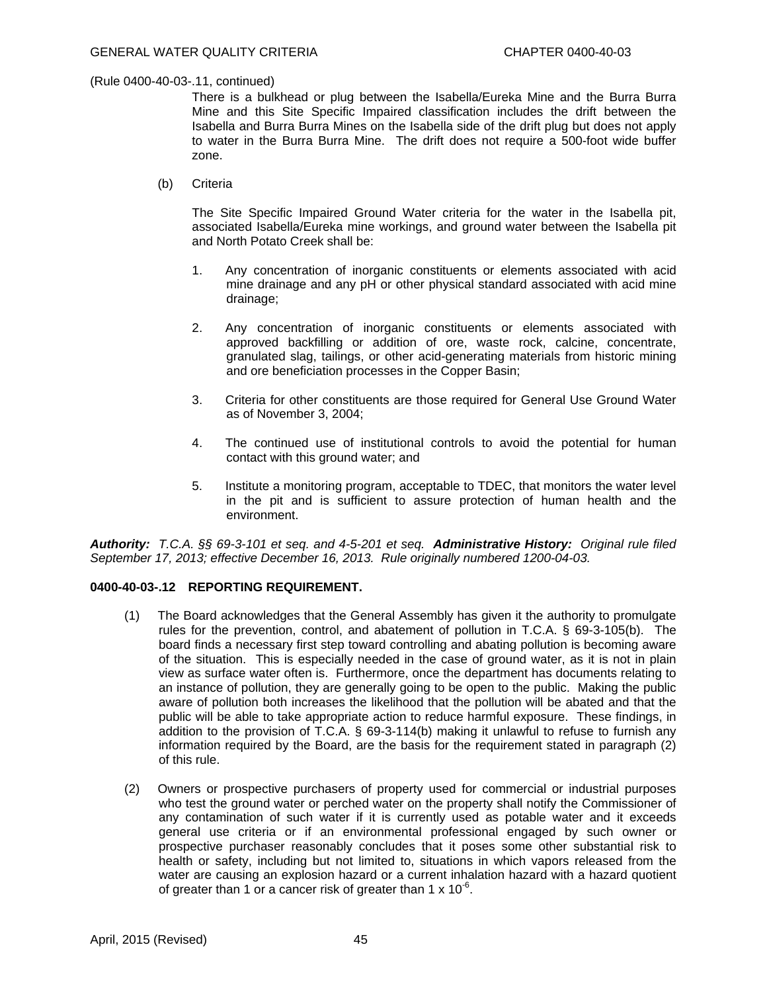There is a bulkhead or plug between the Isabella/Eureka Mine and the Burra Burra Mine and this Site Specific Impaired classification includes the drift between the Isabella and Burra Burra Mines on the Isabella side of the drift plug but does not apply to water in the Burra Burra Mine. The drift does not require a 500-foot wide buffer zone.

(b) Criteria

 The Site Specific Impaired Ground Water criteria for the water in the Isabella pit, associated Isabella/Eureka mine workings, and ground water between the Isabella pit and North Potato Creek shall be:

- 1. Any concentration of inorganic constituents or elements associated with acid mine drainage and any pH or other physical standard associated with acid mine drainage;
- 2. Any concentration of inorganic constituents or elements associated with approved backfilling or addition of ore, waste rock, calcine, concentrate, granulated slag, tailings, or other acid-generating materials from historic mining and ore beneficiation processes in the Copper Basin;
- 3. Criteria for other constituents are those required for General Use Ground Water as of November 3, 2004;
- 4. The continued use of institutional controls to avoid the potential for human contact with this ground water; and
- 5. Institute a monitoring program, acceptable to TDEC, that monitors the water level in the pit and is sufficient to assure protection of human health and the environment.

*Authority: T.C.A. §§ 69-3-101 et seq. and 4-5-201 et seq. Administrative History: Original rule filed September 17, 2013; effective December 16, 2013. Rule originally numbered 1200-04-03.* 

## **0400-40-03-.12 REPORTING REQUIREMENT.**

- (1) The Board acknowledges that the General Assembly has given it the authority to promulgate rules for the prevention, control, and abatement of pollution in T.C.A. § 69-3-105(b). The board finds a necessary first step toward controlling and abating pollution is becoming aware of the situation. This is especially needed in the case of ground water, as it is not in plain view as surface water often is. Furthermore, once the department has documents relating to an instance of pollution, they are generally going to be open to the public. Making the public aware of pollution both increases the likelihood that the pollution will be abated and that the public will be able to take appropriate action to reduce harmful exposure. These findings, in addition to the provision of T.C.A. § 69-3-114(b) making it unlawful to refuse to furnish any information required by the Board, are the basis for the requirement stated in paragraph (2) of this rule.
- (2) Owners or prospective purchasers of property used for commercial or industrial purposes who test the ground water or perched water on the property shall notify the Commissioner of any contamination of such water if it is currently used as potable water and it exceeds general use criteria or if an environmental professional engaged by such owner or prospective purchaser reasonably concludes that it poses some other substantial risk to health or safety, including but not limited to, situations in which vapors released from the water are causing an explosion hazard or a current inhalation hazard with a hazard quotient of greater than 1 or a cancer risk of greater than 1  $\times$  10<sup>-6</sup>.